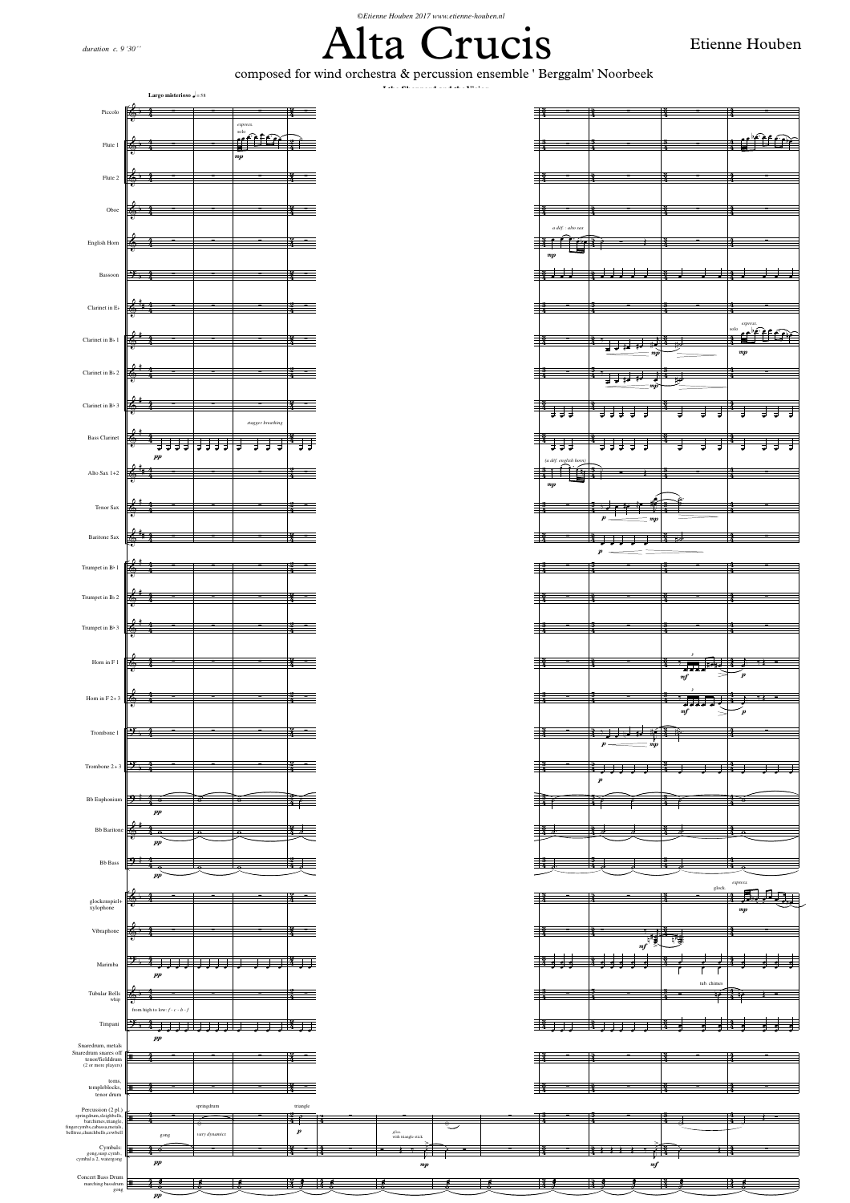## *©Etienne Houben 2017 www.etienne-houben.nl*

## Alta Crucis Etienne Houben



ã

marching bassdrum gong

 $_{4}^{4}$ 

π

 $\exists$ 

 $\overline{\phantom{a}}$ 

**\*** *i* 18

 $\mathcal{L}$ 

X  $\overline{\phantom{0}}$   $\overline{\phantom{0}}$ 

 $\overline{\phantom{a}}$ 

|                                 |                                                                                                                                                                                                                                                                                                                     | 3                                               |                                           |
|---------------------------------|---------------------------------------------------------------------------------------------------------------------------------------------------------------------------------------------------------------------------------------------------------------------------------------------------------------------|-------------------------------------------------|-------------------------------------------|
|                                 |                                                                                                                                                                                                                                                                                                                     |                                                 |                                           |
| 7                               |                                                                                                                                                                                                                                                                                                                     |                                                 |                                           |
| $a \, d\theta$ : alto say<br>≇∓ | $\frac{1}{2}$                                                                                                                                                                                                                                                                                                       |                                                 |                                           |
| mp                              |                                                                                                                                                                                                                                                                                                                     |                                                 |                                           |
| ∃? J                            | ₹<br>⊐<br>ž                                                                                                                                                                                                                                                                                                         | Ŧ<br>₽                                          |                                           |
|                                 | 2                                                                                                                                                                                                                                                                                                                   | Ÿ.                                              | ₹                                         |
|                                 |                                                                                                                                                                                                                                                                                                                     |                                                 |                                           |
|                                 | $\frac{1}{\sqrt{2}}$ $\frac{1}{\sqrt{2}}$ $\frac{1}{\sqrt{2}}$ $\frac{1}{\sqrt{2}}$                                                                                                                                                                                                                                 |                                                 |                                           |
|                                 | $\frac{1}{2}$ $\frac{1}{2}$ $\frac{1}{2}$ $\frac{1}{2}$ $\frac{1}{2}$ $\frac{1}{2}$<br>$\frac{5}{4}$                                                                                                                                                                                                                |                                                 |                                           |
|                                 |                                                                                                                                                                                                                                                                                                                     |                                                 |                                           |
|                                 | $\frac{1}{2}$ $\frac{1}{2}$<br>$\mathbf{R}_{\perp}$                                                                                                                                                                                                                                                                 | $\frac{1}{2}$ $\frac{1}{2}$ $\frac{1}{2}$       |                                           |
| 帇<br>开                          | 1111<br>1                                                                                                                                                                                                                                                                                                           | $\exists^4$<br>F                                |                                           |
|                                 |                                                                                                                                                                                                                                                                                                                     |                                                 |                                           |
| $\frac{1}{2}$                   | $\frac{1}{2}$                                                                                                                                                                                                                                                                                                       |                                                 |                                           |
| $\exists$                       | $\frac{5}{4}$ , $\frac{1}{2}$ , $\frac{1}{2}$ , $\frac{1}{2}$ , $\frac{1}{2}$                                                                                                                                                                                                                                       |                                                 |                                           |
|                                 |                                                                                                                                                                                                                                                                                                                     |                                                 |                                           |
|                                 | ₽<br>$\overline{1}$                                                                                                                                                                                                                                                                                                 |                                                 |                                           |
|                                 |                                                                                                                                                                                                                                                                                                                     |                                                 |                                           |
|                                 |                                                                                                                                                                                                                                                                                                                     |                                                 |                                           |
|                                 |                                                                                                                                                                                                                                                                                                                     |                                                 |                                           |
|                                 | 2                                                                                                                                                                                                                                                                                                                   |                                                 |                                           |
| 2                               | 7                                                                                                                                                                                                                                                                                                                   | $\frac{3}{4}$                                   |                                           |
|                                 |                                                                                                                                                                                                                                                                                                                     | $\sqrt{P}$ , $\sqrt{1}$<br>mf                   |                                           |
| 4                               | $\frac{5}{4}$                                                                                                                                                                                                                                                                                                       | 辈                                               | 4                                         |
|                                 |                                                                                                                                                                                                                                                                                                                     |                                                 |                                           |
| 聿                               | mp                                                                                                                                                                                                                                                                                                                  |                                                 |                                           |
|                                 |                                                                                                                                                                                                                                                                                                                     |                                                 |                                           |
| 聿                               | $ 3$ , $ 3$ , $ 3$ , $ 3$ , $ 3$ , $ 1$ , $ 1$ , $ 1$<br>p                                                                                                                                                                                                                                                          |                                                 |                                           |
| $\ket{\mathbb{P}}$              | y i p<br>$\bar{z}$                                                                                                                                                                                                                                                                                                  |                                                 | $\frac{1}{4}$                             |
|                                 |                                                                                                                                                                                                                                                                                                                     |                                                 |                                           |
| 聿                               | E                                                                                                                                                                                                                                                                                                                   | $\frac{3}{4}$                                   | 4                                         |
| 书,                              | $\frac{1}{2}$ $\frac{1}{3}$ $\frac{1}{2}$<br>$\frac{1}{2}$                                                                                                                                                                                                                                                          | $\frac{1}{4}$                                   |                                           |
|                                 |                                                                                                                                                                                                                                                                                                                     | glock.                                          |                                           |
|                                 | $\frac{3}{4}$ $\frac{2}{4}$ $\frac{3}{4}$ $\frac{3}{4}$ $\frac{3}{4}$                                                                                                                                                                                                                                               |                                                 | П. О. п. .<br>₹                           |
|                                 |                                                                                                                                                                                                                                                                                                                     |                                                 | mp                                        |
|                                 | $\frac{1}{2}$                                                                                                                                                                                                                                                                                                       |                                                 | ⋣                                         |
|                                 | ∣¥ <del>तत्त</del>  ¥ततत्तत्त्वं  ¥ <del>/</del> / / ¥त तत्त्वं                                                                                                                                                                                                                                                     |                                                 |                                           |
|                                 | $\frac{1}{2}$ $\frac{1}{2}$ $\frac{1}{2}$ $\frac{1}{2}$ $\frac{1}{2}$ $\frac{1}{2}$ $\frac{1}{2}$ $\frac{1}{2}$ $\frac{1}{2}$ $\frac{1}{2}$ $\frac{1}{2}$ $\frac{1}{2}$ $\frac{1}{2}$ $\frac{1}{2}$ $\frac{1}{2}$ $\frac{1}{2}$ $\frac{1}{2}$ $\frac{1}{2}$ $\frac{1}{2}$ $\frac{1}{2}$ $\frac{1}{2}$ $\frac{1}{2}$ | tub. chime                                      |                                           |
|                                 | $\frac{13}{2}$ $\frac{1}{2}$ $\frac{1}{2}$ $\frac{1}{2}$ $\frac{1}{2}$ $\frac{1}{2}$ $\frac{1}{2}$ $\frac{1}{2}$ $\frac{1}{2}$ $\frac{1}{2}$ $\frac{1}{2}$ $\frac{1}{2}$ $\frac{1}{2}$ $\frac{1}{2}$ $\frac{1}{2}$                                                                                                  |                                                 |                                           |
|                                 |                                                                                                                                                                                                                                                                                                                     |                                                 |                                           |
|                                 | $\frac{3}{4}$ $\frac{3}{4}$ $\frac{3}{4}$ $\frac{3}{4}$ $\frac{3}{4}$                                                                                                                                                                                                                                               |                                                 |                                           |
| $\frac{3}{4}$ $\frac{5}{4}$     | $\frac{3}{4}$                                                                                                                                                                                                                                                                                                       |                                                 |                                           |
|                                 |                                                                                                                                                                                                                                                                                                                     |                                                 |                                           |
| $\frac{3}{4}$ $\frac{5}{4}$     |                                                                                                                                                                                                                                                                                                                     | $\begin{array}{c} \frac{3}{4} \\ 1 \end{array}$ | $\frac{4}{4}$ $\rightarrow$ $\rightarrow$ |
|                                 |                                                                                                                                                                                                                                                                                                                     |                                                 |                                           |

4 3 ∑

∑

∑

 $\overline{\phantom{a}}$ 

4 3 4 5 4 3 ˙. æ ˙. æ ˙ æ ˙. æ

 $\frac{1}{2}$  : : : :  $\frac{1}{2}$ 

 $\frac{1}{m}$ 

 $\sim$   $\frac{1}{4}$ 

 $\frac{4}{3}$ 

∑

▆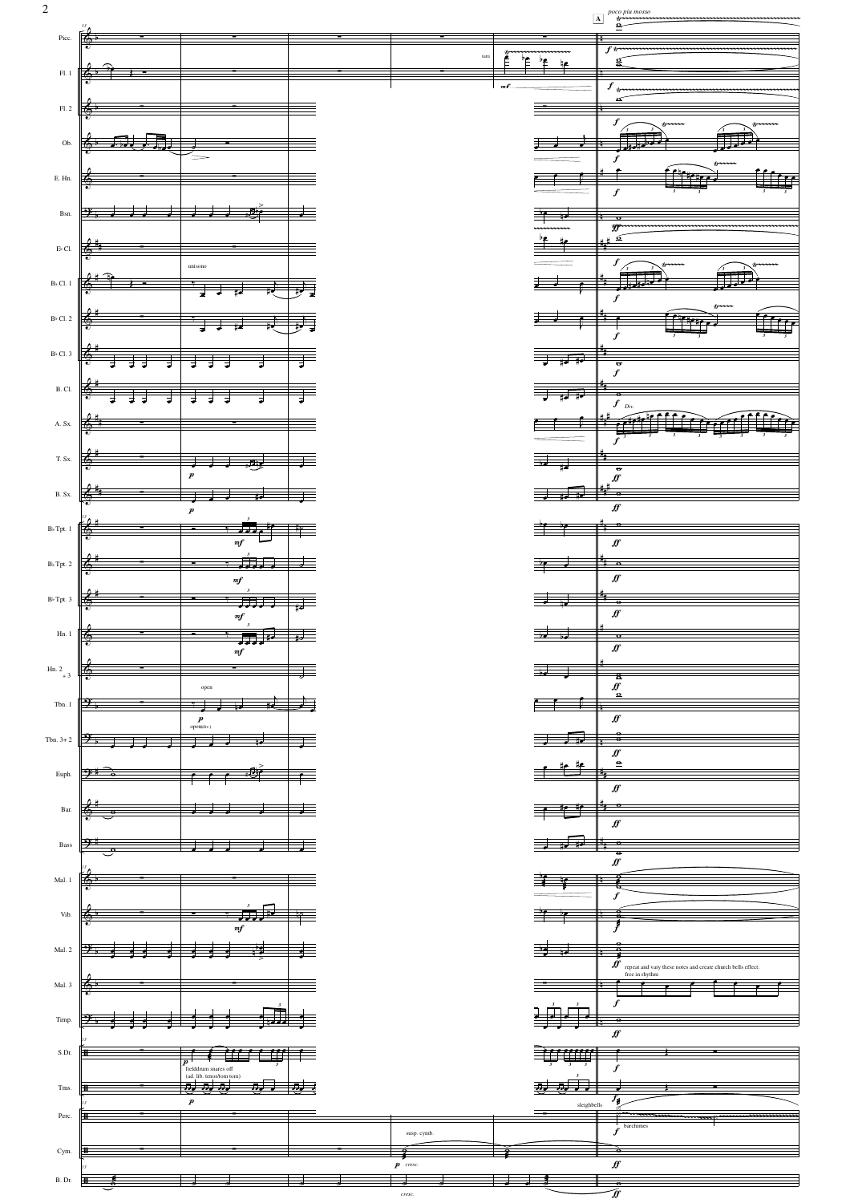





 $\frac{1}{2}$ *cresc.*

w æ p *cresc.*

susp. cymb.

∑

∑

∑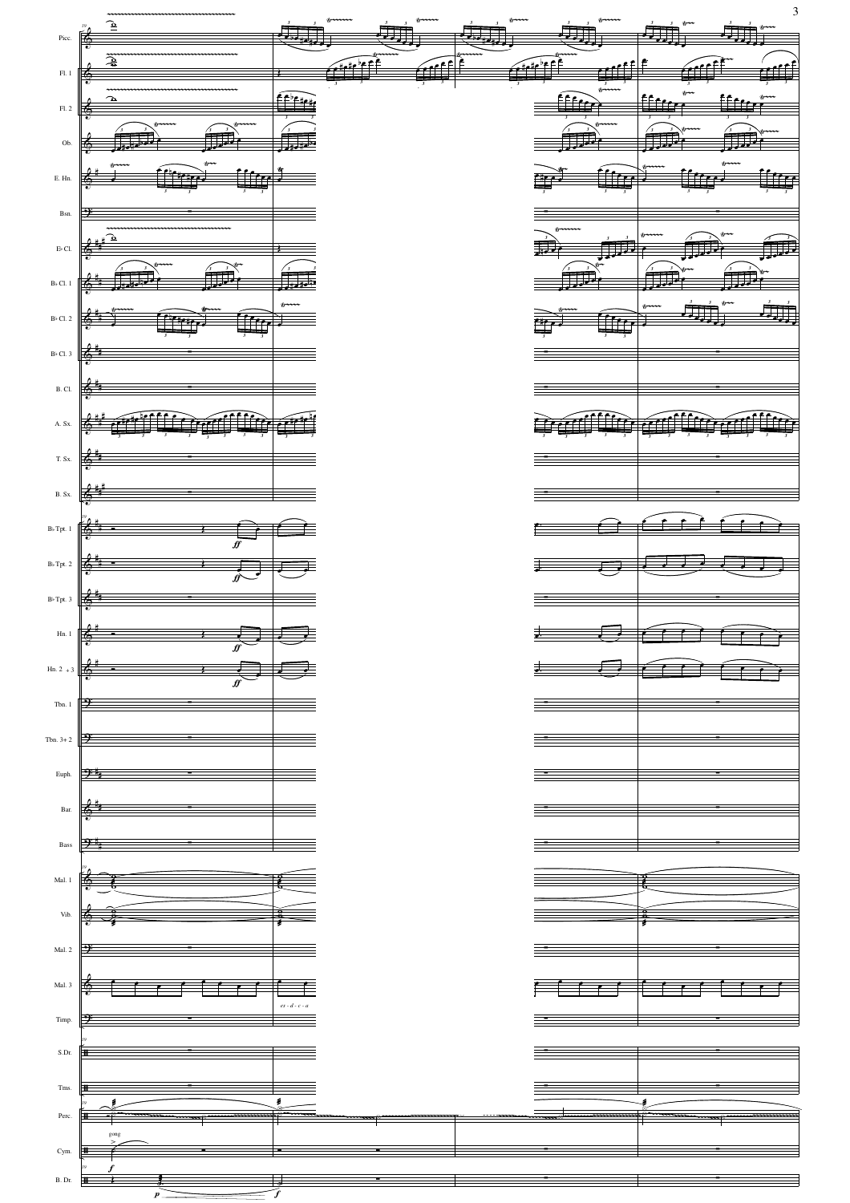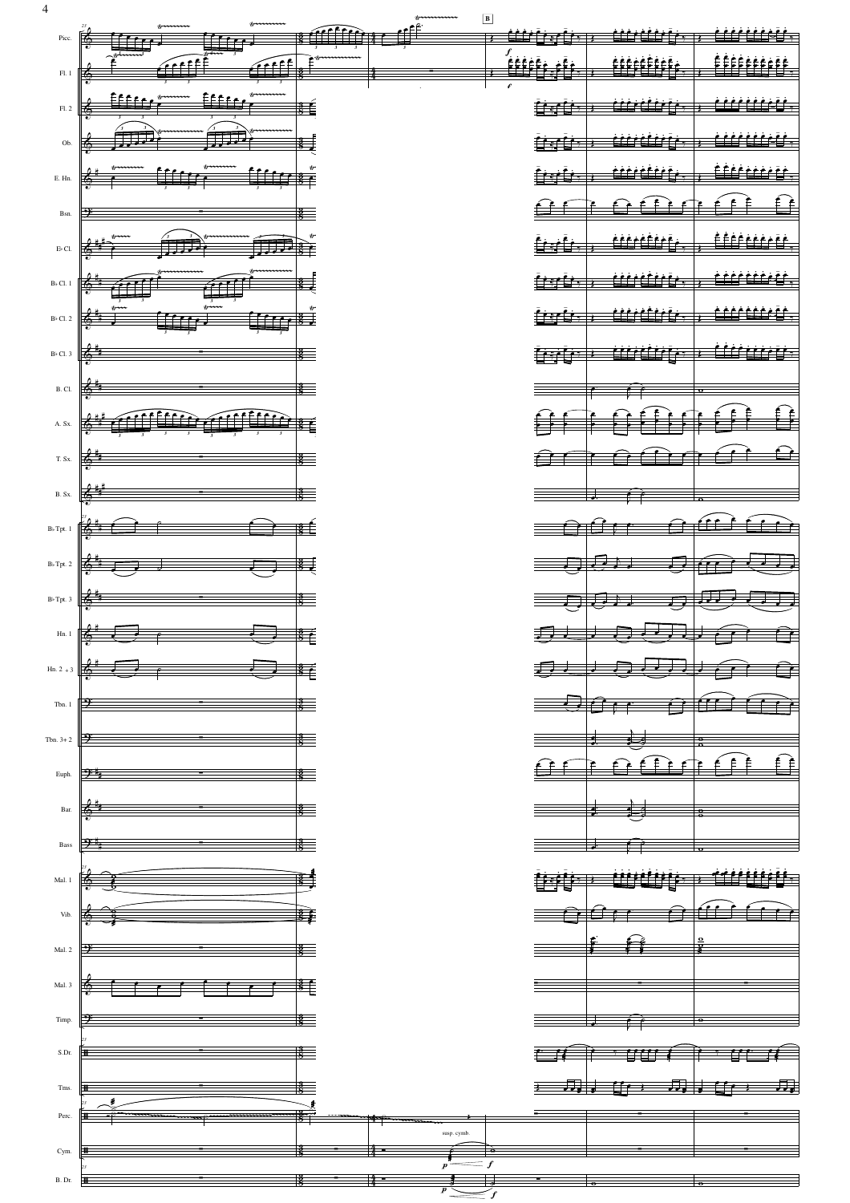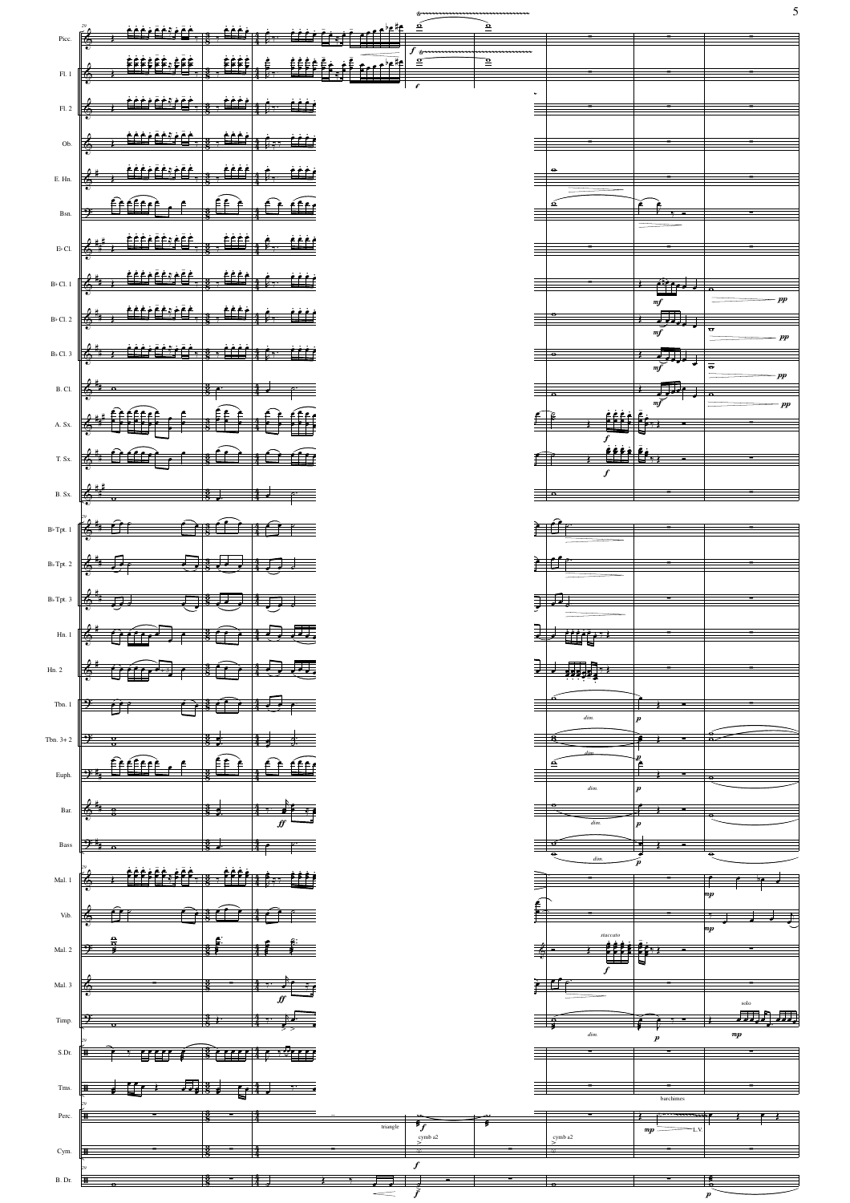|                                                     |                                                                                   | Ω                                                     | 흔              |                             |                  | 5                                    |
|-----------------------------------------------------|-----------------------------------------------------------------------------------|-------------------------------------------------------|----------------|-----------------------------|------------------|--------------------------------------|
| $\mathop{\text{\rm Picc}}$                          | er crift<br>氐                                                                     |                                                       |                |                             |                  |                                      |
| FL.1                                                | <u>BBVB,</u><br>또한<br><u>)</u><br>⊕                                               | $\frac{f_{\phi}}{2}$                                  | $\overline{g}$ |                             |                  |                                      |
| $\mathsf{Fl.}\ 2$                                   | $f$ (f, $_{\rm g}$ , L<br>فككن مزرز كا                                            |                                                       |                |                             |                  |                                      |
|                                                     | Ф                                                                                 |                                                       |                |                             |                  |                                      |
| Ob.                                                 | $f \sqsubseteq$ , $_3$ , $\sqsubseteq \sqsubseteq'$ $_4$ $_5$ , $_7$<br>⊯<br>6    |                                                       |                |                             |                  |                                      |
| $\mathbf{E}.$ Hn.                                   | <u>crici, , , cri</u><br>$\not\vdash$<br>Ѩ                                        |                                                       |                |                             |                  |                                      |
| Bsn.                                                | $\frac{1}{3}$<br><u>friice</u><br>$\bigoplus$<br>$\mathbf{f}$<br><u>tft</u><br>D. |                                                       |                |                             |                  |                                      |
| $\to$ Cl.                                           | <u>rtiviti, <sub>8</sub> , titi <sub>4</sub> d, .</u><br>∣‰*                      |                                                       |                |                             |                  |                                      |
| $\mathrm{B}\flat$ Cl. 1                             | ≝<br>[∉"                                                                          |                                                       | $\equiv$       |                             | المعتلف<br>⊟     |                                      |
| $\mathrm{B}\!\!\:\mathsf{C}\!\!\,\mathsf{L}$ 2      | <u> conformat, g , conf<sub>orm</sub>an  conf</u><br>圈                            |                                                       |                |                             | mf<br>万刀<br>∹    |                                      |
| $\rm B\!\!\downarrow\!\!C\!\!\!\downarrow\!\!3$     | -6                                                                                |                                                       |                |                             |                  |                                      |
| $\, {\bf B} . \, {\bf C} {\bf L}$                   | $\frac{3}{8}$ $\frac{4}{4}$<br>$6$ $\circ$                                        |                                                       |                |                             |                  | $\overline{\overline{\sigma}}$<br>pp |
| $\mathbf{A},\,\mathbf{S}\mathbf{x},$                | $\left  \right $<br>Afri                                                          |                                                       |                |                             |                  | pp                                   |
|                                                     |                                                                                   |                                                       |                |                             |                  |                                      |
| $\mathop{\text{\rm T.}\,} \mathop{\text{\rm S}} x.$ | Íſ<br>ó                                                                           |                                                       |                | $\boldsymbol{f}$            |                  |                                      |
| B. Sx.                                              | $\frac{3}{8}$ .<br>[⊚"<br>$\overline{\rho}$ .                                     |                                                       |                |                             |                  |                                      |
| $\rm B\!\!\,\flat\, Tpt.\,1$                        | $\bigcap_{\mathcal{B}} \mathcal{B}$<br>$f \mid \{f\} \mid f = 0$<br>6             |                                                       | 有的             |                             |                  |                                      |
| $\rm B\textup{+}Tpt.$ 2                             | $\bigcup_{\mathbf{8}}$<br>≣<br>$6$ <sup>*</sup><br>$\frac{1}{2}$                  |                                                       | È              |                             |                  |                                      |
| $B+Tpt.3$                                           | ਹ਼ਾਈ<br>15<br>ء ب<br>≡                                                            |                                                       | ≢              |                             |                  |                                      |
|                                                     | <b>10.1 6 000 10 00</b>                                                           |                                                       |                | 基础(**                       |                  |                                      |
| Hn.2                                                | 6<br><u>। है कि ले</u><br><u>i e e re</u>                                         |                                                       | 刲              | 333.3                       |                  |                                      |
| Tbn. 1                                              | ヺ                                                                                 |                                                       |                | dim.                        |                  |                                      |
| Tbn. $3+2$                                          | š.<br>$\mathbf{\sigma}$                                                           |                                                       |                |                             |                  |                                      |
| Euph.                                               | ÊÊ<br>91                                                                          |                                                       |                | ≜                           | ŗ                |                                      |
| $\mbox{Bar}.$                                       |                                                                                   |                                                       |                | dim.                        | $\boldsymbol{p}$ |                                      |
| Bass                                                | متزا                                                                              |                                                       |                | dim.                        | $\boldsymbol{p}$ |                                      |
| Mal. $\boldsymbol{1}$                               | ĦĹ<br>$\frac{1}{8}$ , $\frac{1}{10}$<br>,,,,                                      |                                                       |                | dim.                        |                  |                                      |
|                                                     | te,                                                                               |                                                       |                |                             |                  | mp                                   |
| Vib.                                                | - 3<br>6                                                                          |                                                       |                | staccato                    |                  | ₹<br>mp                              |
| Mal. 2                                              |                                                                                   |                                                       |                | Ħ                           |                  |                                      |
| Mal. $3\,$                                          | 74<br>$\boldsymbol{f}$                                                            |                                                       |                |                             |                  | solo                                 |
| Timp.                                               | ∦ ≀                                                                               |                                                       |                | dim.                        | $\boldsymbol{p}$ | $\it mp$                             |
| S.Dr.                                               | <u>e e ce</u><br>⊞                                                                |                                                       |                |                             |                  |                                      |
| Tms.                                                | $T \rightarrow \overline{J}_1$ $\overline{3}_2$<br>$\overline{\phantom{a}}$<br>Œ  |                                                       |                |                             | barchimes        |                                      |
| Perc.                                               | Œ<br>triangle                                                                     | $\overline{\mathcal{F}}$<br>$\geq$ <sup>cymb a2</sup> |                | $\mathop{\mathrm{cymb}}$ a2 | $\binom{mp}{2}$  |                                      |
| Cym.                                                | Œ                                                                                 |                                                       |                |                             |                  |                                      |
| B. Dr.                                              | 田                                                                                 | $\boldsymbol{f}$                                      |                |                             |                  |                                      |
|                                                     | $\!=$                                                                             | Ĵ                                                     |                |                             |                  | $\boldsymbol{p}$                     |

 $\epsilon$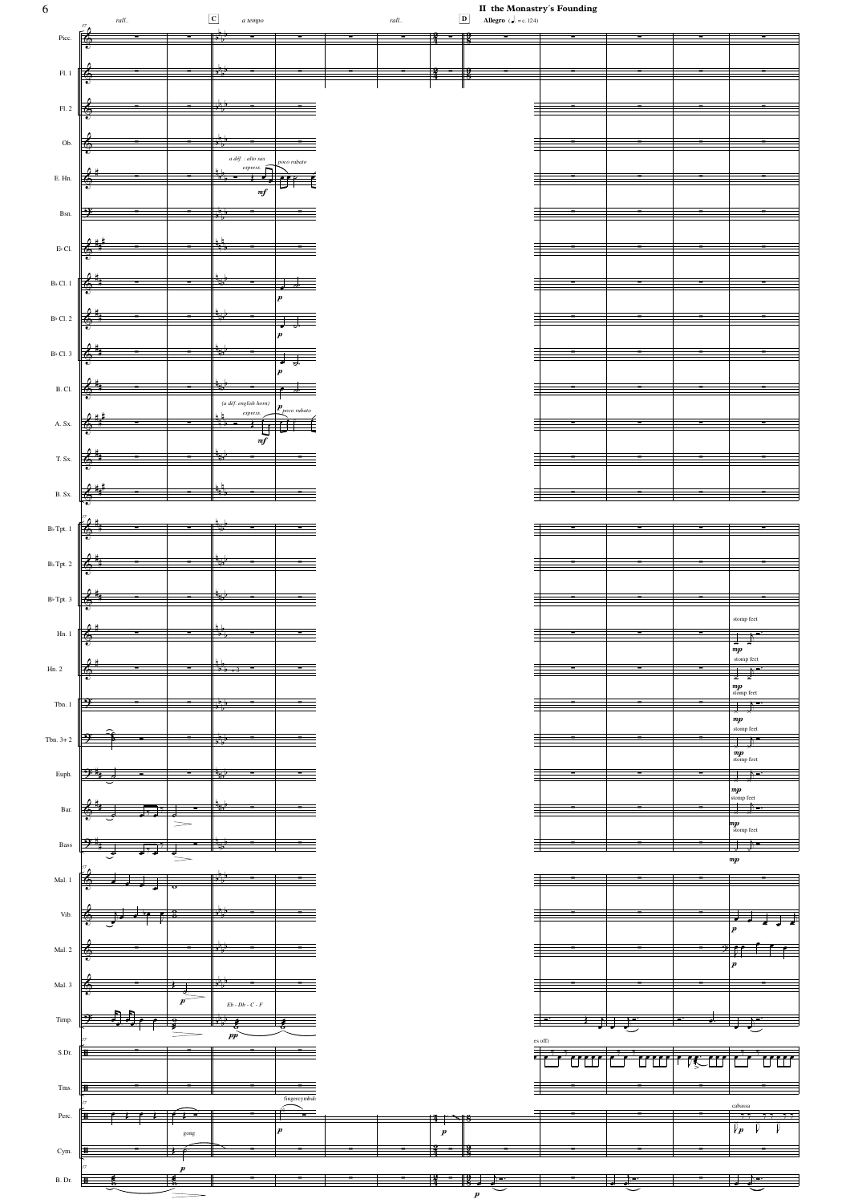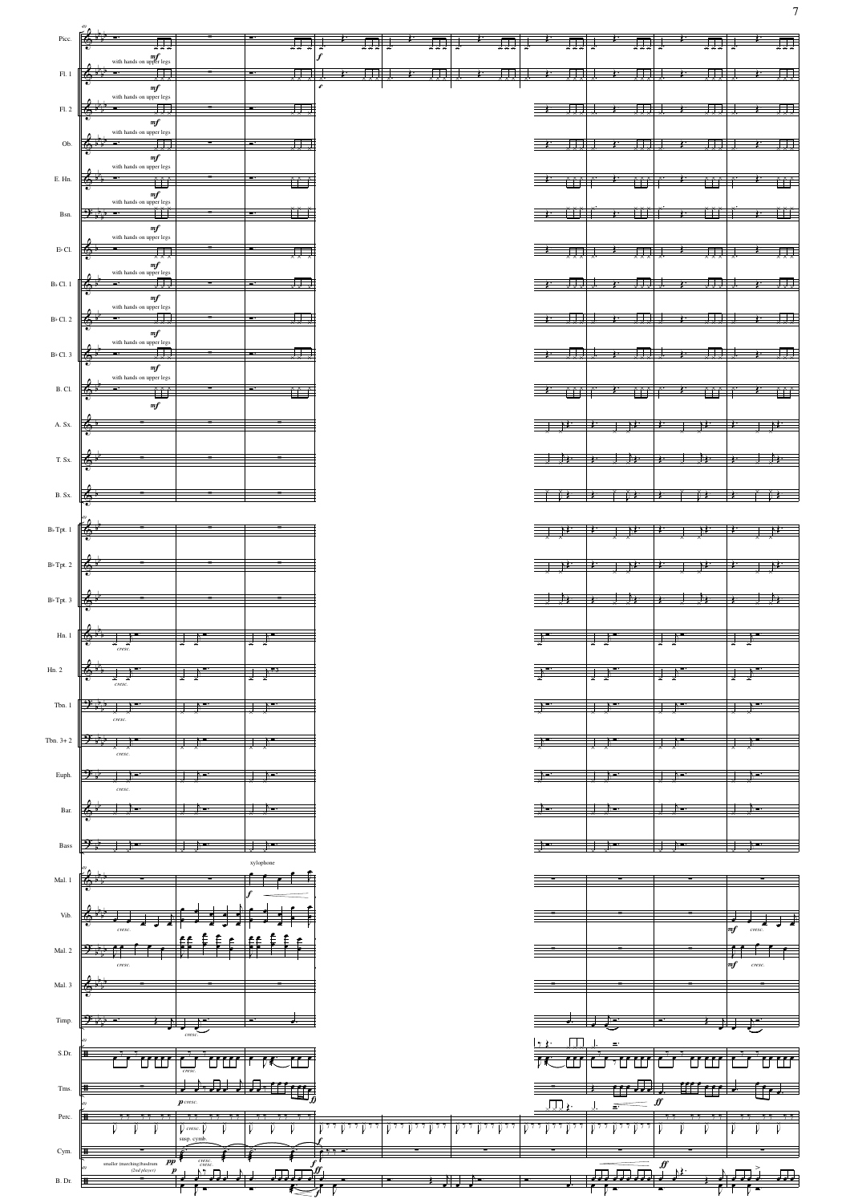| Picc.                                                                                                                                                                                                                                                                                                                                                                                                                                                                                        | 6#<br>×,                                                                              |                                        | ਜ                                                             |                                             | m a    |            |                                                                               |                                                                                                                                                                                                                                                                                                                     |                                                                                                                                                                                                                                                                                                                                                                                                                                                                                                                                                                                                                                                                                            |                                     |
|----------------------------------------------------------------------------------------------------------------------------------------------------------------------------------------------------------------------------------------------------------------------------------------------------------------------------------------------------------------------------------------------------------------------------------------------------------------------------------------------|---------------------------------------------------------------------------------------|----------------------------------------|---------------------------------------------------------------|---------------------------------------------|--------|------------|-------------------------------------------------------------------------------|---------------------------------------------------------------------------------------------------------------------------------------------------------------------------------------------------------------------------------------------------------------------------------------------------------------------|--------------------------------------------------------------------------------------------------------------------------------------------------------------------------------------------------------------------------------------------------------------------------------------------------------------------------------------------------------------------------------------------------------------------------------------------------------------------------------------------------------------------------------------------------------------------------------------------------------------------------------------------------------------------------------------------|-------------------------------------|
|                                                                                                                                                                                                                                                                                                                                                                                                                                                                                              | with hands on upper legs                                                              |                                        |                                                               |                                             |        | <b>THE</b> | Л∏ ∴                                                                          | 原則                                                                                                                                                                                                                                                                                                                  | 原井                                                                                                                                                                                                                                                                                                                                                                                                                                                                                                                                                                                                                                                                                         | 历 -                                 |
| Fl. 1                                                                                                                                                                                                                                                                                                                                                                                                                                                                                        | m f                                                                                   |                                        |                                                               | Æ                                           |        | ╕          | ₩                                                                             | 节<br>r                                                                                                                                                                                                                                                                                                              | 原引<br>r                                                                                                                                                                                                                                                                                                                                                                                                                                                                                                                                                                                                                                                                                    | 用                                   |
| Fl. 2                                                                                                                                                                                                                                                                                                                                                                                                                                                                                        | with hands on upper legs<br>期<br>÷<br>6                                               |                                        | ÷<br>⋿                                                        |                                             |        |            |                                                                               | <del>2009 - 1999 - 1999 - 1999 - 1999 - 1999 - 1999 - 1999 - 1999 - 1999 - 1999 - 1999 - 1999 - 1999 - 1999 - 1999 - 1</del>                                                                                                                                                                                        | 「天王」                                                                                                                                                                                                                                                                                                                                                                                                                                                                                                                                                                                                                                                                                       | चीच<br>$\cdot$                      |
|                                                                                                                                                                                                                                                                                                                                                                                                                                                                                              | mf<br>with hands on upper legs<br>$\overline{\mathcal{L}}$                            |                                        | $\overline{\phantom{a}}$                                      |                                             |        |            |                                                                               | $\overline{\mathcal{X}}$ , $\overline{\mathcal{Y}}$ , $\overline{\mathcal{Y}}$ , $\overline{\mathcal{Y}}$ , $\overline{\mathcal{Y}}$ , $\overline{\mathcal{Y}}$                                                                                                                                                     |                                                                                                                                                                                                                                                                                                                                                                                                                                                                                                                                                                                                                                                                                            |                                     |
| Ob.                                                                                                                                                                                                                                                                                                                                                                                                                                                                                          | to,<br>$_{mf}$<br>with hands on upper legs                                            |                                        | Ħ                                                             |                                             |        |            |                                                                               |                                                                                                                                                                                                                                                                                                                     |                                                                                                                                                                                                                                                                                                                                                                                                                                                                                                                                                                                                                                                                                            | JJJ J. P. JJJ                       |
| E. Hn.                                                                                                                                                                                                                                                                                                                                                                                                                                                                                       | ĚŨ<br>௯<br>$m\!f$                                                                     |                                        |                                                               |                                             |        |            | $\equiv$ in the set of $\equiv$ in the set of $\equiv$ in the set of $\equiv$ | <u>- řříl</u> ř                                                                                                                                                                                                                                                                                                     | $\rightarrow$<br>řřiř                                                                                                                                                                                                                                                                                                                                                                                                                                                                                                                                                                                                                                                                      | $\rightarrow$<br>ŤŤŤ                |
| Bsn.                                                                                                                                                                                                                                                                                                                                                                                                                                                                                         | with hands on upper legs<br>峃<br>ブドゥー                                                 |                                        | ff f<br>$\overline{\phantom{a}}$                              |                                             |        |            |                                                                               |                                                                                                                                                                                                                                                                                                                     | <del>્રાપ્ય સંસ્થાનના સંસ્થાનના સંસ્થાન સંસ્થાન સંસ્થાન સર્</del>                                                                                                                                                                                                                                                                                                                                                                                                                                                                                                                                                                                                                          |                                     |
|                                                                                                                                                                                                                                                                                                                                                                                                                                                                                              | mf<br>with hands on upper legs                                                        |                                        |                                                               |                                             |        |            |                                                                               |                                                                                                                                                                                                                                                                                                                     |                                                                                                                                                                                                                                                                                                                                                                                                                                                                                                                                                                                                                                                                                            |                                     |
| $\to$ Cl.                                                                                                                                                                                                                                                                                                                                                                                                                                                                                    | Ų,<br>-6∋<br>$$\mathit{mf}$$ with hands on upper legs                                 |                                        |                                                               |                                             |        |            | $\rightarrow$ $\pi$                                                           | $\rightarrow$<br>म्रामि                                                                                                                                                                                                                                                                                             | $\rightarrow$<br>東                                                                                                                                                                                                                                                                                                                                                                                                                                                                                                                                                                                                                                                                         | 聂                                   |
| $\rm B \flat$ Cl. 1                                                                                                                                                                                                                                                                                                                                                                                                                                                                          | T<br>$\sqrt{2}$<br>mf                                                                 |                                        |                                                               |                                             |        |            | $\rightarrow$ $\sqrt{2}$                                                      |                                                                                                                                                                                                                                                                                                                     | $\sqrt{2}$                                                                                                                                                                                                                                                                                                                                                                                                                                                                                                                                                                                                                                                                                 | $\sqrt{2}$ , $\sqrt{2}$<br>JJJ      |
| $\rm B\!\!\,\flat\!\!\!\!\circ\!\!\!\!\circ\!\!\!\!\circ\!\!\!\circ\!\!\!\!\circ\!\!\!\!\circ\!\!\!\!\circ\!\!\!\!\circ\!\!\!\!\circ\!\!\!\!\circ\!\!\!\!\circ\!\!\!\!\circ\!\!\!\!\circ\!\!\!\!\circ\!\!\!\!\circ\!\!\!\!\circ\!\!\!\!\circ\!\!\!\!\circ\!\!\!\!\circ\!\!\!\!\circ\!\!\!\!\circ\!\!\!\!\circ\!\!\!\!\circ\!\!\!\!\circ\!\!\!\!\circ\!\!\!\!\circ\!\!\!\!\circ\!\!\!\!\circ\!\!\!\!\circ\!\!\!\!\circ\!\!\!\!\circ\!\!\!\!\circ\!\!\!\!\circ\!\!\!\!\circ\!\!\!\!\circ\!\!\$ | with hands on upper legs<br>्राज्ञ<br>কি                                              |                                        | カナナナ<br>ŀ                                                     |                                             |        |            |                                                                               |                                                                                                                                                                                                                                                                                                                     | $\begin{array}{ccc} \overrightarrow{a} & \overrightarrow{a} & \overrightarrow{a} & \overrightarrow{a} & \overrightarrow{a} & \overrightarrow{a} & \overrightarrow{a} & \overrightarrow{a} & \overrightarrow{a} & \overrightarrow{a} & \overrightarrow{a} & \overrightarrow{a} & \overrightarrow{a} & \overrightarrow{a} & \overrightarrow{a} & \overrightarrow{a} & \overrightarrow{a} & \overrightarrow{a} & \overrightarrow{a} & \overrightarrow{a} & \overrightarrow{a} & \overrightarrow{a} & \overrightarrow{a} & \overrightarrow{a} & \overrightarrow{a} & \overrightarrow{a} & \overrightarrow{a} & \overrightarrow{a} & \overrightarrow{a} & \overrightarrow{a} & \overrightarrow$ |                                     |
|                                                                                                                                                                                                                                                                                                                                                                                                                                                                                              | mf<br>with hands on upper legs<br>$\overline{\mathbf{w}}$<br>$\overline{\phantom{a}}$ |                                        | $\overline{\phantom{a}}$                                      |                                             |        |            | $\rightarrow$ $\sqrt{2}$ , $\rightarrow$                                      | JJJJ.                                                                                                                                                                                                                                                                                                               | JJJ J.<br>$\overrightarrow{r}$                                                                                                                                                                                                                                                                                                                                                                                                                                                                                                                                                                                                                                                             | 聂                                   |
| $\rm{B}\flat$ Cl. 3                                                                                                                                                                                                                                                                                                                                                                                                                                                                          | ⊕<br>mf<br>with hands on upper legs                                                   |                                        |                                                               |                                             |        |            |                                                                               |                                                                                                                                                                                                                                                                                                                     |                                                                                                                                                                                                                                                                                                                                                                                                                                                                                                                                                                                                                                                                                            | r.                                  |
| B. Cl.                                                                                                                                                                                                                                                                                                                                                                                                                                                                                       | Ě<br>l€o<br>$\it mf$                                                                  |                                        |                                                               |                                             |        |            | $\rightarrow$ matrix $\rightarrow$                                            | $\rightarrow$<br>m                                                                                                                                                                                                                                                                                                  | ∹<br>řřřiř                                                                                                                                                                                                                                                                                                                                                                                                                                                                                                                                                                                                                                                                                 | ∹<br>ŤŤ                             |
| A. Sx.                                                                                                                                                                                                                                                                                                                                                                                                                                                                                       | ⊕                                                                                     |                                        |                                                               |                                             |        |            | $\Box$ $\lambda$ .                                                            | ∓<br>₩                                                                                                                                                                                                                                                                                                              | ₩<br>≕                                                                                                                                                                                                                                                                                                                                                                                                                                                                                                                                                                                                                                                                                     | ₩                                   |
|                                                                                                                                                                                                                                                                                                                                                                                                                                                                                              |                                                                                       |                                        |                                                               |                                             |        |            |                                                                               | $\rightarrow$ $\gamma$ , $\rightarrow$ $\rightarrow$ $\gamma$ , $\rightarrow$                                                                                                                                                                                                                                       | $\mathcal{Y}$ :                                                                                                                                                                                                                                                                                                                                                                                                                                                                                                                                                                                                                                                                            |                                     |
| T. Sx.                                                                                                                                                                                                                                                                                                                                                                                                                                                                                       | ю,                                                                                    |                                        |                                                               |                                             |        |            |                                                                               |                                                                                                                                                                                                                                                                                                                     |                                                                                                                                                                                                                                                                                                                                                                                                                                                                                                                                                                                                                                                                                            | ी रे                                |
| B. Sx.                                                                                                                                                                                                                                                                                                                                                                                                                                                                                       | क़                                                                                    |                                        |                                                               |                                             |        |            | $\frac{1}{\sqrt{2}}$ $\frac{1}{\sqrt{2}}$                                     | ∄ੇ                                                                                                                                                                                                                                                                                                                  | ∺<br>Ďł                                                                                                                                                                                                                                                                                                                                                                                                                                                                                                                                                                                                                                                                                    | ∺<br>$\mathcal{V}$                  |
| $\rm B \flat$ Tpt. 1                                                                                                                                                                                                                                                                                                                                                                                                                                                                         | 6                                                                                     |                                        |                                                               |                                             |        |            | $\frac{1}{2}$ $\frac{1}{2}$ , $\frac{1}{2}$ , $\frac{1}{2}$                   | $\frac{1}{2}$ $\frac{1}{2}$ $\frac{1}{2}$ $\frac{1}{2}$ $\frac{1}{2}$ $\frac{1}{2}$ $\frac{1}{2}$ $\frac{1}{2}$ $\frac{1}{2}$ $\frac{1}{2}$ $\frac{1}{2}$ $\frac{1}{2}$ $\frac{1}{2}$ $\frac{1}{2}$ $\frac{1}{2}$ $\frac{1}{2}$ $\frac{1}{2}$ $\frac{1}{2}$ $\frac{1}{2}$ $\frac{1}{2}$ $\frac{1}{2}$ $\frac{1}{2}$ | ₩                                                                                                                                                                                                                                                                                                                                                                                                                                                                                                                                                                                                                                                                                          | ∓<br>₩                              |
| $B \triangleright$ Tpt. 2                                                                                                                                                                                                                                                                                                                                                                                                                                                                    | ⊕                                                                                     |                                        |                                                               |                                             |        |            | $\equiv$ $\kappa$ $\kappa$                                                    | ₩                                                                                                                                                                                                                                                                                                                   | ₩<br>∓                                                                                                                                                                                                                                                                                                                                                                                                                                                                                                                                                                                                                                                                                     | ₩<br>∓                              |
|                                                                                                                                                                                                                                                                                                                                                                                                                                                                                              |                                                                                       |                                        |                                                               |                                             |        |            |                                                                               |                                                                                                                                                                                                                                                                                                                     |                                                                                                                                                                                                                                                                                                                                                                                                                                                                                                                                                                                                                                                                                            |                                     |
| $\rm B \flat$ Tpt. $3$                                                                                                                                                                                                                                                                                                                                                                                                                                                                       | ⊕                                                                                     |                                        |                                                               |                                             |        |            |                                                                               |                                                                                                                                                                                                                                                                                                                     | $\Rightarrow$ $\forall$ $\rightarrow$ $\forall$ $\rightarrow$ $\forall$ $\rightarrow$ $\forall$ $\rightarrow$ $\forall$ $\rightarrow$ $\forall$ $\rightarrow$ $\forall$ $\rightarrow$                                                                                                                                                                                                                                                                                                                                                                                                                                                                                                      |                                     |
| Hn. 1                                                                                                                                                                                                                                                                                                                                                                                                                                                                                        | $\overline{+}$<br>l⊕ <del>D</del><br>∙                                                |                                        |                                                               |                                             |        |            | ⋽                                                                             | $\overline{1}$                                                                                                                                                                                                                                                                                                      |                                                                                                                                                                                                                                                                                                                                                                                                                                                                                                                                                                                                                                                                                            |                                     |
| Hn. 2                                                                                                                                                                                                                                                                                                                                                                                                                                                                                        | cresc.<br>$\bullet$                                                                   |                                        | 3≖⊾                                                           |                                             |        |            | ₹                                                                             |                                                                                                                                                                                                                                                                                                                     |                                                                                                                                                                                                                                                                                                                                                                                                                                                                                                                                                                                                                                                                                            |                                     |
|                                                                                                                                                                                                                                                                                                                                                                                                                                                                                              | cresc                                                                                 |                                        |                                                               |                                             |        |            |                                                                               |                                                                                                                                                                                                                                                                                                                     |                                                                                                                                                                                                                                                                                                                                                                                                                                                                                                                                                                                                                                                                                            |                                     |
| Tbn. 1                                                                                                                                                                                                                                                                                                                                                                                                                                                                                       | $9 +$<br>∸<br>cresc.                                                                  | ÷                                      | i.                                                            |                                             |        |            | ≢                                                                             | — —                                                                                                                                                                                                                                                                                                                 | ∼                                                                                                                                                                                                                                                                                                                                                                                                                                                                                                                                                                                                                                                                                          | ₩                                   |
| Tbn. $3+2$                                                                                                                                                                                                                                                                                                                                                                                                                                                                                   | $\mathcal{Y}$ , $\mathcal{Y}$<br>→<br>cresc.                                          | ÷                                      | <b>A</b>                                                      |                                             |        |            | ਿ                                                                             | <b>A</b>                                                                                                                                                                                                                                                                                                            | <b>A</b> = 2                                                                                                                                                                                                                                                                                                                                                                                                                                                                                                                                                                                                                                                                               | $\overline{a}$                      |
| Euph.                                                                                                                                                                                                                                                                                                                                                                                                                                                                                        | $9 +$<br>∸∸                                                                           | ∼                                      | ∼                                                             |                                             |        |            | ्)∸'                                                                          | ∸⊷ ∖                                                                                                                                                                                                                                                                                                                | ∼                                                                                                                                                                                                                                                                                                                                                                                                                                                                                                                                                                                                                                                                                          | ∼                                   |
|                                                                                                                                                                                                                                                                                                                                                                                                                                                                                              | cresc.<br>∟                                                                           | ी =∸                                   | ਿ                                                             |                                             |        |            |                                                                               | –ी ≖'<br>⊐                                                                                                                                                                                                                                                                                                          | — —                                                                                                                                                                                                                                                                                                                                                                                                                                                                                                                                                                                                                                                                                        | ੇ ਦ                                 |
| Bar.                                                                                                                                                                                                                                                                                                                                                                                                                                                                                         | ⊕                                                                                     |                                        |                                                               |                                             |        |            | ₹                                                                             |                                                                                                                                                                                                                                                                                                                     |                                                                                                                                                                                                                                                                                                                                                                                                                                                                                                                                                                                                                                                                                            |                                     |
| Bass                                                                                                                                                                                                                                                                                                                                                                                                                                                                                         | יצי<br>∼                                                                              | ∼                                      | ∼                                                             |                                             |        |            | ═                                                                             | ∼                                                                                                                                                                                                                                                                                                                   | ∼                                                                                                                                                                                                                                                                                                                                                                                                                                                                                                                                                                                                                                                                                          | ┺                                   |
| Mal. 1                                                                                                                                                                                                                                                                                                                                                                                                                                                                                       | б.                                                                                    |                                        | xylophone                                                     |                                             |        |            | ÷                                                                             |                                                                                                                                                                                                                                                                                                                     |                                                                                                                                                                                                                                                                                                                                                                                                                                                                                                                                                                                                                                                                                            |                                     |
| Vib.                                                                                                                                                                                                                                                                                                                                                                                                                                                                                         | জ                                                                                     |                                        |                                                               |                                             |        |            | - 1                                                                           |                                                                                                                                                                                                                                                                                                                     |                                                                                                                                                                                                                                                                                                                                                                                                                                                                                                                                                                                                                                                                                            |                                     |
|                                                                                                                                                                                                                                                                                                                                                                                                                                                                                              | cresc.                                                                                |                                        |                                                               |                                             |        |            |                                                                               |                                                                                                                                                                                                                                                                                                                     |                                                                                                                                                                                                                                                                                                                                                                                                                                                                                                                                                                                                                                                                                            | m f<br>cresc.                       |
| Mal. 2                                                                                                                                                                                                                                                                                                                                                                                                                                                                                       | . .<br>cresc.                                                                         |                                        |                                                               |                                             |        |            | Ξ                                                                             |                                                                                                                                                                                                                                                                                                                     |                                                                                                                                                                                                                                                                                                                                                                                                                                                                                                                                                                                                                                                                                            | ₽<br>mf<br>cresc.                   |
| Mal. 3                                                                                                                                                                                                                                                                                                                                                                                                                                                                                       | 6                                                                                     |                                        |                                                               |                                             |        |            |                                                                               |                                                                                                                                                                                                                                                                                                                     |                                                                                                                                                                                                                                                                                                                                                                                                                                                                                                                                                                                                                                                                                            |                                     |
| Timp.                                                                                                                                                                                                                                                                                                                                                                                                                                                                                        | $\mathcal{F}_{\mathbb{P}^{\mathbb{P}}}$ -                                             |                                        |                                                               |                                             |        |            | -•                                                                            |                                                                                                                                                                                                                                                                                                                     |                                                                                                                                                                                                                                                                                                                                                                                                                                                                                                                                                                                                                                                                                            |                                     |
|                                                                                                                                                                                                                                                                                                                                                                                                                                                                                              |                                                                                       | cresc.                                 |                                                               |                                             |        |            | П                                                                             |                                                                                                                                                                                                                                                                                                                     |                                                                                                                                                                                                                                                                                                                                                                                                                                                                                                                                                                                                                                                                                            |                                     |
| S.Dr.                                                                                                                                                                                                                                                                                                                                                                                                                                                                                        | Œ<br><u>ਦਾ ਸ</u>                                                                      | üШ                                     |                                                               |                                             |        |            | m                                                                             | $\overline{r}$ or $r$                                                                                                                                                                                                                                                                                               | u u                                                                                                                                                                                                                                                                                                                                                                                                                                                                                                                                                                                                                                                                                        | <u>trer</u>                         |
| Tms.                                                                                                                                                                                                                                                                                                                                                                                                                                                                                         | ≖                                                                                     | الموارد الو<br>$p$ cresc.              | .,                                                            |                                             |        |            | IJ                                                                            | ,,,,,,<br>÷                                                                                                                                                                                                                                                                                                         | ff                                                                                                                                                                                                                                                                                                                                                                                                                                                                                                                                                                                                                                                                                         |                                     |
| Perc.                                                                                                                                                                                                                                                                                                                                                                                                                                                                                        | $+$ $+$ $+$ $+$<br>Ŧ                                                                  | $\rightarrow$<br>- -<br>$\int$ cresc.  | $^{\bullet}$ $^{\bullet}$<br>$\rightarrow$<br>$\cdot$ $\cdot$ | $^{\tau\tau}$ $\rho$ $^{\tau\tau}$<br>D 7 7 | D<br>D | D          |                                                                               |                                                                                                                                                                                                                                                                                                                     | <br>$\ddot{\ }$                                                                                                                                                                                                                                                                                                                                                                                                                                                                                                                                                                                                                                                                            | $^{\bullet}$ $^{\bullet}$<br>÷<br>÷ |
| Cym.                                                                                                                                                                                                                                                                                                                                                                                                                                                                                         | 旺                                                                                     | susp. cymb                             |                                                               |                                             |        |            |                                                                               |                                                                                                                                                                                                                                                                                                                     |                                                                                                                                                                                                                                                                                                                                                                                                                                                                                                                                                                                                                                                                                            |                                     |
| B. Dr.                                                                                                                                                                                                                                                                                                                                                                                                                                                                                       | pp<br>maller (marching)basdrum<br>$(2nd$ player)<br>$\boldsymbol{p}$<br>Œ             | cresc.<br>cresc.<br>$\mathcal{N}$<br>╒ |                                                               |                                             |        |            |                                                                               | $\Box$<br>Æ                                                                                                                                                                                                                                                                                                         | ff                                                                                                                                                                                                                                                                                                                                                                                                                                                                                                                                                                                                                                                                                         |                                     |
|                                                                                                                                                                                                                                                                                                                                                                                                                                                                                              |                                                                                       |                                        |                                                               |                                             |        |            |                                                                               |                                                                                                                                                                                                                                                                                                                     |                                                                                                                                                                                                                                                                                                                                                                                                                                                                                                                                                                                                                                                                                            |                                     |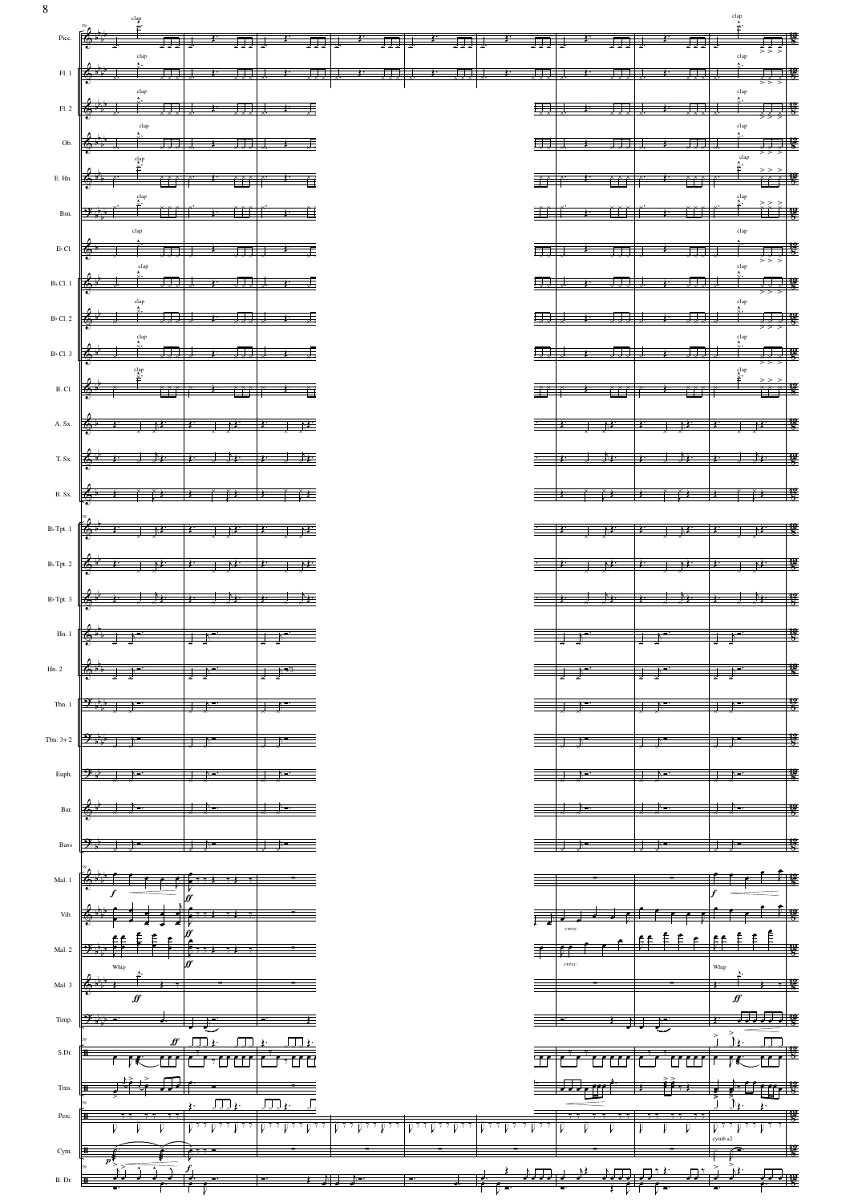|                           | $\overset{clap}{\approx}$                                                                                                                                                                                                                                                                                           |                                                                                                                                                                                                                                                                                                                                                                  |                                |                    |                                                                  |                                  |    |                                                                       |                                                                                                                                                                                                                                                                                                                                                                    | clap    |                                                                        |               |
|---------------------------|---------------------------------------------------------------------------------------------------------------------------------------------------------------------------------------------------------------------------------------------------------------------------------------------------------------------|------------------------------------------------------------------------------------------------------------------------------------------------------------------------------------------------------------------------------------------------------------------------------------------------------------------------------------------------------------------|--------------------------------|--------------------|------------------------------------------------------------------|----------------------------------|----|-----------------------------------------------------------------------|--------------------------------------------------------------------------------------------------------------------------------------------------------------------------------------------------------------------------------------------------------------------------------------------------------------------------------------------------------------------|---------|------------------------------------------------------------------------|---------------|
| Picc.                     | 64                                                                                                                                                                                                                                                                                                                  | <u>रेसे</u> रेल्<br>$\frac{1}{\sqrt{2}}$                                                                                                                                                                                                                                                                                                                         | $\rightarrow$<br>$\frac{1}{2}$ |                    | <u>TI   ; II   ; .</u>                                           |                                  |    | $\frac{1}{2}$ $\frac{1}{2}$ $\frac{1}{2}$ $\frac{1}{2}$ $\frac{1}{2}$ | <sub>지지 .</sub>                                                                                                                                                                                                                                                                                                                                                    |         | $\frac{1}{\sqrt{2}}$ $\frac{1}{\sqrt{2}}$                              |               |
|                           |                                                                                                                                                                                                                                                                                                                     |                                                                                                                                                                                                                                                                                                                                                                  |                                |                    |                                                                  |                                  |    |                                                                       |                                                                                                                                                                                                                                                                                                                                                                    | clap    |                                                                        |               |
| Fl. 1                     | $6$ <sup>pp</sup> J. $1$<br>clap                                                                                                                                                                                                                                                                                    | $\sqrt{2}$ , $\frac{1}{2}$ , $\frac{1}{2}$ , $\frac{1}{2}$ , $\frac{1}{2}$ , $\frac{1}{2}$                                                                                                                                                                                                                                                                       |                                | $\rightarrow$      |                                                                  |                                  |    |                                                                       | * \\\\ * \\\\ * \\\\ * \\\\                                                                                                                                                                                                                                                                                                                                        | clap    | 東播                                                                     |               |
| Fl. 2                     | $6$ <sup>33</sup> .                                                                                                                                                                                                                                                                                                 | <del>ředu vodu vod</del>                                                                                                                                                                                                                                                                                                                                         |                                |                    |                                                                  |                                  |    |                                                                       |                                                                                                                                                                                                                                                                                                                                                                    |         | 具器                                                                     |               |
| Ob.                       |                                                                                                                                                                                                                                                                                                                     | <u> Î Julie Alian de la po</u>                                                                                                                                                                                                                                                                                                                                   |                                |                    |                                                                  |                                  |    |                                                                       | $\pi$ . $\pi$ . $\pi$ .                                                                                                                                                                                                                                                                                                                                            | clap    | $\sqrt{2}$ 8                                                           |               |
|                           |                                                                                                                                                                                                                                                                                                                     |                                                                                                                                                                                                                                                                                                                                                                  |                                |                    |                                                                  |                                  |    |                                                                       |                                                                                                                                                                                                                                                                                                                                                                    |         |                                                                        |               |
| E. Hn.                    | $6 - x$                                                                                                                                                                                                                                                                                                             | $\begin{array}{ccc} \begin{picture}(14,14) \put(0,0){\line(1,0){11}} \put(1,0){\line(1,0){11}} \put(1,0){\line(1,0){11}} \put(1,0){\line(1,0){11}} \put(1,0){\line(1,0){11}} \put(1,0){\line(1,0){11}} \put(1,0){\line(1,0){11}} \put(1,0){\line(1,0){11}} \put(1,0){\line(1,0){11}} \put(1,0){\line(1,0){11}} \put(1,0){\line(1,0){11}} \put(1,0){\line(1,0){1$ |                                |                    |                                                                  |                                  |    | 玉羊子                                                                   | $\frac{1}{\sqrt{2}}$                                                                                                                                                                                                                                                                                                                                               |         | $\frac{2222}{1111}$                                                    |               |
| Bsn.                      | $\boxed{2.33}$ $\boxed{1.33}$                                                                                                                                                                                                                                                                                       |                                                                                                                                                                                                                                                                                                                                                                  |                                |                    |                                                                  |                                  | 王王 | ∹                                                                     | <u>tî ji ve tî ji</u>                                                                                                                                                                                                                                                                                                                                              |         | $\frac{2222}{1122}$                                                    |               |
|                           | clap                                                                                                                                                                                                                                                                                                                |                                                                                                                                                                                                                                                                                                                                                                  |                                |                    |                                                                  |                                  |    |                                                                       |                                                                                                                                                                                                                                                                                                                                                                    | clap    |                                                                        |               |
| $\to$ Cl.                 | $\frac{1}{2}$ $\frac{1}{2}$ $\frac{1}{2}$ $\frac{1}{2}$ $\frac{1}{2}$ $\frac{1}{2}$ $\frac{1}{2}$ $\frac{1}{2}$ $\frac{1}{2}$ $\frac{1}{2}$ $\frac{1}{2}$ $\frac{1}{2}$                                                                                                                                             |                                                                                                                                                                                                                                                                                                                                                                  |                                |                    |                                                                  |                                  |    |                                                                       | $\frac{1}{2}$                                                                                                                                                                                                                                                                                                                                                      | clap    | $\frac{1}{\sqrt{2}}$                                                   |               |
| $B \triangleright CL$ 1   | $6^{\circ}$ .                                                                                                                                                                                                                                                                                                       | $\frac{1}{2}$ $\frac{1}{2}$ $\frac{1}{2}$ $\frac{1}{2}$ $\frac{1}{2}$ $\frac{1}{2}$ $\frac{1}{2}$ $\frac{1}{2}$                                                                                                                                                                                                                                                  |                                |                    |                                                                  |                                  |    |                                                                       |                                                                                                                                                                                                                                                                                                                                                                    |         |                                                                        |               |
| $B \triangleright Cl. 2$  | ∣¢⊧                                                                                                                                                                                                                                                                                                                 | $\sqrt{11}$ $\sqrt{11}$ $\sqrt{11}$ $\sqrt{11}$ $\sqrt{11}$ $\sqrt{11}$ $\sqrt{11}$ $\sqrt{11}$ $\sqrt{11}$ $\sqrt{11}$ $\sqrt{11}$                                                                                                                                                                                                                              |                                |                    |                                                                  |                                  |    |                                                                       | $\begin{picture}(150,10) \put(0,0){\vector(1,0){100}} \put(15,0){\vector(1,0){100}} \put(15,0){\vector(1,0){100}} \put(15,0){\vector(1,0){100}} \put(15,0){\vector(1,0){100}} \put(15,0){\vector(1,0){100}} \put(15,0){\vector(1,0){100}} \put(15,0){\vector(1,0){100}} \put(15,0){\vector(1,0){100}} \put(15,0){\vector(1,0){100}} \put(15,0){\vector(1,0){100}}$ | clap    |                                                                        |               |
|                           |                                                                                                                                                                                                                                                                                                                     |                                                                                                                                                                                                                                                                                                                                                                  |                                |                    |                                                                  |                                  |    |                                                                       |                                                                                                                                                                                                                                                                                                                                                                    | clap    |                                                                        |               |
| $\mbox{B} \flat$ Cl. 3    | $6^{\circ}$<br>clap                                                                                                                                                                                                                                                                                                 | $\frac{1}{2}$ $\frac{1}{2}$ $\frac{1}{2}$ $\frac{1}{2}$ $\frac{1}{2}$ $\frac{1}{2}$ $\frac{1}{2}$ $\frac{1}{2}$ $\frac{1}{2}$ $\frac{1}{2}$                                                                                                                                                                                                                      |                                |                    |                                                                  |                                  |    |                                                                       |                                                                                                                                                                                                                                                                                                                                                                    |         |                                                                        |               |
| B.Cl.                     | $\phi^*$                                                                                                                                                                                                                                                                                                            |                                                                                                                                                                                                                                                                                                                                                                  |                                |                    |                                                                  |                                  |    |                                                                       |                                                                                                                                                                                                                                                                                                                                                                    |         |                                                                        |               |
| A. Sx.                    | $\bigotimes_{i=1}^n x_i$ $\bigotimes_{i=1}^n x_i$ $\bigotimes_{i=1}^n x_i$ $\bigotimes_{i=1}^n x_i$                                                                                                                                                                                                                 |                                                                                                                                                                                                                                                                                                                                                                  |                                |                    |                                                                  |                                  |    |                                                                       | $\frac{1}{\sqrt{2}}$ $\frac{1}{\sqrt{2}}$ $\frac{1}{\sqrt{2}}$ $\frac{1}{\sqrt{2}}$ $\frac{1}{\sqrt{2}}$ $\frac{1}{\sqrt{2}}$ $\frac{1}{\sqrt{2}}$ $\frac{1}{\sqrt{2}}$ $\frac{1}{\sqrt{2}}$ $\frac{1}{\sqrt{2}}$ $\frac{1}{\sqrt{2}}$ $\frac{1}{\sqrt{2}}$                                                                                                        |         |                                                                        |               |
| T. Sx.                    | $\phi^*$                                                                                                                                                                                                                                                                                                            |                                                                                                                                                                                                                                                                                                                                                                  |                                |                    |                                                                  |                                  |    |                                                                       |                                                                                                                                                                                                                                                                                                                                                                    |         |                                                                        |               |
|                           |                                                                                                                                                                                                                                                                                                                     |                                                                                                                                                                                                                                                                                                                                                                  |                                |                    |                                                                  |                                  |    |                                                                       |                                                                                                                                                                                                                                                                                                                                                                    |         |                                                                        |               |
| B. Sx.                    |                                                                                                                                                                                                                                                                                                                     |                                                                                                                                                                                                                                                                                                                                                                  |                                |                    |                                                                  |                                  |    |                                                                       |                                                                                                                                                                                                                                                                                                                                                                    |         |                                                                        |               |
| $B \triangleright Tpt.$ 1 | $\begin{bmatrix} \phi_5 & t & 1 & t \\ t & t & 2 & t \end{bmatrix}$ , $\begin{bmatrix} t & 1 & t \\ t & t & 1 & t \\ t & t & 2 & t \end{bmatrix}$                                                                                                                                                                   |                                                                                                                                                                                                                                                                                                                                                                  |                                |                    |                                                                  |                                  |    |                                                                       | $\therefore$ $\downarrow$ $\downarrow$ $\downarrow$ $\downarrow$ $\downarrow$ $\downarrow$ $\downarrow$ $\downarrow$ $\downarrow$ $\downarrow$ $\downarrow$ $\downarrow$ $\downarrow$ $\downarrow$                                                                                                                                                                 |         |                                                                        |               |
|                           |                                                                                                                                                                                                                                                                                                                     |                                                                                                                                                                                                                                                                                                                                                                  |                                |                    |                                                                  |                                  |    |                                                                       | $\frac{1}{2}$ $\frac{1}{2}$ $\frac{1}{2}$ $\frac{1}{2}$ $\frac{1}{2}$ $\frac{1}{2}$ $\frac{1}{2}$ $\frac{1}{2}$ $\frac{1}{2}$ $\frac{1}{2}$ $\frac{1}{2}$ $\frac{1}{2}$ $\frac{1}{2}$ $\frac{1}{2}$ $\frac{1}{2}$ $\frac{1}{2}$ $\frac{1}{2}$ $\frac{1}{2}$ $\frac{1}{2}$ $\frac{1}{2}$ $\frac{1}{2}$ $\frac{1}{2}$                                                |         |                                                                        |               |
| B <sub>b</sub> Tpt. 3     |                                                                                                                                                                                                                                                                                                                     |                                                                                                                                                                                                                                                                                                                                                                  |                                |                    |                                                                  |                                  |    |                                                                       |                                                                                                                                                                                                                                                                                                                                                                    |         |                                                                        |               |
|                           |                                                                                                                                                                                                                                                                                                                     |                                                                                                                                                                                                                                                                                                                                                                  |                                |                    |                                                                  |                                  |    |                                                                       |                                                                                                                                                                                                                                                                                                                                                                    |         |                                                                        |               |
| Hn. 1                     | $\frac{1}{2}$ $\frac{1}{2}$ $\frac{1}{2}$ $\frac{1}{2}$ $\frac{1}{2}$ $\frac{1}{2}$ $\frac{1}{2}$ $\frac{1}{2}$ $\frac{1}{2}$ $\frac{1}{2}$ $\frac{1}{2}$ $\frac{1}{2}$ $\frac{1}{2}$ $\frac{1}{2}$ $\frac{1}{2}$ $\frac{1}{2}$ $\frac{1}{2}$ $\frac{1}{2}$ $\frac{1}{2}$ $\frac{1}{2}$ $\frac{1}{2}$ $\frac{1}{2}$ |                                                                                                                                                                                                                                                                                                                                                                  |                                |                    |                                                                  |                                  |    |                                                                       | $\frac{1}{x}$ $\frac{1}{x}$ $\frac{1}{x}$ $\frac{1}{x}$ $\frac{1}{x}$ $\frac{1}{x}$ $\frac{1}{x}$ $\frac{1}{x}$                                                                                                                                                                                                                                                    |         |                                                                        |               |
| Hn. 2                     | 嗪                                                                                                                                                                                                                                                                                                                   |                                                                                                                                                                                                                                                                                                                                                                  | $+13$                          |                    |                                                                  |                                  |    |                                                                       |                                                                                                                                                                                                                                                                                                                                                                    |         |                                                                        |               |
| Tbn. 1                    | ファ                                                                                                                                                                                                                                                                                                                  |                                                                                                                                                                                                                                                                                                                                                                  |                                |                    |                                                                  |                                  |    |                                                                       |                                                                                                                                                                                                                                                                                                                                                                    |         |                                                                        |               |
| Tbn. 3+2 $\frac{1}{2}$    |                                                                                                                                                                                                                                                                                                                     |                                                                                                                                                                                                                                                                                                                                                                  |                                |                    |                                                                  |                                  |    |                                                                       |                                                                                                                                                                                                                                                                                                                                                                    |         |                                                                        | $\frac{1}{8}$ |
|                           |                                                                                                                                                                                                                                                                                                                     |                                                                                                                                                                                                                                                                                                                                                                  |                                |                    |                                                                  |                                  |    |                                                                       |                                                                                                                                                                                                                                                                                                                                                                    |         |                                                                        |               |
| Euph.                     | ウァー                                                                                                                                                                                                                                                                                                                 | ∼∸                                                                                                                                                                                                                                                                                                                                                               | ⊹∸                             |                    |                                                                  |                                  |    |                                                                       |                                                                                                                                                                                                                                                                                                                                                                    | ∼∸      |                                                                        |               |
| Bar.                      | ⊚∗                                                                                                                                                                                                                                                                                                                  |                                                                                                                                                                                                                                                                                                                                                                  |                                |                    |                                                                  |                                  |    |                                                                       |                                                                                                                                                                                                                                                                                                                                                                    |         |                                                                        | $\frac{1}{8}$ |
| <b>Bass</b>               | ∼∸                                                                                                                                                                                                                                                                                                                  | ्∖≕                                                                                                                                                                                                                                                                                                                                                              |                                |                    |                                                                  |                                  |    | –∖≖∸                                                                  | ∼∱                                                                                                                                                                                                                                                                                                                                                                 | ∼∸      |                                                                        |               |
| Mal. 1                    | $\frac{1}{6}$                                                                                                                                                                                                                                                                                                       | 5.773777777                                                                                                                                                                                                                                                                                                                                                      |                                |                    |                                                                  |                                  |    |                                                                       |                                                                                                                                                                                                                                                                                                                                                                    |         | $\sim$ $\sim$ $\frac{1}{8}$                                            |               |
|                           |                                                                                                                                                                                                                                                                                                                     |                                                                                                                                                                                                                                                                                                                                                                  |                                |                    |                                                                  |                                  |    |                                                                       |                                                                                                                                                                                                                                                                                                                                                                    |         |                                                                        |               |
| Vib.                      |                                                                                                                                                                                                                                                                                                                     | 772777                                                                                                                                                                                                                                                                                                                                                           |                                |                    |                                                                  |                                  |    |                                                                       |                                                                                                                                                                                                                                                                                                                                                                    | ₤       | $\frac{1}{8}$<br>重<br>$\mathbf{f}$                                     |               |
| Mal. 2                    | ソピッ                                                                                                                                                                                                                                                                                                                 |                                                                                                                                                                                                                                                                                                                                                                  |                                |                    |                                                                  |                                  |    |                                                                       |                                                                                                                                                                                                                                                                                                                                                                    |         |                                                                        |               |
| Mal. 3                    | Whip                                                                                                                                                                                                                                                                                                                |                                                                                                                                                                                                                                                                                                                                                                  |                                |                    |                                                                  |                                  |    |                                                                       |                                                                                                                                                                                                                                                                                                                                                                    | Whip    | $\cdots$                                                               |               |
| Timp.                     | ff                                                                                                                                                                                                                                                                                                                  | ┵╶╿╻╠╧                                                                                                                                                                                                                                                                                                                                                           | ≃<br>$\overline{\phantom{a}}$  |                    |                                                                  |                                  |    |                                                                       | ķ                                                                                                                                                                                                                                                                                                                                                                  | ∯       | $\left  \cdot \cdot \cdot \cdot \cdot \cdot \cdot \cdot \cdot \right $ |               |
|                           |                                                                                                                                                                                                                                                                                                                     |                                                                                                                                                                                                                                                                                                                                                                  |                                |                    |                                                                  |                                  |    |                                                                       |                                                                                                                                                                                                                                                                                                                                                                    |         |                                                                        |               |
| S.Dr.                     | =<br>$\overline{\mathbf{f}^{\prime}}$                                                                                                                                                                                                                                                                               |                                                                                                                                                                                                                                                                                                                                                                  |                                |                    |                                                                  |                                  |    |                                                                       |                                                                                                                                                                                                                                                                                                                                                                    |         |                                                                        |               |
| Tms.                      | $\overline{\phantom{a}}$<br>Ł                                                                                                                                                                                                                                                                                       |                                                                                                                                                                                                                                                                                                                                                                  |                                |                    |                                                                  |                                  |    |                                                                       | <u>' ' ' '</u>                                                                                                                                                                                                                                                                                                                                                     |         | $\mathbb{CP}^*$                                                        |               |
| Perc.                     |                                                                                                                                                                                                                                                                                                                     | <u>ا پر او ا</u>                                                                                                                                                                                                                                                                                                                                                 | <u>ገገኘን </u>                   | $\sqrt{177077077}$ | $\overline{0}$ <sup>77</sup> $\overline{0}$ 77 $\overline{0}$ 77 | $\frac{1}{2}$ <del>ייקייקו</del> |    |                                                                       |                                                                                                                                                                                                                                                                                                                                                                    |         |                                                                        |               |
| Cym.                      | Œ                                                                                                                                                                                                                                                                                                                   | $\rightarrow$ 7.7 $-$                                                                                                                                                                                                                                                                                                                                            |                                |                    |                                                                  |                                  |    |                                                                       |                                                                                                                                                                                                                                                                                                                                                                    | cymb a2 |                                                                        |               |
| B. Dr.                    | 田                                                                                                                                                                                                                                                                                                                   |                                                                                                                                                                                                                                                                                                                                                                  |                                |                    |                                                                  |                                  |    |                                                                       |                                                                                                                                                                                                                                                                                                                                                                    |         |                                                                        |               |
|                           |                                                                                                                                                                                                                                                                                                                     |                                                                                                                                                                                                                                                                                                                                                                  |                                |                    |                                                                  |                                  |    |                                                                       |                                                                                                                                                                                                                                                                                                                                                                    |         |                                                                        |               |

8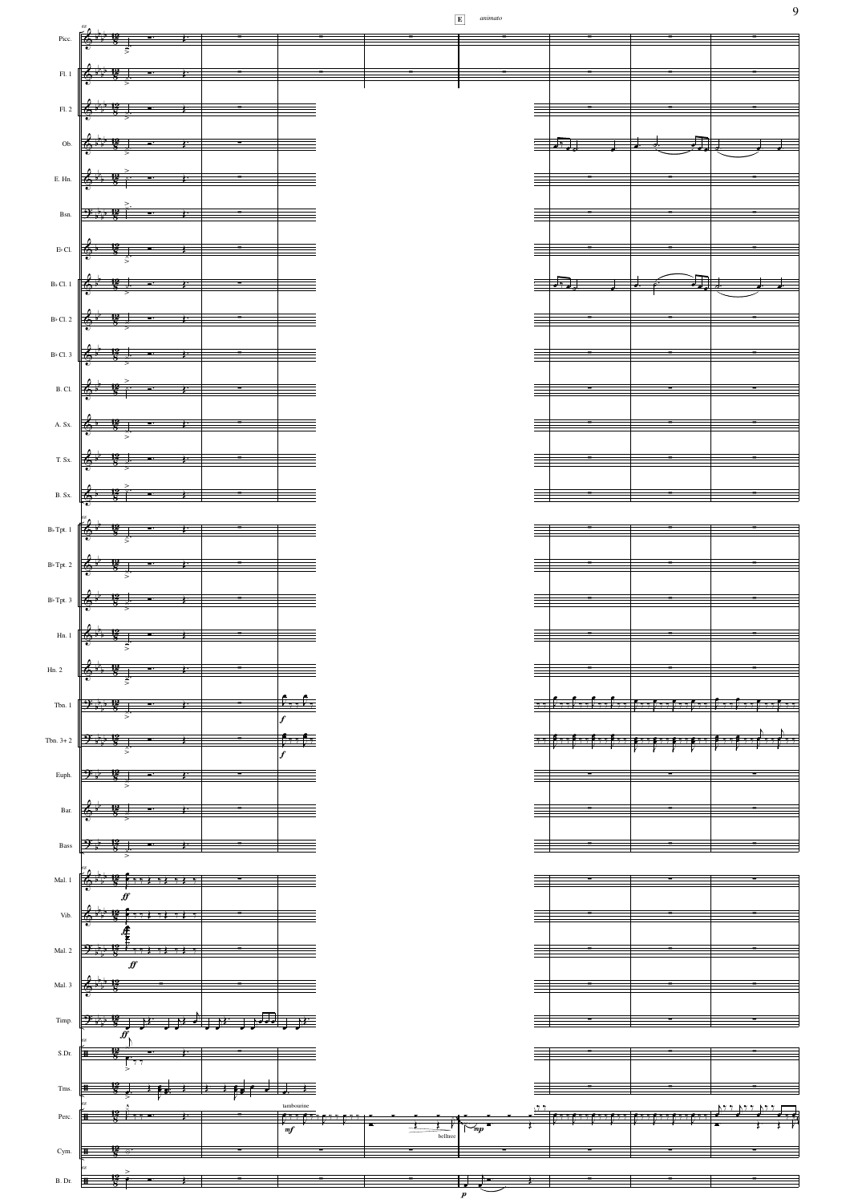|            | Pice. $\begin{array}{ c c c c c c c c } \hline \text{c} & \text{c} & \text{c} & \text{c} & \text{c} & \text{c} & \text{c} & \text{c} & \text{c} & \text{c} & \text{c} & \text{c} & \text{c} & \text{c} & \text{c} & \text{c} & \text{c} & \text{c} & \text{c} & \text{c} & \text{c} & \text{c} & \text{c} & \text{c} & \text{c} & \text{c} & \text{c} & \text{c} & \text{c} & \text{c} & \text{c} & \text$ |        |                         |         |                   |                                                                                                                                                                                                                                                                                                                                                        |                                                                                                                       |                                                                                                |
|------------|------------------------------------------------------------------------------------------------------------------------------------------------------------------------------------------------------------------------------------------------------------------------------------------------------------------------------------------------------------------------------------------------------------|--------|-------------------------|---------|-------------------|--------------------------------------------------------------------------------------------------------------------------------------------------------------------------------------------------------------------------------------------------------------------------------------------------------------------------------------------------------|-----------------------------------------------------------------------------------------------------------------------|------------------------------------------------------------------------------------------------|
|            |                                                                                                                                                                                                                                                                                                                                                                                                            |        |                         |         |                   |                                                                                                                                                                                                                                                                                                                                                        |                                                                                                                       |                                                                                                |
|            | FLI $\left[\frac{2}{3},\frac{1}{3},\frac{1}{3},\frac{1}{3}\right]$ $\left[\frac{1}{3},\frac{1}{3},\frac{1}{3},\frac{1}{3}\right]$                                                                                                                                                                                                                                                                          |        |                         |         |                   |                                                                                                                                                                                                                                                                                                                                                        |                                                                                                                       |                                                                                                |
|            |                                                                                                                                                                                                                                                                                                                                                                                                            |        |                         |         |                   |                                                                                                                                                                                                                                                                                                                                                        |                                                                                                                       |                                                                                                |
|            | FI. 2 $\frac{2+1}{5}$ $\frac{12}{5}$ $\frac{1}{5}$ $\frac{1}{5}$ $\frac{1}{5}$ $\frac{1}{5}$ $\frac{1}{5}$ $\frac{1}{5}$ $\frac{1}{5}$ $\frac{1}{5}$ $\frac{1}{5}$ $\frac{1}{5}$ $\frac{1}{5}$ $\frac{1}{5}$ $\frac{1}{5}$ $\frac{1}{5}$ $\frac{1}{5}$ $\frac{1}{5}$ $\frac{1}{5}$ $\frac{1}{5}$ $\frac{1}{5}$ $\$                                                                                         |        |                         |         |                   |                                                                                                                                                                                                                                                                                                                                                        |                                                                                                                       |                                                                                                |
|            |                                                                                                                                                                                                                                                                                                                                                                                                            |        |                         |         |                   |                                                                                                                                                                                                                                                                                                                                                        |                                                                                                                       |                                                                                                |
|            | 0b. $\frac{2+18}{5} \frac{12}{5}$ $\frac{1}{5}$ $\frac{1}{5}$ $\frac{1}{5}$ $\frac{1}{5}$ $\frac{1}{5}$ $\frac{1}{5}$ $\frac{1}{5}$ $\frac{1}{5}$ $\frac{1}{5}$ $\frac{1}{5}$ $\frac{1}{5}$ $\frac{1}{5}$ $\frac{1}{5}$ $\frac{1}{5}$ $\frac{1}{5}$ $\frac{1}{5}$ $\frac{1}{5}$ $\frac{1}{5}$ $\frac{1}{5}$ $\frac{1}{$                                                                                    |        |                         |         |                   |                                                                                                                                                                                                                                                                                                                                                        |                                                                                                                       | $\Box$ $\Box$ $\Box$                                                                           |
|            |                                                                                                                                                                                                                                                                                                                                                                                                            |        |                         |         |                   |                                                                                                                                                                                                                                                                                                                                                        |                                                                                                                       |                                                                                                |
|            |                                                                                                                                                                                                                                                                                                                                                                                                            |        |                         |         |                   | and the state of the state of the state of the state of the state of the state of the state of the state of the                                                                                                                                                                                                                                        |                                                                                                                       |                                                                                                |
|            |                                                                                                                                                                                                                                                                                                                                                                                                            |        |                         |         |                   |                                                                                                                                                                                                                                                                                                                                                        |                                                                                                                       |                                                                                                |
|            | $B_{SD}$ $\frac{1}{2}$ $\frac{1}{2}$ $\frac{1}{2}$ $\frac{1}{2}$ $\frac{1}{2}$ $\frac{1}{2}$ $\frac{1}{2}$ $\frac{1}{2}$ $\frac{1}{2}$ $\frac{1}{2}$ $\frac{1}{2}$ $\frac{1}{2}$ $\frac{1}{2}$ $\frac{1}{2}$ $\frac{1}{2}$ $\frac{1}{2}$ $\frac{1}{2}$ $\frac{1}{2}$ $\frac{1}{2}$ $\frac{1}{2}$ $\frac{1}{2}$ $\frac{$                                                                                    |        |                         |         |                   |                                                                                                                                                                                                                                                                                                                                                        |                                                                                                                       |                                                                                                |
|            |                                                                                                                                                                                                                                                                                                                                                                                                            |        |                         |         |                   |                                                                                                                                                                                                                                                                                                                                                        |                                                                                                                       |                                                                                                |
|            | $E_{\rm B}$ C. $\frac{1}{2}$ $\frac{1}{2}$ $\frac{1}{2}$ $\frac{1}{2}$ $\frac{1}{2}$ $\frac{1}{2}$ $\frac{1}{2}$ $\frac{1}{2}$ $\frac{1}{2}$ $\frac{1}{2}$ $\frac{1}{2}$ $\frac{1}{2}$ $\frac{1}{2}$ $\frac{1}{2}$ $\frac{1}{2}$ $\frac{1}{2}$ $\frac{1}{2}$ $\frac{1}{2}$ $\frac{1}{2}$ $\frac{1}{2}$ $\frac{1}{2}$                                                                                       |        |                         |         |                   |                                                                                                                                                                                                                                                                                                                                                        |                                                                                                                       |                                                                                                |
|            |                                                                                                                                                                                                                                                                                                                                                                                                            |        |                         |         |                   |                                                                                                                                                                                                                                                                                                                                                        |                                                                                                                       |                                                                                                |
|            |                                                                                                                                                                                                                                                                                                                                                                                                            |        |                         |         |                   |                                                                                                                                                                                                                                                                                                                                                        |                                                                                                                       | $\Box$ $\Box$ $\Box$                                                                           |
|            |                                                                                                                                                                                                                                                                                                                                                                                                            |        |                         |         |                   |                                                                                                                                                                                                                                                                                                                                                        |                                                                                                                       |                                                                                                |
|            | B, Cl. 2 $\frac{2}{9}$ $\frac{1}{8}$ $\frac{1}{2}$ $\frac{1}{8}$ $\frac{1}{2}$ $\frac{1}{2}$ $\frac{1}{2}$ $\frac{1}{2}$ $\frac{1}{2}$ $\frac{1}{2}$ $\frac{1}{2}$ $\frac{1}{2}$ $\frac{1}{2}$ $\frac{1}{2}$ $\frac{1}{2}$ $\frac{1}{2}$ $\frac{1}{2}$ $\frac{1}{2}$ $\frac{1}{2}$ $\frac{1}{2}$ $\frac{1}{2}$ $\$                                                                                         |        |                         |         |                   |                                                                                                                                                                                                                                                                                                                                                        |                                                                                                                       |                                                                                                |
|            |                                                                                                                                                                                                                                                                                                                                                                                                            |        |                         |         |                   |                                                                                                                                                                                                                                                                                                                                                        |                                                                                                                       |                                                                                                |
|            |                                                                                                                                                                                                                                                                                                                                                                                                            |        |                         |         |                   |                                                                                                                                                                                                                                                                                                                                                        |                                                                                                                       |                                                                                                |
|            |                                                                                                                                                                                                                                                                                                                                                                                                            |        |                         |         |                   |                                                                                                                                                                                                                                                                                                                                                        |                                                                                                                       |                                                                                                |
|            | B.C. $\frac{2 + 12}{9}$ $\frac{2}{9}$ $\frac{1}{9}$ $\frac{1}{9}$ $\frac{1}{9}$ $\frac{1}{9}$ $\frac{1}{9}$ $\frac{1}{9}$ $\frac{1}{9}$ $\frac{1}{9}$ $\frac{1}{9}$ $\frac{1}{9}$ $\frac{1}{9}$ $\frac{1}{9}$ $\frac{1}{9}$ $\frac{1}{9}$ $\frac{1}{9}$ $\frac{1}{9}$ $\frac{1}{9}$ $\frac{1}{9}$ $\frac{1}{9}$ $\$                                                                                        |        |                         |         |                   | $\frac{1}{\sqrt{2}}$ , $\frac{1}{\sqrt{2}}$ , $\frac{1}{\sqrt{2}}$ , $\frac{1}{\sqrt{2}}$ , $\frac{1}{\sqrt{2}}$ , $\frac{1}{\sqrt{2}}$ , $\frac{1}{\sqrt{2}}$ , $\frac{1}{\sqrt{2}}$                                                                                                                                                                  |                                                                                                                       |                                                                                                |
|            |                                                                                                                                                                                                                                                                                                                                                                                                            |        |                         |         |                   |                                                                                                                                                                                                                                                                                                                                                        |                                                                                                                       |                                                                                                |
|            |                                                                                                                                                                                                                                                                                                                                                                                                            |        |                         |         |                   |                                                                                                                                                                                                                                                                                                                                                        |                                                                                                                       |                                                                                                |
|            |                                                                                                                                                                                                                                                                                                                                                                                                            |        |                         |         |                   |                                                                                                                                                                                                                                                                                                                                                        |                                                                                                                       |                                                                                                |
|            | $T.Sx$ $\frac{2+1}{2}$ $\frac{12}{2}$ $\frac{1}{2}$ $\frac{1}{2}$ $\frac{1}{2}$ $\frac{1}{2}$ $\frac{1}{2}$ $\frac{1}{2}$ $\frac{1}{2}$ $\frac{1}{2}$ $\frac{1}{2}$ $\frac{1}{2}$ $\frac{1}{2}$ $\frac{1}{2}$ $\frac{1}{2}$ $\frac{1}{2}$ $\frac{1}{2}$ $\frac{1}{2}$ $\frac{1}{2}$ $\frac{1}{2}$ $\frac{1}{2}$ $\$                                                                                        |        |                         |         |                   |                                                                                                                                                                                                                                                                                                                                                        |                                                                                                                       |                                                                                                |
|            |                                                                                                                                                                                                                                                                                                                                                                                                            |        |                         |         |                   |                                                                                                                                                                                                                                                                                                                                                        |                                                                                                                       |                                                                                                |
|            |                                                                                                                                                                                                                                                                                                                                                                                                            |        |                         |         |                   |                                                                                                                                                                                                                                                                                                                                                        |                                                                                                                       |                                                                                                |
|            |                                                                                                                                                                                                                                                                                                                                                                                                            |        |                         |         |                   |                                                                                                                                                                                                                                                                                                                                                        |                                                                                                                       |                                                                                                |
|            |                                                                                                                                                                                                                                                                                                                                                                                                            |        |                         |         |                   | $\frac{1}{\sqrt{2}}$ , $\frac{1}{\sqrt{2}}$ , $\frac{1}{\sqrt{2}}$ , $\frac{1}{\sqrt{2}}$ , $\frac{1}{\sqrt{2}}$ , $\frac{1}{\sqrt{2}}$ , $\frac{1}{\sqrt{2}}$ , $\frac{1}{\sqrt{2}}$ , $\frac{1}{\sqrt{2}}$ , $\frac{1}{\sqrt{2}}$ , $\frac{1}{\sqrt{2}}$ , $\frac{1}{\sqrt{2}}$ , $\frac{1}{\sqrt{2}}$ , $\frac{1}{\sqrt{2}}$ , $\frac{1}{\sqrt{2}}$ |                                                                                                                       |                                                                                                |
|            |                                                                                                                                                                                                                                                                                                                                                                                                            |        |                         |         |                   |                                                                                                                                                                                                                                                                                                                                                        |                                                                                                                       |                                                                                                |
|            | $B^3$ Tpt. 2 $\frac{2}{3}$ $\frac{12}{3}$ $\frac{12}{3}$ $\frac{12}{3}$ $\frac{12}{3}$ $\frac{12}{3}$ $\frac{12}{3}$ $\frac{12}{3}$ $\frac{12}{3}$ $\frac{12}{3}$ $\frac{12}{3}$ $\frac{12}{3}$ $\frac{12}{3}$ $\frac{12}{3}$ $\frac{12}{3}$ $\frac{12}{3}$ $\frac{12}{3}$ $\frac{12}{3}$ $\frac{12}{3}$                                                                                                   |        |                         |         |                   |                                                                                                                                                                                                                                                                                                                                                        | <u> a shekara ta 1999 a shekara ta 1991 a shekara ta 1991 a shekara ta 1991 a shekara ta 1991 a shekara ta 1991 a</u> |                                                                                                |
|            |                                                                                                                                                                                                                                                                                                                                                                                                            |        |                         |         |                   |                                                                                                                                                                                                                                                                                                                                                        |                                                                                                                       |                                                                                                |
|            | B $TPL 3$ $\frac{2}{10}$ $\frac{1}{10}$ $\frac{10}{10}$ $\frac{10}{10}$ $\frac{10}{10}$ $\frac{10}{10}$                                                                                                                                                                                                                                                                                                    |        |                         |         |                   |                                                                                                                                                                                                                                                                                                                                                        |                                                                                                                       |                                                                                                |
|            |                                                                                                                                                                                                                                                                                                                                                                                                            |        |                         |         |                   |                                                                                                                                                                                                                                                                                                                                                        |                                                                                                                       |                                                                                                |
|            |                                                                                                                                                                                                                                                                                                                                                                                                            |        |                         |         |                   |                                                                                                                                                                                                                                                                                                                                                        |                                                                                                                       |                                                                                                |
|            | $Hn.1$ $\left[\frac{2}{9}, \frac{1}{9}, \frac{10}{8}\right]$ $\left[\frac{1}{9}, \frac{1}{9}, \frac{1}{9}\right]$                                                                                                                                                                                                                                                                                          |        |                         |         |                   |                                                                                                                                                                                                                                                                                                                                                        |                                                                                                                       |                                                                                                |
|            |                                                                                                                                                                                                                                                                                                                                                                                                            |        |                         |         |                   |                                                                                                                                                                                                                                                                                                                                                        |                                                                                                                       |                                                                                                |
|            | Hn. 2 $\frac{2}{9}$ $\frac{1}{3}$ $\frac{1}{3}$ $\frac{1}{3}$ $\frac{1}{3}$ $\frac{1}{3}$ $\frac{1}{3}$ $\frac{1}{3}$ $\frac{1}{3}$ $\frac{1}{3}$ $\frac{1}{3}$ $\frac{1}{3}$ $\frac{1}{3}$ $\frac{1}{3}$ $\frac{1}{3}$ $\frac{1}{3}$ $\frac{1}{3}$ $\frac{1}{3}$ $\frac{1}{3}$ $\frac{1}{3}$ $\frac{1}{3}$ $\frac{1$                                                                                      |        |                         |         |                   |                                                                                                                                                                                                                                                                                                                                                        |                                                                                                                       |                                                                                                |
| Tbn. 1     | ∗                                                                                                                                                                                                                                                                                                                                                                                                          |        | $V\gamma\gamma V\gamma$ |         | $-7.7$            |                                                                                                                                                                                                                                                                                                                                                        |                                                                                                                       | <u>) , , ) , , ) , , ) , ,   f , , f , , f , , f , , f , ,   f , , f , , f , , f , , f , ,</u> |
|            |                                                                                                                                                                                                                                                                                                                                                                                                            |        |                         |         |                   |                                                                                                                                                                                                                                                                                                                                                        |                                                                                                                       |                                                                                                |
|            | r                                                                                                                                                                                                                                                                                                                                                                                                          |        | 5 7 7 5 7               |         |                   |                                                                                                                                                                                                                                                                                                                                                        |                                                                                                                       |                                                                                                |
| Tbn. $3+2$ |                                                                                                                                                                                                                                                                                                                                                                                                            |        |                         |         |                   |                                                                                                                                                                                                                                                                                                                                                        |                                                                                                                       |                                                                                                |
|            |                                                                                                                                                                                                                                                                                                                                                                                                            |        |                         |         |                   |                                                                                                                                                                                                                                                                                                                                                        |                                                                                                                       |                                                                                                |
| Euph.      |                                                                                                                                                                                                                                                                                                                                                                                                            |        |                         |         |                   |                                                                                                                                                                                                                                                                                                                                                        |                                                                                                                       |                                                                                                |
|            | ₽                                                                                                                                                                                                                                                                                                                                                                                                          |        |                         |         |                   |                                                                                                                                                                                                                                                                                                                                                        |                                                                                                                       |                                                                                                |
| Bar.       |                                                                                                                                                                                                                                                                                                                                                                                                            |        |                         |         |                   |                                                                                                                                                                                                                                                                                                                                                        |                                                                                                                       |                                                                                                |
|            |                                                                                                                                                                                                                                                                                                                                                                                                            |        |                         |         |                   |                                                                                                                                                                                                                                                                                                                                                        |                                                                                                                       |                                                                                                |
| Bass       |                                                                                                                                                                                                                                                                                                                                                                                                            |        |                         |         |                   |                                                                                                                                                                                                                                                                                                                                                        |                                                                                                                       |                                                                                                |
| Mal. 1     | ,,,,,,,,,,                                                                                                                                                                                                                                                                                                                                                                                                 |        |                         |         |                   |                                                                                                                                                                                                                                                                                                                                                        |                                                                                                                       |                                                                                                |
|            | ∬                                                                                                                                                                                                                                                                                                                                                                                                          |        |                         |         |                   |                                                                                                                                                                                                                                                                                                                                                        |                                                                                                                       |                                                                                                |
| Vib.       | <del>.</del>                                                                                                                                                                                                                                                                                                                                                                                               |        |                         |         |                   |                                                                                                                                                                                                                                                                                                                                                        |                                                                                                                       |                                                                                                |
|            |                                                                                                                                                                                                                                                                                                                                                                                                            |        |                         |         |                   |                                                                                                                                                                                                                                                                                                                                                        |                                                                                                                       |                                                                                                |
| Mal. 2     | <u>1993 93 93 9</u>                                                                                                                                                                                                                                                                                                                                                                                        |        |                         |         |                   |                                                                                                                                                                                                                                                                                                                                                        |                                                                                                                       |                                                                                                |
|            | ∯                                                                                                                                                                                                                                                                                                                                                                                                          |        |                         |         |                   |                                                                                                                                                                                                                                                                                                                                                        |                                                                                                                       |                                                                                                |
|            |                                                                                                                                                                                                                                                                                                                                                                                                            |        |                         |         |                   |                                                                                                                                                                                                                                                                                                                                                        |                                                                                                                       |                                                                                                |
| Mal. 3     |                                                                                                                                                                                                                                                                                                                                                                                                            |        |                         |         |                   |                                                                                                                                                                                                                                                                                                                                                        |                                                                                                                       |                                                                                                |
| Timp.      |                                                                                                                                                                                                                                                                                                                                                                                                            | ⊥™     |                         |         |                   |                                                                                                                                                                                                                                                                                                                                                        |                                                                                                                       |                                                                                                |
|            | N - 1<br>fi                                                                                                                                                                                                                                                                                                                                                                                                | $\sim$ | ₩≔                      |         |                   |                                                                                                                                                                                                                                                                                                                                                        |                                                                                                                       |                                                                                                |
| S.Dr.      |                                                                                                                                                                                                                                                                                                                                                                                                            |        |                         |         |                   |                                                                                                                                                                                                                                                                                                                                                        |                                                                                                                       |                                                                                                |
|            |                                                                                                                                                                                                                                                                                                                                                                                                            |        |                         |         |                   |                                                                                                                                                                                                                                                                                                                                                        |                                                                                                                       |                                                                                                |
| Tms.       | ₩                                                                                                                                                                                                                                                                                                                                                                                                          | ▰      |                         |         |                   |                                                                                                                                                                                                                                                                                                                                                        |                                                                                                                       |                                                                                                |
|            |                                                                                                                                                                                                                                                                                                                                                                                                            |        | tambourine              |         |                   |                                                                                                                                                                                                                                                                                                                                                        |                                                                                                                       |                                                                                                |
| Perc.      | $\cdot$ $\cdot$ $-$                                                                                                                                                                                                                                                                                                                                                                                        |        | .                       |         |                   |                                                                                                                                                                                                                                                                                                                                                        | <b> </b>                                                                                                              | $-7.5$                                                                                         |
|            |                                                                                                                                                                                                                                                                                                                                                                                                            |        | mf                      | belltre | $m\boldsymbol{v}$ |                                                                                                                                                                                                                                                                                                                                                        |                                                                                                                       |                                                                                                |
| Cym.       |                                                                                                                                                                                                                                                                                                                                                                                                            |        |                         |         |                   |                                                                                                                                                                                                                                                                                                                                                        |                                                                                                                       |                                                                                                |
|            |                                                                                                                                                                                                                                                                                                                                                                                                            |        |                         |         |                   |                                                                                                                                                                                                                                                                                                                                                        |                                                                                                                       |                                                                                                |
| B. Dr.     | 18, p⊷<br>⊞                                                                                                                                                                                                                                                                                                                                                                                                |        |                         |         |                   |                                                                                                                                                                                                                                                                                                                                                        |                                                                                                                       |                                                                                                |

p

Picc. *68*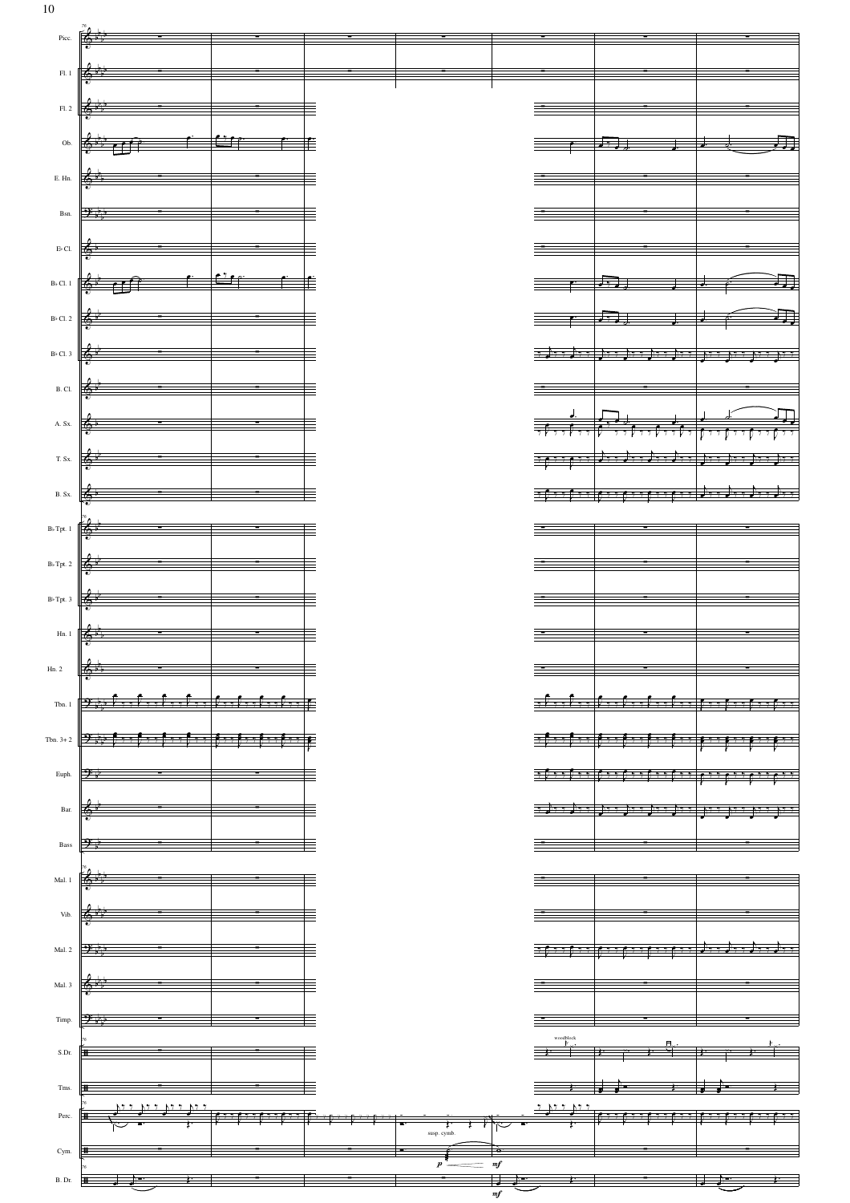| ٧ |         |
|---|---------|
|   |         |
|   | I<br>۰, |

|             | Pice. $\left[\begin{array}{ccc} \frac{1}{2} & \frac{1}{2} \\ \frac{1}{2} & \frac{1}{2} \end{array}\right]$                                                                                                                                                                                                             |  |                  |     |                                                                                       |                                                                                                                                                                                                                                                                                                                       |                                                                                                                                                                                                                                                                                                                                                                                                                      |
|-------------|------------------------------------------------------------------------------------------------------------------------------------------------------------------------------------------------------------------------------------------------------------------------------------------------------------------------|--|------------------|-----|---------------------------------------------------------------------------------------|-----------------------------------------------------------------------------------------------------------------------------------------------------------------------------------------------------------------------------------------------------------------------------------------------------------------------|----------------------------------------------------------------------------------------------------------------------------------------------------------------------------------------------------------------------------------------------------------------------------------------------------------------------------------------------------------------------------------------------------------------------|
|             | FLI <b>&amp; 50 million</b>                                                                                                                                                                                                                                                                                            |  |                  |     |                                                                                       |                                                                                                                                                                                                                                                                                                                       |                                                                                                                                                                                                                                                                                                                                                                                                                      |
|             |                                                                                                                                                                                                                                                                                                                        |  |                  |     |                                                                                       |                                                                                                                                                                                                                                                                                                                       |                                                                                                                                                                                                                                                                                                                                                                                                                      |
|             | FL2 <del>4 55</del>                                                                                                                                                                                                                                                                                                    |  |                  |     |                                                                                       | <u> Terminal de la componentación de la componentación de la componentación de la componentación de la componentación de la componentación de la componentación de la componentación de la componentación de la componentación d</u>                                                                                  |                                                                                                                                                                                                                                                                                                                                                                                                                      |
|             | $\frac{25}{9}$ $\frac{1}{10}$ $\frac{1}{10}$ $\frac{1}{10}$ $\frac{1}{10}$ $\frac{1}{10}$ $\frac{1}{10}$ $\frac{1}{10}$ $\frac{1}{10}$ $\frac{1}{10}$ $\frac{1}{10}$ $\frac{1}{10}$ $\frac{1}{10}$ $\frac{1}{10}$ $\frac{1}{10}$ $\frac{1}{10}$ $\frac{1}{10}$ $\frac{1}{10}$ $\frac{1}{10}$ $\frac{1}{10}$            |  |                  |     |                                                                                       |                                                                                                                                                                                                                                                                                                                       |                                                                                                                                                                                                                                                                                                                                                                                                                      |
|             | E. Hn. $\frac{1}{2}$ $\frac{1}{2}$ $\frac{1}{2}$ $\frac{1}{2}$ $\frac{1}{2}$ $\frac{1}{2}$ $\frac{1}{2}$ $\frac{1}{2}$ $\frac{1}{2}$ $\frac{1}{2}$ $\frac{1}{2}$ $\frac{1}{2}$ $\frac{1}{2}$ $\frac{1}{2}$ $\frac{1}{2}$ $\frac{1}{2}$ $\frac{1}{2}$ $\frac{1}{2}$ $\frac{1}{2}$ $\frac{1}{2}$ $\frac{1}{2}$ $\frac{$  |  |                  |     |                                                                                       | $\overline{\phantom{a}}$ , and the set of $\overline{\phantom{a}}$ , and $\overline{\phantom{a}}$                                                                                                                                                                                                                     |                                                                                                                                                                                                                                                                                                                                                                                                                      |
|             | Bsn. $\frac{1}{2}$ $\frac{1}{2}$ $\frac{1}{2}$ $\frac{1}{2}$ $\frac{1}{2}$ $\frac{1}{2}$ $\frac{1}{2}$ $\frac{1}{2}$ $\frac{1}{2}$ $\frac{1}{2}$ $\frac{1}{2}$ $\frac{1}{2}$ $\frac{1}{2}$ $\frac{1}{2}$ $\frac{1}{2}$ $\frac{1}{2}$ $\frac{1}{2}$ $\frac{1}{2}$ $\frac{1}{2}$ $\frac{1}{2}$ $\frac{1}{2}$ $\frac{1}{$ |  |                  |     |                                                                                       |                                                                                                                                                                                                                                                                                                                       |                                                                                                                                                                                                                                                                                                                                                                                                                      |
|             | $B$ C. $\frac{2}{\sqrt{2}}$                                                                                                                                                                                                                                                                                            |  |                  |     |                                                                                       |                                                                                                                                                                                                                                                                                                                       | <u> Terminal de la construcción de la construcción de la construcción de la construcción de la construcción de la</u>                                                                                                                                                                                                                                                                                                |
|             | $B_3$ Cl. 1 $\frac{2}{5}$ $\frac{1}{5}$ $\frac{1}{5}$ $\frac{1}{5}$ $\frac{1}{5}$ $\frac{1}{5}$ $\frac{1}{5}$ $\frac{1}{5}$ $\frac{1}{5}$ $\frac{1}{5}$ $\frac{1}{5}$ $\frac{1}{5}$ $\frac{1}{5}$ $\frac{1}{5}$ $\frac{1}{5}$ $\frac{1}{5}$ $\frac{1}{5}$ $\frac{1}{5}$ $\frac{1}{5}$ $\frac{1}{5}$ $\frac{1}{5}$      |  |                  |     |                                                                                       |                                                                                                                                                                                                                                                                                                                       | $\blacksquare$ $\blacksquare$ $\blacksquare$ $\blacksquare$ $\blacksquare$ $\blacksquare$ $\blacksquare$                                                                                                                                                                                                                                                                                                             |
|             | $B \triangleright C1.2$                                                                                                                                                                                                                                                                                                |  |                  |     |                                                                                       |                                                                                                                                                                                                                                                                                                                       | $\blacksquare$ $\blacksquare$ $\blacksquare$ $\blacksquare$ $\blacksquare$ $\blacksquare$ $\blacksquare$                                                                                                                                                                                                                                                                                                             |
|             | $B_3$ Cl. 3 $\frac{2}{\sqrt{3}}$                                                                                                                                                                                                                                                                                       |  |                  |     |                                                                                       |                                                                                                                                                                                                                                                                                                                       | <u>a de este esta esta escritora de estra escritora</u>                                                                                                                                                                                                                                                                                                                                                              |
|             | B. C1                                                                                                                                                                                                                                                                                                                  |  |                  |     |                                                                                       | $\blacksquare$ . The contract of the contract of the contract of the contract of the contract of the contract of the contract of the contract of the contract of the contract of the contract of the contract of the contract of the                                                                                  |                                                                                                                                                                                                                                                                                                                                                                                                                      |
|             | A. Sx. $\frac{1}{\sqrt{2}}$                                                                                                                                                                                                                                                                                            |  |                  |     |                                                                                       |                                                                                                                                                                                                                                                                                                                       | $\frac{d}{\sqrt{1-\frac{1}{2}}\sqrt{1-\frac{1}{2}}\sqrt{1-\frac{1}{2}}\sqrt{1-\frac{1}{2}}\sqrt{1-\frac{1}{2}}\sqrt{1-\frac{1}{2}}\sqrt{1-\frac{1}{2}}\sqrt{1-\frac{1}{2}}\sqrt{1-\frac{1}{2}}\sqrt{1-\frac{1}{2}}\sqrt{1-\frac{1}{2}}\sqrt{1-\frac{1}{2}}\sqrt{1-\frac{1}{2}}\sqrt{1-\frac{1}{2}}\sqrt{1-\frac{1}{2}}\sqrt{1-\frac{1}{2}}\sqrt{1-\frac{1}{2}}\sqrt{1-\frac{1}{2}}\sqrt{1-\frac{1}{2}}\sqrt{1-\frac$ |
|             | $T.S.$ $\frac{Q+2}{Q}$                                                                                                                                                                                                                                                                                                 |  |                  |     |                                                                                       |                                                                                                                                                                                                                                                                                                                       | <u> 1919 - 1939 - 1949 - 1949 - 1949 - 1949 - 1949 - 1949 - 1949 - 1949 - 1949 - 1949 - 1949 - 1949 - 1949 - 194</u>                                                                                                                                                                                                                                                                                                 |
|             | B.S. $\frac{1}{\sqrt{2}}$                                                                                                                                                                                                                                                                                              |  |                  |     |                                                                                       |                                                                                                                                                                                                                                                                                                                       |                                                                                                                                                                                                                                                                                                                                                                                                                      |
|             | $B^3$ Tpt. 1                                                                                                                                                                                                                                                                                                           |  |                  |     |                                                                                       |                                                                                                                                                                                                                                                                                                                       |                                                                                                                                                                                                                                                                                                                                                                                                                      |
|             |                                                                                                                                                                                                                                                                                                                        |  |                  |     |                                                                                       |                                                                                                                                                                                                                                                                                                                       |                                                                                                                                                                                                                                                                                                                                                                                                                      |
|             | $B_3$ Tpt. 2 $\frac{1}{\sqrt{2}}$                                                                                                                                                                                                                                                                                      |  |                  |     | <u> Tanzania (m. 1858)</u>                                                            |                                                                                                                                                                                                                                                                                                                       |                                                                                                                                                                                                                                                                                                                                                                                                                      |
|             | $B_{3}T_{\text{pt}}$ . $\frac{1}{2}$                                                                                                                                                                                                                                                                                   |  |                  |     |                                                                                       |                                                                                                                                                                                                                                                                                                                       |                                                                                                                                                                                                                                                                                                                                                                                                                      |
|             | $H_{\rm B}$ . $\frac{1}{2}$ $\frac{1}{2}$ $\frac{1}{2}$ $\frac{1}{2}$ $\frac{1}{2}$ $\frac{1}{2}$ $\frac{1}{2}$ $\frac{1}{2}$ $\frac{1}{2}$ $\frac{1}{2}$ $\frac{1}{2}$ $\frac{1}{2}$ $\frac{1}{2}$ $\frac{1}{2}$ $\frac{1}{2}$ $\frac{1}{2}$ $\frac{1}{2}$ $\frac{1}{2}$ $\frac{1}{2}$ $\frac{1}{2}$ $\frac{1}{2}$    |  |                  |     |                                                                                       |                                                                                                                                                                                                                                                                                                                       |                                                                                                                                                                                                                                                                                                                                                                                                                      |
| Hn. 2       | ر≝م€                                                                                                                                                                                                                                                                                                                   |  |                  |     |                                                                                       |                                                                                                                                                                                                                                                                                                                       |                                                                                                                                                                                                                                                                                                                                                                                                                      |
| Tbn. 1      | <u> 7 7 7 7 1 9 9 0</u>                                                                                                                                                                                                                                                                                                |  |                  |     |                                                                                       | $\overline{.}$ $\sqrt{.}$ $\sqrt{.}$ $\sqrt{.}$ $\sqrt{.}$ $\sqrt{.}$ $\sqrt{.}$ $\sqrt{.}$ $\sqrt{.}$ $\sqrt{.}$ $\sqrt{.}$ $\sqrt{.}$ $\sqrt{.}$ $\sqrt{.}$ $\sqrt{.}$ $\sqrt{.}$ $\sqrt{.}$ $\sqrt{.}$ $\sqrt{.}$ $\sqrt{.}$ $\sqrt{.}$ $\sqrt{.}$ $\sqrt{.}$ $\sqrt{.}$ $\sqrt{.}$ $\sqrt{.}$ $\sqrt{.}$ $\sqrt{$ |                                                                                                                                                                                                                                                                                                                                                                                                                      |
| Tbn. $3+2$  |                                                                                                                                                                                                                                                                                                                        |  |                  |     |                                                                                       |                                                                                                                                                                                                                                                                                                                       |                                                                                                                                                                                                                                                                                                                                                                                                                      |
| Euph.       |                                                                                                                                                                                                                                                                                                                        |  |                  |     | $\frac{1}{2} \int \gamma \gamma \int \gamma \gamma \left  \int \gamma \gamma \right $ |                                                                                                                                                                                                                                                                                                                       |                                                                                                                                                                                                                                                                                                                                                                                                                      |
| Bar.        |                                                                                                                                                                                                                                                                                                                        |  |                  |     |                                                                                       |                                                                                                                                                                                                                                                                                                                       | <u> 7 Den Den Den Den Den Den Len Hen Hen Hen</u>                                                                                                                                                                                                                                                                                                                                                                    |
| <b>Bass</b> |                                                                                                                                                                                                                                                                                                                        |  |                  |     |                                                                                       |                                                                                                                                                                                                                                                                                                                       |                                                                                                                                                                                                                                                                                                                                                                                                                      |
| Mal. 1      |                                                                                                                                                                                                                                                                                                                        |  |                  |     |                                                                                       |                                                                                                                                                                                                                                                                                                                       |                                                                                                                                                                                                                                                                                                                                                                                                                      |
| Vib.        |                                                                                                                                                                                                                                                                                                                        |  |                  |     |                                                                                       |                                                                                                                                                                                                                                                                                                                       |                                                                                                                                                                                                                                                                                                                                                                                                                      |
| Mal. 2      |                                                                                                                                                                                                                                                                                                                        |  |                  |     |                                                                                       |                                                                                                                                                                                                                                                                                                                       | ואול אולה אולה אילה אימו אימות או אימו אימו                                                                                                                                                                                                                                                                                                                                                                          |
| Mal. 3      |                                                                                                                                                                                                                                                                                                                        |  |                  |     |                                                                                       |                                                                                                                                                                                                                                                                                                                       |                                                                                                                                                                                                                                                                                                                                                                                                                      |
| Timp.       |                                                                                                                                                                                                                                                                                                                        |  |                  |     |                                                                                       |                                                                                                                                                                                                                                                                                                                       |                                                                                                                                                                                                                                                                                                                                                                                                                      |
| S.Dr.       |                                                                                                                                                                                                                                                                                                                        |  |                  |     |                                                                                       |                                                                                                                                                                                                                                                                                                                       |                                                                                                                                                                                                                                                                                                                                                                                                                      |
| Tms.        |                                                                                                                                                                                                                                                                                                                        |  |                  |     |                                                                                       |                                                                                                                                                                                                                                                                                                                       |                                                                                                                                                                                                                                                                                                                                                                                                                      |
| Perc.       |                                                                                                                                                                                                                                                                                                                        |  |                  |     |                                                                                       | <i>*</i> * * <i>* * * * * * * *</i> * *                                                                                                                                                                                                                                                                               |                                                                                                                                                                                                                                                                                                                                                                                                                      |
| Cym.        | Œ                                                                                                                                                                                                                                                                                                                      |  | susp. cymb       |     |                                                                                       |                                                                                                                                                                                                                                                                                                                       |                                                                                                                                                                                                                                                                                                                                                                                                                      |
| B. Dr.      | 圧                                                                                                                                                                                                                                                                                                                      |  | $\boldsymbol{p}$ | m f |                                                                                       |                                                                                                                                                                                                                                                                                                                       |                                                                                                                                                                                                                                                                                                                                                                                                                      |
|             |                                                                                                                                                                                                                                                                                                                        |  |                  | m f |                                                                                       |                                                                                                                                                                                                                                                                                                                       |                                                                                                                                                                                                                                                                                                                                                                                                                      |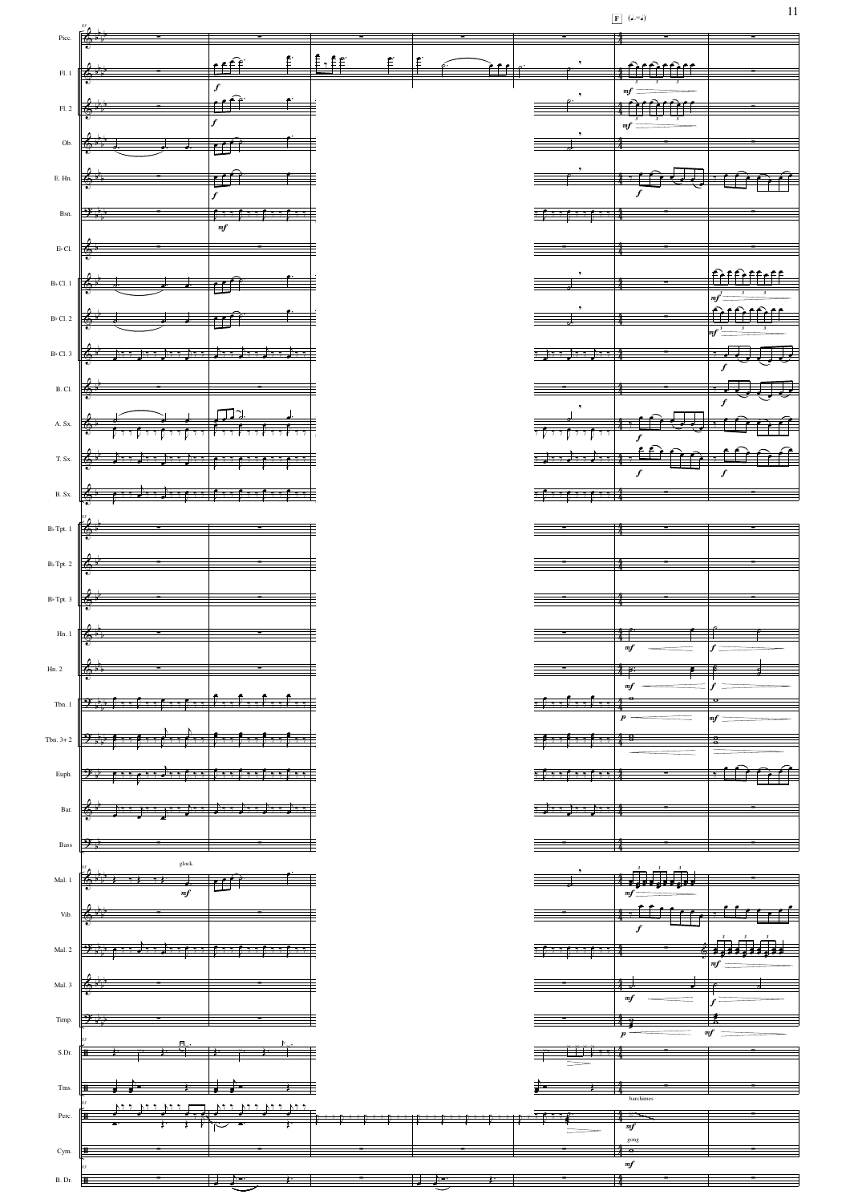| Picc. $\boxed{6}$                   |                                                                                                                                                                                                                                                                                                                                                                   |                   |                                                                                        |                                      |                                                                                                                                                                                                                                                                                                                                                                                              |                   |
|-------------------------------------|-------------------------------------------------------------------------------------------------------------------------------------------------------------------------------------------------------------------------------------------------------------------------------------------------------------------------------------------------------------------|-------------------|----------------------------------------------------------------------------------------|--------------------------------------|----------------------------------------------------------------------------------------------------------------------------------------------------------------------------------------------------------------------------------------------------------------------------------------------------------------------------------------------------------------------------------------------|-------------------|
| $\rm{Fl.}$ $1$                      | $\overline{\bullet}$                                                                                                                                                                                                                                                                                                                                              | ستثنث             | $\frac{f}{\frac{1}{2}}$ $\frac{f}{\frac{1}{2}}$ $\frac{f}{\frac{1}{2}}$<br>$f \not  f$ |                                      |                                                                                                                                                                                                                                                                                                                                                                                              |                   |
| FL2                                 | るう                                                                                                                                                                                                                                                                                                                                                                | <u>nî ti</u>      |                                                                                        |                                      | .<br>Affir                                                                                                                                                                                                                                                                                                                                                                                   |                   |
| $_{\rm Ob.}$                        | $\phi^{\beta}$                                                                                                                                                                                                                                                                                                                                                    | كأكتاب            |                                                                                        |                                      |                                                                                                                                                                                                                                                                                                                                                                                              |                   |
| ${\rm E.}$ Hn.                      | ————<br>$\frac{1}{2}$                                                                                                                                                                                                                                                                                                                                             | <u>lag.</u>       |                                                                                        |                                      | $\blacksquare$ $\blacksquare$ $\blacksquare$ $\blacksquare$ $\blacksquare$ $\blacksquare$ $\blacksquare$ $\blacksquare$                                                                                                                                                                                                                                                                      |                   |
| Bsn.                                |                                                                                                                                                                                                                                                                                                                                                                   |                   |                                                                                        | $-101101111$                         |                                                                                                                                                                                                                                                                                                                                                                                              |                   |
| $B$ Cl. $\frac{1}{2}$               | $\mathbf{r}$ and $\mathbf{r}$                                                                                                                                                                                                                                                                                                                                     |                   |                                                                                        |                                      |                                                                                                                                                                                                                                                                                                                                                                                              |                   |
| $B \triangleright C1.1$             | $\rightarrow$ $\alpha$ <sup>e</sup>                                                                                                                                                                                                                                                                                                                               |                   |                                                                                        | $\frac{1}{2}$ $\frac{1}{4}$          |                                                                                                                                                                                                                                                                                                                                                                                              | <u>ArArrer</u>    |
|                                     | $B_1$ Cl $2$ $\frac{B_1^2}{2}$ $\frac{1}{2}$ $\frac{1}{2}$ $\frac{1}{2}$ $\frac{1}{2}$ $\frac{1}{2}$ $\frac{1}{2}$ $\frac{1}{2}$ $\frac{1}{2}$ $\frac{1}{2}$ $\frac{1}{2}$ $\frac{1}{2}$ $\frac{1}{2}$ $\frac{1}{2}$ $\frac{1}{2}$ $\frac{1}{2}$ $\frac{1}{2}$ $\frac{1}{2}$ $\frac{1}{2}$ $\frac{1}{2}$ $\frac{$                                                 |                   |                                                                                        | $\equiv$ , $\equiv$                  |                                                                                                                                                                                                                                                                                                                                                                                              |                   |
|                                     | B> Cl. 3 $\frac{1}{\sqrt{2}}$ $\frac{1}{\sqrt{2}}$ $\frac{1}{\sqrt{2}}$ $\frac{1}{\sqrt{2}}$ $\frac{1}{\sqrt{2}}$ $\frac{1}{\sqrt{2}}$ $\frac{1}{\sqrt{2}}$ $\frac{1}{\sqrt{2}}$ $\frac{1}{\sqrt{2}}$ $\frac{1}{\sqrt{2}}$ $\frac{1}{\sqrt{2}}$ $\frac{1}{\sqrt{2}}$ $\frac{1}{\sqrt{2}}$ $\frac{1}{\sqrt{2}}$ $\frac{1}{\sqrt{2}}$ $\frac{1}{\sqrt{2}}$ $\frac{$ |                   |                                                                                        | ۾ دور دور دور <del>۽</del>           |                                                                                                                                                                                                                                                                                                                                                                                              | $\frac{1}{2}$     |
| B. C1.                              |                                                                                                                                                                                                                                                                                                                                                                   |                   |                                                                                        |                                      |                                                                                                                                                                                                                                                                                                                                                                                              | $\frac{1}{2}$     |
|                                     |                                                                                                                                                                                                                                                                                                                                                                   |                   |                                                                                        |                                      | $\frac{1}{\frac{1}{1+\frac{1}{2}+\frac{1}{2}+\frac{1}{2}+\frac{1}{2}+\frac{1}{2}+\frac{1}{2}+\frac{1}{2}+\frac{1}{2}+\frac{1}{2}+\frac{1}{2}+\frac{1}{2}+\frac{1}{2}+\frac{1}{2}+\frac{1}{2}+\frac{1}{2}+\frac{1}{2}+\frac{1}{2}+\frac{1}{2}+\frac{1}{2}+\frac{1}{2}+\frac{1}{2}+\frac{1}{2}+\frac{1}{2}+\frac{1}{2}+\frac{1}{2}+\frac{1}{2}+\frac{1}{2}+\frac{1}{2}+\frac{1}{2}+\frac{1}{2$ |                   |
|                                     | $\tau$ sx. $\left  \frac{A}{\sqrt{2}} \right $ $\frac{1}{2}$ $\sigma$ $\rightarrow$ $\frac{1}{2}$ $\sigma$ $\rightarrow$ $\frac{1}{2}$ $\sigma$ $\rightarrow$ $\frac{1}{2}$ $\sigma$ $\rightarrow$ $\frac{1}{2}$ $\sigma$ $\rightarrow$ $\frac{1}{2}$ $\sigma$ $\rightarrow$ $\frac{1}{2}$ $\sigma$ $\rightarrow$ $\frac{1}{2}$                                   |                   |                                                                                        |                                      | $\frac{1}{2} \frac{1}{2} \frac{1}{2} \frac{1}{2} \frac{1}{2} \frac{1}{2} \frac{1}{2} \frac{1}{2} \frac{1}{2} \frac{1}{2} \frac{1}{2} \frac{1}{2} \frac{1}{2} \frac{1}{2} \frac{1}{2} \frac{1}{2} \frac{1}{2} \frac{1}{2} \frac{1}{2} \frac{1}{2} \frac{1}{2} \frac{1}{2} \frac{1}{2} \frac{1}{2} \frac{1}{2} \frac{1}{2} \frac{1}{2} \frac{1}{2} \frac{1}{2} \frac{1}{2} \frac{1}{2} \frac{$ |                   |
|                                     | B. Sx. $\left[\frac{1}{\sqrt{2}}\right]$ = $\frac{1}{\sqrt{2}}$ = $\frac{1}{\sqrt{2}}$ = $\frac{1}{\sqrt{2}}$ = $\frac{1}{\sqrt{2}}$ = $\frac{1}{\sqrt{2}}$ = $\frac{1}{\sqrt{2}}$ = $\frac{1}{\sqrt{2}}$ = $\frac{1}{\sqrt{2}}$ = $\frac{1}{\sqrt{2}}$ = $\frac{1}{\sqrt{2}}$ = $\frac{1}{\sqrt{2}}$ = $\frac{1}{\sqrt{2}}$ = $\frac{1}{\sqrt{2}}$ =             |                   |                                                                                        | $-5.5.56.56.56$                      |                                                                                                                                                                                                                                                                                                                                                                                              |                   |
| $B \rightarrow Tpt. 1$              |                                                                                                                                                                                                                                                                                                                                                                   |                   |                                                                                        |                                      |                                                                                                                                                                                                                                                                                                                                                                                              |                   |
| B <sub>b</sub> Tpt. 2 $\frac{1}{2}$ |                                                                                                                                                                                                                                                                                                                                                                   |                   |                                                                                        | $\frac{1}{\sqrt{2}}$                 | $\exists$                                                                                                                                                                                                                                                                                                                                                                                    |                   |
| $B \triangleright Tpt. 3$           |                                                                                                                                                                                                                                                                                                                                                                   |                   |                                                                                        |                                      |                                                                                                                                                                                                                                                                                                                                                                                              |                   |
| Hn. 1                               | $\bigoplus_{\alpha\in\mathcal{C}}$                                                                                                                                                                                                                                                                                                                                |                   |                                                                                        |                                      | mf                                                                                                                                                                                                                                                                                                                                                                                           |                   |
| Hn. 2                               |                                                                                                                                                                                                                                                                                                                                                                   |                   |                                                                                        |                                      | m f                                                                                                                                                                                                                                                                                                                                                                                          |                   |
| Tbn. $1$                            | ジョッ ファッファックッックッッ                                                                                                                                                                                                                                                                                                                                                  |                   |                                                                                        | , <del>,</del> , , , , , , , , , , , |                                                                                                                                                                                                                                                                                                                                                                                              |                   |
| Tbn. $3+2$                          |                                                                                                                                                                                                                                                                                                                                                                   | 77577             |                                                                                        | $+ 8 + 12 + 12$                      |                                                                                                                                                                                                                                                                                                                                                                                              | $\mathbf{\sigma}$ |
| Euph.                               | ۱۰ کې د وال د د                                                                                                                                                                                                                                                                                                                                                   | 5.77<br>$0.77\pm$ |                                                                                        |                                      |                                                                                                                                                                                                                                                                                                                                                                                              |                   |
| Bar.                                | いっかっ かっ<br>6                                                                                                                                                                                                                                                                                                                                                      | ודיל יילדיי       |                                                                                        |                                      |                                                                                                                                                                                                                                                                                                                                                                                              |                   |
| Bass                                | glock.                                                                                                                                                                                                                                                                                                                                                            |                   |                                                                                        |                                      |                                                                                                                                                                                                                                                                                                                                                                                              |                   |
| Mal. $\boldsymbol{1}$               | $\gamma$ ) $\gamma$ ) $\gamma$                                                                                                                                                                                                                                                                                                                                    | <u>.</u>          |                                                                                        |                                      |                                                                                                                                                                                                                                                                                                                                                                                              |                   |
| Vib.                                |                                                                                                                                                                                                                                                                                                                                                                   |                   |                                                                                        |                                      |                                                                                                                                                                                                                                                                                                                                                                                              |                   |
| Mal. 2                              |                                                                                                                                                                                                                                                                                                                                                                   |                   |                                                                                        | ייפייפייל                            |                                                                                                                                                                                                                                                                                                                                                                                              |                   |
| Mal. 3                              | 67                                                                                                                                                                                                                                                                                                                                                                |                   |                                                                                        |                                      |                                                                                                                                                                                                                                                                                                                                                                                              |                   |
| Timp.                               |                                                                                                                                                                                                                                                                                                                                                                   |                   |                                                                                        |                                      |                                                                                                                                                                                                                                                                                                                                                                                              | $m$ f             |
| S.Dr.                               |                                                                                                                                                                                                                                                                                                                                                                   |                   |                                                                                        |                                      |                                                                                                                                                                                                                                                                                                                                                                                              |                   |
| Tms.<br>Perc.                       | r<br>Ŧ                                                                                                                                                                                                                                                                                                                                                            | ∹                 |                                                                                        |                                      | barchimes                                                                                                                                                                                                                                                                                                                                                                                    |                   |
| Cym.                                | Œ                                                                                                                                                                                                                                                                                                                                                                 |                   |                                                                                        |                                      | mf<br>gong<br>$4 -$                                                                                                                                                                                                                                                                                                                                                                          |                   |
| B. Dr.                              | 田                                                                                                                                                                                                                                                                                                                                                                 |                   |                                                                                        |                                      | mf                                                                                                                                                                                                                                                                                                                                                                                           |                   |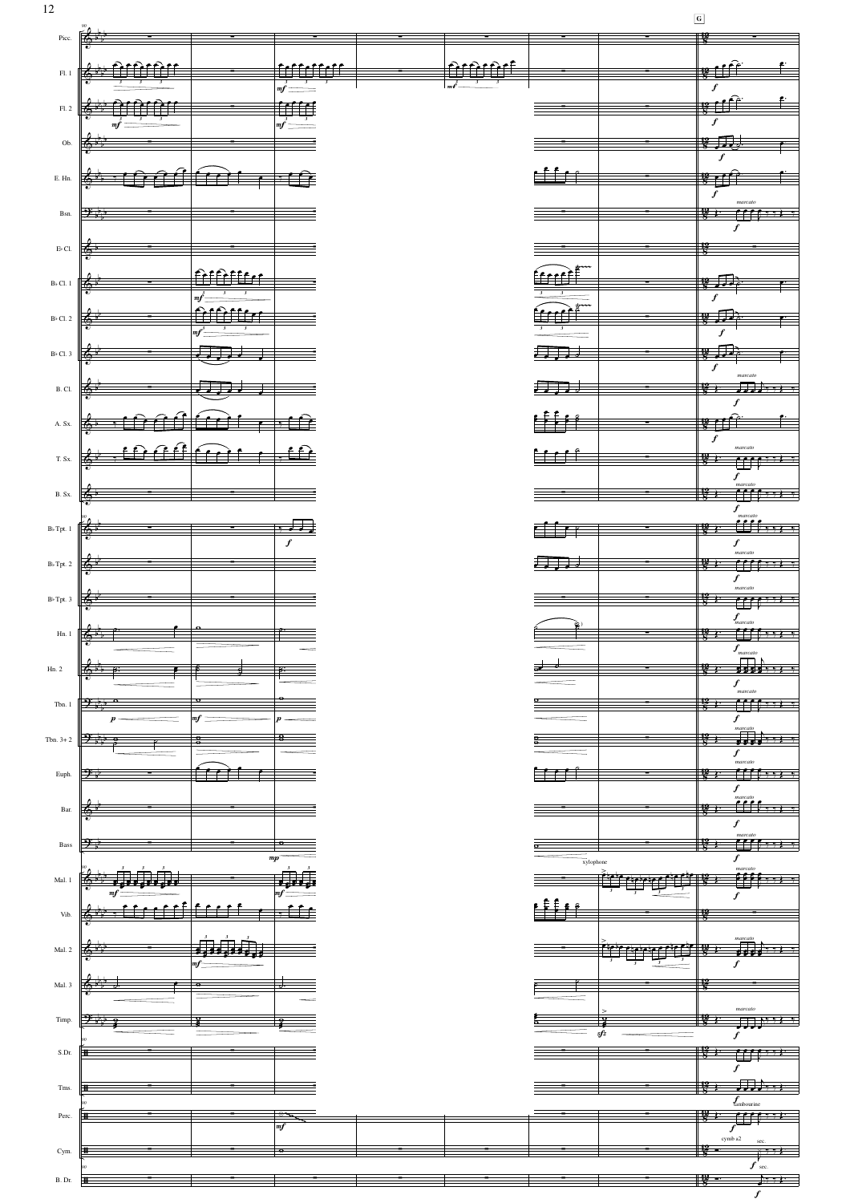**G**

| Picc.<br>6<br><u>Aramari</u><br>ਜ਼ਿਲ<br>frffrffrfi<br>FL1<br><u>frffrf</u><br>Fl. 2<br>$m f =$<br>Ob.<br>€φ<br>↥∕<br>$\gamma$ f<br>E. Hn.<br>⊕<br>Bsn.<br>ジャー<br>$\to$ Cl.<br>⊕<br>ਜ਼ਿੰ<br>∄ِع<br>$\rm B\!\!\succ\!\!$ Cl. $1$<br>6,<br>$\rm B\ensuremath{\,^{\mathrm{o}}}\xspace$ Cl. 2<br>ω,<br>$\rm B\!\!\,\flat\!\!\!\!\circ\!\!\!\!\circ\!\!\!\!\circ\!\!\!\circ\!\!\!\!\circ\!\!\!\!\circ\!\!\!\!\circ\!\!\!\!\circ\!\!\!\!\circ\!\!\!\!\circ\!\!\!\!\circ\!\!\!\!\circ\!\!\!\!\circ\!\!\!\!\circ\!\!\!\!\circ\!\!\!\!\circ\!\!\!\!\circ\!\!\!\!\circ\!\!\!\!\circ\!\!\!\!\circ\!\!\!\!\circ\!\!\!\!\circ\!\!\!\!\circ\!\!\!\circ\!\!\!\!\circ\!\!\!\!\circ\!\!\!\!\circ\!\!\!\!\circ\!\!\!\!\circ\!\!\!\!\circ\!\!\!\!\circ\!\!\!\!\circ\!\!\!\!\circ\!\!\!\!\circ\!\!\!\!\circ\!\!\!\$<br>ťm,<br>复刀<br>$\, {\bf B} . \, {\bf C} {\bf l} . \,$<br>ť.,<br>⋿<br>A. Sx.<br>$\cdot$<br>er er<br>T. Sx.<br>B. Sx.<br>$\overline{z}$<br>$B \triangleright Tpt.$ 1<br>€€,<br>$\boldsymbol{f}$<br>再刀<br>$\mbox{B}\flat$ Tpt. $2$<br>6<br>$\rm B\ensuremath{\circ}\xspace\ensuremath{\mathrm{Tpt}\xspace}\xspace$ .3<br>6<br>$\frac{2}{9}$<br>Hn.1<br>Hn. 2<br>⊕<br>o<br>ラネ<br>Tbn. 1<br>mf<br>$\boldsymbol{p}$<br>D<br>$9 +$<br>8<br>$\frac{8}{6}$<br>Tbn. $3+2$<br>$\mathbf{p}$<br>$\pm$<br>$\epsilon$ . $\epsilon$ . $\epsilon$ . $\epsilon$ . $\epsilon$ . The set of the set of the set of the set of the set of the set of the set of the set of the set of the set of the set of the set of the set of the set of the set of the set of the set of<br>$9 -$<br>÷<br>Euph.<br>Bar.<br>6,<br>2 ⊧<br>$\overline{\mathbf{r}}$<br>Bass<br>$\mathbf{p}$<br>mp<br>xylophone<br>.,,,<br>eter eterete este stell<br>Mal. 1<br>6<br>,,,,,,<br>m f<br>mf $\equiv$ | 12<br>$\boldsymbol{f}$<br>匷<br>$\boldsymbol{f}$<br>18 Л<br>f<br>12<br><b>r</b><br>$\boldsymbol{f}$<br>marcato<br>$\mathbb{F}$ :<br>$\pmb{f}$<br>₩<br>1g<br>事<br>$\boldsymbol{f}$<br>$\boldsymbol{f}$<br>撃<br>$\boldsymbol{f}$<br>marcato<br>$\mathbb{R}$ :<br>$\prod$ dr r ł r r<br>ķ<br>$\boldsymbol{f}$<br>marcato<br>$\frac{12}{5}$<br>eeeetti t<br>$\pmb{f}$<br>marcato<br>$\mathbb{R}$ :<br>$\left( \uparrow \uparrow \uparrow \uparrow \uparrow \uparrow \downarrow \uparrow \uparrow$<br>$\boldsymbol{f}_{_{macro}}$<br>$\mathop{\hbox{lim}}\limits \mathfrak{p}_{\tau\tau\lambda}$ ,<br>$\frac{12}{5}$<br>$\boldsymbol{f}$<br>marcato<br>$\mathsf{f} \mathsf{f} \mathsf{f} \mathsf{f} \mathsf{f} \mathsf{f} \mathsf{f} \mathsf{f}$<br>$\frac{12}{8}$ :<br>$\pmb{f}$<br>marcato<br>$\frac{12}{5}$ i<br>$\frac{1}{2}$<br>$\boldsymbol{f}_{\scriptscriptstyle{macro}}$<br>$\frac{12}{5}$<br>$\boldsymbol{f}_{_{macro}}$<br>m.<br> ∦ ≀<br><u>-1111 - 12 - 1</u><br>$\boldsymbol{f}$<br>marcato<br>$\frac{12}{5}$ :<br>$f f f f \rightarrow 1$<br>$\boldsymbol{f}$<br>frac <sub>macro</sub><br>$\frac{12}{5}$<br>7717<br>,,,,<br>$\boldsymbol{f}$<br>marcato<br>۲ <i>۲ د ۲ ۱ ژ</i><br>$\frac{12}{5}$<br>$\boldsymbol{f}$<br>$\left  \begin{array}{c} \frac{1}{2} & \frac{1}{2} \\ \frac{1}{2} & \frac{1}{2} \end{array} \right $<br>$\frac{12}{5}$<br>$\pmb{f}$<br>$\begin{array}{c} \n\text{macro} \\ \hline\n\end{array}$<br>$\mathbb{R}$ : |
|-------------------------------------------------------------------------------------------------------------------------------------------------------------------------------------------------------------------------------------------------------------------------------------------------------------------------------------------------------------------------------------------------------------------------------------------------------------------------------------------------------------------------------------------------------------------------------------------------------------------------------------------------------------------------------------------------------------------------------------------------------------------------------------------------------------------------------------------------------------------------------------------------------------------------------------------------------------------------------------------------------------------------------------------------------------------------------------------------------------------------------------------------------------------------------------------------------------------------------------------------------------------------------------------------------------------------------------------------------------------------------------------------------------------------------------------------------------------------------------------------------------------------------------------------------------------------------------------------------------------------------------------------------------------------------------------------------------------------------------------------------------|--------------------------------------------------------------------------------------------------------------------------------------------------------------------------------------------------------------------------------------------------------------------------------------------------------------------------------------------------------------------------------------------------------------------------------------------------------------------------------------------------------------------------------------------------------------------------------------------------------------------------------------------------------------------------------------------------------------------------------------------------------------------------------------------------------------------------------------------------------------------------------------------------------------------------------------------------------------------------------------------------------------------------------------------------------------------------------------------------------------------------------------------------------------------------------------------------------------------------------------------------------------------------------------------------------------------------------------------------------------------------------------------------------------------------------------------------|
|                                                                                                                                                                                                                                                                                                                                                                                                                                                                                                                                                                                                                                                                                                                                                                                                                                                                                                                                                                                                                                                                                                                                                                                                                                                                                                                                                                                                                                                                                                                                                                                                                                                                                                                                                             |                                                                                                                                                                                                                                                                                                                                                                                                                                                                                                                                                                                                                                                                                                                                                                                                                                                                                                                                                                                                                                                                                                                                                                                                                                                                                                                                                                                                                                                  |
|                                                                                                                                                                                                                                                                                                                                                                                                                                                                                                                                                                                                                                                                                                                                                                                                                                                                                                                                                                                                                                                                                                                                                                                                                                                                                                                                                                                                                                                                                                                                                                                                                                                                                                                                                             |                                                                                                                                                                                                                                                                                                                                                                                                                                                                                                                                                                                                                                                                                                                                                                                                                                                                                                                                                                                                                                                                                                                                                                                                                                                                                                                                                                                                                                                  |
|                                                                                                                                                                                                                                                                                                                                                                                                                                                                                                                                                                                                                                                                                                                                                                                                                                                                                                                                                                                                                                                                                                                                                                                                                                                                                                                                                                                                                                                                                                                                                                                                                                                                                                                                                             |                                                                                                                                                                                                                                                                                                                                                                                                                                                                                                                                                                                                                                                                                                                                                                                                                                                                                                                                                                                                                                                                                                                                                                                                                                                                                                                                                                                                                                                  |
|                                                                                                                                                                                                                                                                                                                                                                                                                                                                                                                                                                                                                                                                                                                                                                                                                                                                                                                                                                                                                                                                                                                                                                                                                                                                                                                                                                                                                                                                                                                                                                                                                                                                                                                                                             |                                                                                                                                                                                                                                                                                                                                                                                                                                                                                                                                                                                                                                                                                                                                                                                                                                                                                                                                                                                                                                                                                                                                                                                                                                                                                                                                                                                                                                                  |
|                                                                                                                                                                                                                                                                                                                                                                                                                                                                                                                                                                                                                                                                                                                                                                                                                                                                                                                                                                                                                                                                                                                                                                                                                                                                                                                                                                                                                                                                                                                                                                                                                                                                                                                                                             |                                                                                                                                                                                                                                                                                                                                                                                                                                                                                                                                                                                                                                                                                                                                                                                                                                                                                                                                                                                                                                                                                                                                                                                                                                                                                                                                                                                                                                                  |
|                                                                                                                                                                                                                                                                                                                                                                                                                                                                                                                                                                                                                                                                                                                                                                                                                                                                                                                                                                                                                                                                                                                                                                                                                                                                                                                                                                                                                                                                                                                                                                                                                                                                                                                                                             |                                                                                                                                                                                                                                                                                                                                                                                                                                                                                                                                                                                                                                                                                                                                                                                                                                                                                                                                                                                                                                                                                                                                                                                                                                                                                                                                                                                                                                                  |
|                                                                                                                                                                                                                                                                                                                                                                                                                                                                                                                                                                                                                                                                                                                                                                                                                                                                                                                                                                                                                                                                                                                                                                                                                                                                                                                                                                                                                                                                                                                                                                                                                                                                                                                                                             |                                                                                                                                                                                                                                                                                                                                                                                                                                                                                                                                                                                                                                                                                                                                                                                                                                                                                                                                                                                                                                                                                                                                                                                                                                                                                                                                                                                                                                                  |
|                                                                                                                                                                                                                                                                                                                                                                                                                                                                                                                                                                                                                                                                                                                                                                                                                                                                                                                                                                                                                                                                                                                                                                                                                                                                                                                                                                                                                                                                                                                                                                                                                                                                                                                                                             |                                                                                                                                                                                                                                                                                                                                                                                                                                                                                                                                                                                                                                                                                                                                                                                                                                                                                                                                                                                                                                                                                                                                                                                                                                                                                                                                                                                                                                                  |
|                                                                                                                                                                                                                                                                                                                                                                                                                                                                                                                                                                                                                                                                                                                                                                                                                                                                                                                                                                                                                                                                                                                                                                                                                                                                                                                                                                                                                                                                                                                                                                                                                                                                                                                                                             |                                                                                                                                                                                                                                                                                                                                                                                                                                                                                                                                                                                                                                                                                                                                                                                                                                                                                                                                                                                                                                                                                                                                                                                                                                                                                                                                                                                                                                                  |
|                                                                                                                                                                                                                                                                                                                                                                                                                                                                                                                                                                                                                                                                                                                                                                                                                                                                                                                                                                                                                                                                                                                                                                                                                                                                                                                                                                                                                                                                                                                                                                                                                                                                                                                                                             |                                                                                                                                                                                                                                                                                                                                                                                                                                                                                                                                                                                                                                                                                                                                                                                                                                                                                                                                                                                                                                                                                                                                                                                                                                                                                                                                                                                                                                                  |
|                                                                                                                                                                                                                                                                                                                                                                                                                                                                                                                                                                                                                                                                                                                                                                                                                                                                                                                                                                                                                                                                                                                                                                                                                                                                                                                                                                                                                                                                                                                                                                                                                                                                                                                                                             |                                                                                                                                                                                                                                                                                                                                                                                                                                                                                                                                                                                                                                                                                                                                                                                                                                                                                                                                                                                                                                                                                                                                                                                                                                                                                                                                                                                                                                                  |
|                                                                                                                                                                                                                                                                                                                                                                                                                                                                                                                                                                                                                                                                                                                                                                                                                                                                                                                                                                                                                                                                                                                                                                                                                                                                                                                                                                                                                                                                                                                                                                                                                                                                                                                                                             |                                                                                                                                                                                                                                                                                                                                                                                                                                                                                                                                                                                                                                                                                                                                                                                                                                                                                                                                                                                                                                                                                                                                                                                                                                                                                                                                                                                                                                                  |
|                                                                                                                                                                                                                                                                                                                                                                                                                                                                                                                                                                                                                                                                                                                                                                                                                                                                                                                                                                                                                                                                                                                                                                                                                                                                                                                                                                                                                                                                                                                                                                                                                                                                                                                                                             |                                                                                                                                                                                                                                                                                                                                                                                                                                                                                                                                                                                                                                                                                                                                                                                                                                                                                                                                                                                                                                                                                                                                                                                                                                                                                                                                                                                                                                                  |
|                                                                                                                                                                                                                                                                                                                                                                                                                                                                                                                                                                                                                                                                                                                                                                                                                                                                                                                                                                                                                                                                                                                                                                                                                                                                                                                                                                                                                                                                                                                                                                                                                                                                                                                                                             |                                                                                                                                                                                                                                                                                                                                                                                                                                                                                                                                                                                                                                                                                                                                                                                                                                                                                                                                                                                                                                                                                                                                                                                                                                                                                                                                                                                                                                                  |
|                                                                                                                                                                                                                                                                                                                                                                                                                                                                                                                                                                                                                                                                                                                                                                                                                                                                                                                                                                                                                                                                                                                                                                                                                                                                                                                                                                                                                                                                                                                                                                                                                                                                                                                                                             |                                                                                                                                                                                                                                                                                                                                                                                                                                                                                                                                                                                                                                                                                                                                                                                                                                                                                                                                                                                                                                                                                                                                                                                                                                                                                                                                                                                                                                                  |
|                                                                                                                                                                                                                                                                                                                                                                                                                                                                                                                                                                                                                                                                                                                                                                                                                                                                                                                                                                                                                                                                                                                                                                                                                                                                                                                                                                                                                                                                                                                                                                                                                                                                                                                                                             |                                                                                                                                                                                                                                                                                                                                                                                                                                                                                                                                                                                                                                                                                                                                                                                                                                                                                                                                                                                                                                                                                                                                                                                                                                                                                                                                                                                                                                                  |
|                                                                                                                                                                                                                                                                                                                                                                                                                                                                                                                                                                                                                                                                                                                                                                                                                                                                                                                                                                                                                                                                                                                                                                                                                                                                                                                                                                                                                                                                                                                                                                                                                                                                                                                                                             |                                                                                                                                                                                                                                                                                                                                                                                                                                                                                                                                                                                                                                                                                                                                                                                                                                                                                                                                                                                                                                                                                                                                                                                                                                                                                                                                                                                                                                                  |
|                                                                                                                                                                                                                                                                                                                                                                                                                                                                                                                                                                                                                                                                                                                                                                                                                                                                                                                                                                                                                                                                                                                                                                                                                                                                                                                                                                                                                                                                                                                                                                                                                                                                                                                                                             |                                                                                                                                                                                                                                                                                                                                                                                                                                                                                                                                                                                                                                                                                                                                                                                                                                                                                                                                                                                                                                                                                                                                                                                                                                                                                                                                                                                                                                                  |
|                                                                                                                                                                                                                                                                                                                                                                                                                                                                                                                                                                                                                                                                                                                                                                                                                                                                                                                                                                                                                                                                                                                                                                                                                                                                                                                                                                                                                                                                                                                                                                                                                                                                                                                                                             |                                                                                                                                                                                                                                                                                                                                                                                                                                                                                                                                                                                                                                                                                                                                                                                                                                                                                                                                                                                                                                                                                                                                                                                                                                                                                                                                                                                                                                                  |
|                                                                                                                                                                                                                                                                                                                                                                                                                                                                                                                                                                                                                                                                                                                                                                                                                                                                                                                                                                                                                                                                                                                                                                                                                                                                                                                                                                                                                                                                                                                                                                                                                                                                                                                                                             |                                                                                                                                                                                                                                                                                                                                                                                                                                                                                                                                                                                                                                                                                                                                                                                                                                                                                                                                                                                                                                                                                                                                                                                                                                                                                                                                                                                                                                                  |
|                                                                                                                                                                                                                                                                                                                                                                                                                                                                                                                                                                                                                                                                                                                                                                                                                                                                                                                                                                                                                                                                                                                                                                                                                                                                                                                                                                                                                                                                                                                                                                                                                                                                                                                                                             |                                                                                                                                                                                                                                                                                                                                                                                                                                                                                                                                                                                                                                                                                                                                                                                                                                                                                                                                                                                                                                                                                                                                                                                                                                                                                                                                                                                                                                                  |
|                                                                                                                                                                                                                                                                                                                                                                                                                                                                                                                                                                                                                                                                                                                                                                                                                                                                                                                                                                                                                                                                                                                                                                                                                                                                                                                                                                                                                                                                                                                                                                                                                                                                                                                                                             |                                                                                                                                                                                                                                                                                                                                                                                                                                                                                                                                                                                                                                                                                                                                                                                                                                                                                                                                                                                                                                                                                                                                                                                                                                                                                                                                                                                                                                                  |
|                                                                                                                                                                                                                                                                                                                                                                                                                                                                                                                                                                                                                                                                                                                                                                                                                                                                                                                                                                                                                                                                                                                                                                                                                                                                                                                                                                                                                                                                                                                                                                                                                                                                                                                                                             |                                                                                                                                                                                                                                                                                                                                                                                                                                                                                                                                                                                                                                                                                                                                                                                                                                                                                                                                                                                                                                                                                                                                                                                                                                                                                                                                                                                                                                                  |
|                                                                                                                                                                                                                                                                                                                                                                                                                                                                                                                                                                                                                                                                                                                                                                                                                                                                                                                                                                                                                                                                                                                                                                                                                                                                                                                                                                                                                                                                                                                                                                                                                                                                                                                                                             |                                                                                                                                                                                                                                                                                                                                                                                                                                                                                                                                                                                                                                                                                                                                                                                                                                                                                                                                                                                                                                                                                                                                                                                                                                                                                                                                                                                                                                                  |
|                                                                                                                                                                                                                                                                                                                                                                                                                                                                                                                                                                                                                                                                                                                                                                                                                                                                                                                                                                                                                                                                                                                                                                                                                                                                                                                                                                                                                                                                                                                                                                                                                                                                                                                                                             |                                                                                                                                                                                                                                                                                                                                                                                                                                                                                                                                                                                                                                                                                                                                                                                                                                                                                                                                                                                                                                                                                                                                                                                                                                                                                                                                                                                                                                                  |
|                                                                                                                                                                                                                                                                                                                                                                                                                                                                                                                                                                                                                                                                                                                                                                                                                                                                                                                                                                                                                                                                                                                                                                                                                                                                                                                                                                                                                                                                                                                                                                                                                                                                                                                                                             |                                                                                                                                                                                                                                                                                                                                                                                                                                                                                                                                                                                                                                                                                                                                                                                                                                                                                                                                                                                                                                                                                                                                                                                                                                                                                                                                                                                                                                                  |
|                                                                                                                                                                                                                                                                                                                                                                                                                                                                                                                                                                                                                                                                                                                                                                                                                                                                                                                                                                                                                                                                                                                                                                                                                                                                                                                                                                                                                                                                                                                                                                                                                                                                                                                                                             |                                                                                                                                                                                                                                                                                                                                                                                                                                                                                                                                                                                                                                                                                                                                                                                                                                                                                                                                                                                                                                                                                                                                                                                                                                                                                                                                                                                                                                                  |
|                                                                                                                                                                                                                                                                                                                                                                                                                                                                                                                                                                                                                                                                                                                                                                                                                                                                                                                                                                                                                                                                                                                                                                                                                                                                                                                                                                                                                                                                                                                                                                                                                                                                                                                                                             |                                                                                                                                                                                                                                                                                                                                                                                                                                                                                                                                                                                                                                                                                                                                                                                                                                                                                                                                                                                                                                                                                                                                                                                                                                                                                                                                                                                                                                                  |
|                                                                                                                                                                                                                                                                                                                                                                                                                                                                                                                                                                                                                                                                                                                                                                                                                                                                                                                                                                                                                                                                                                                                                                                                                                                                                                                                                                                                                                                                                                                                                                                                                                                                                                                                                             |                                                                                                                                                                                                                                                                                                                                                                                                                                                                                                                                                                                                                                                                                                                                                                                                                                                                                                                                                                                                                                                                                                                                                                                                                                                                                                                                                                                                                                                  |
|                                                                                                                                                                                                                                                                                                                                                                                                                                                                                                                                                                                                                                                                                                                                                                                                                                                                                                                                                                                                                                                                                                                                                                                                                                                                                                                                                                                                                                                                                                                                                                                                                                                                                                                                                             |                                                                                                                                                                                                                                                                                                                                                                                                                                                                                                                                                                                                                                                                                                                                                                                                                                                                                                                                                                                                                                                                                                                                                                                                                                                                                                                                                                                                                                                  |
|                                                                                                                                                                                                                                                                                                                                                                                                                                                                                                                                                                                                                                                                                                                                                                                                                                                                                                                                                                                                                                                                                                                                                                                                                                                                                                                                                                                                                                                                                                                                                                                                                                                                                                                                                             |                                                                                                                                                                                                                                                                                                                                                                                                                                                                                                                                                                                                                                                                                                                                                                                                                                                                                                                                                                                                                                                                                                                                                                                                                                                                                                                                                                                                                                                  |
|                                                                                                                                                                                                                                                                                                                                                                                                                                                                                                                                                                                                                                                                                                                                                                                                                                                                                                                                                                                                                                                                                                                                                                                                                                                                                                                                                                                                                                                                                                                                                                                                                                                                                                                                                             |                                                                                                                                                                                                                                                                                                                                                                                                                                                                                                                                                                                                                                                                                                                                                                                                                                                                                                                                                                                                                                                                                                                                                                                                                                                                                                                                                                                                                                                  |
|                                                                                                                                                                                                                                                                                                                                                                                                                                                                                                                                                                                                                                                                                                                                                                                                                                                                                                                                                                                                                                                                                                                                                                                                                                                                                                                                                                                                                                                                                                                                                                                                                                                                                                                                                             |                                                                                                                                                                                                                                                                                                                                                                                                                                                                                                                                                                                                                                                                                                                                                                                                                                                                                                                                                                                                                                                                                                                                                                                                                                                                                                                                                                                                                                                  |
|                                                                                                                                                                                                                                                                                                                                                                                                                                                                                                                                                                                                                                                                                                                                                                                                                                                                                                                                                                                                                                                                                                                                                                                                                                                                                                                                                                                                                                                                                                                                                                                                                                                                                                                                                             |                                                                                                                                                                                                                                                                                                                                                                                                                                                                                                                                                                                                                                                                                                                                                                                                                                                                                                                                                                                                                                                                                                                                                                                                                                                                                                                                                                                                                                                  |
|                                                                                                                                                                                                                                                                                                                                                                                                                                                                                                                                                                                                                                                                                                                                                                                                                                                                                                                                                                                                                                                                                                                                                                                                                                                                                                                                                                                                                                                                                                                                                                                                                                                                                                                                                             |                                                                                                                                                                                                                                                                                                                                                                                                                                                                                                                                                                                                                                                                                                                                                                                                                                                                                                                                                                                                                                                                                                                                                                                                                                                                                                                                                                                                                                                  |
|                                                                                                                                                                                                                                                                                                                                                                                                                                                                                                                                                                                                                                                                                                                                                                                                                                                                                                                                                                                                                                                                                                                                                                                                                                                                                                                                                                                                                                                                                                                                                                                                                                                                                                                                                             |                                                                                                                                                                                                                                                                                                                                                                                                                                                                                                                                                                                                                                                                                                                                                                                                                                                                                                                                                                                                                                                                                                                                                                                                                                                                                                                                                                                                                                                  |
|                                                                                                                                                                                                                                                                                                                                                                                                                                                                                                                                                                                                                                                                                                                                                                                                                                                                                                                                                                                                                                                                                                                                                                                                                                                                                                                                                                                                                                                                                                                                                                                                                                                                                                                                                             |                                                                                                                                                                                                                                                                                                                                                                                                                                                                                                                                                                                                                                                                                                                                                                                                                                                                                                                                                                                                                                                                                                                                                                                                                                                                                                                                                                                                                                                  |
|                                                                                                                                                                                                                                                                                                                                                                                                                                                                                                                                                                                                                                                                                                                                                                                                                                                                                                                                                                                                                                                                                                                                                                                                                                                                                                                                                                                                                                                                                                                                                                                                                                                                                                                                                             |                                                                                                                                                                                                                                                                                                                                                                                                                                                                                                                                                                                                                                                                                                                                                                                                                                                                                                                                                                                                                                                                                                                                                                                                                                                                                                                                                                                                                                                  |
|                                                                                                                                                                                                                                                                                                                                                                                                                                                                                                                                                                                                                                                                                                                                                                                                                                                                                                                                                                                                                                                                                                                                                                                                                                                                                                                                                                                                                                                                                                                                                                                                                                                                                                                                                             |                                                                                                                                                                                                                                                                                                                                                                                                                                                                                                                                                                                                                                                                                                                                                                                                                                                                                                                                                                                                                                                                                                                                                                                                                                                                                                                                                                                                                                                  |
|                                                                                                                                                                                                                                                                                                                                                                                                                                                                                                                                                                                                                                                                                                                                                                                                                                                                                                                                                                                                                                                                                                                                                                                                                                                                                                                                                                                                                                                                                                                                                                                                                                                                                                                                                             |                                                                                                                                                                                                                                                                                                                                                                                                                                                                                                                                                                                                                                                                                                                                                                                                                                                                                                                                                                                                                                                                                                                                                                                                                                                                                                                                                                                                                                                  |
|                                                                                                                                                                                                                                                                                                                                                                                                                                                                                                                                                                                                                                                                                                                                                                                                                                                                                                                                                                                                                                                                                                                                                                                                                                                                                                                                                                                                                                                                                                                                                                                                                                                                                                                                                             |                                                                                                                                                                                                                                                                                                                                                                                                                                                                                                                                                                                                                                                                                                                                                                                                                                                                                                                                                                                                                                                                                                                                                                                                                                                                                                                                                                                                                                                  |
|                                                                                                                                                                                                                                                                                                                                                                                                                                                                                                                                                                                                                                                                                                                                                                                                                                                                                                                                                                                                                                                                                                                                                                                                                                                                                                                                                                                                                                                                                                                                                                                                                                                                                                                                                             |                                                                                                                                                                                                                                                                                                                                                                                                                                                                                                                                                                                                                                                                                                                                                                                                                                                                                                                                                                                                                                                                                                                                                                                                                                                                                                                                                                                                                                                  |
|                                                                                                                                                                                                                                                                                                                                                                                                                                                                                                                                                                                                                                                                                                                                                                                                                                                                                                                                                                                                                                                                                                                                                                                                                                                                                                                                                                                                                                                                                                                                                                                                                                                                                                                                                             |                                                                                                                                                                                                                                                                                                                                                                                                                                                                                                                                                                                                                                                                                                                                                                                                                                                                                                                                                                                                                                                                                                                                                                                                                                                                                                                                                                                                                                                  |
|                                                                                                                                                                                                                                                                                                                                                                                                                                                                                                                                                                                                                                                                                                                                                                                                                                                                                                                                                                                                                                                                                                                                                                                                                                                                                                                                                                                                                                                                                                                                                                                                                                                                                                                                                             |                                                                                                                                                                                                                                                                                                                                                                                                                                                                                                                                                                                                                                                                                                                                                                                                                                                                                                                                                                                                                                                                                                                                                                                                                                                                                                                                                                                                                                                  |
|                                                                                                                                                                                                                                                                                                                                                                                                                                                                                                                                                                                                                                                                                                                                                                                                                                                                                                                                                                                                                                                                                                                                                                                                                                                                                                                                                                                                                                                                                                                                                                                                                                                                                                                                                             |                                                                                                                                                                                                                                                                                                                                                                                                                                                                                                                                                                                                                                                                                                                                                                                                                                                                                                                                                                                                                                                                                                                                                                                                                                                                                                                                                                                                                                                  |
|                                                                                                                                                                                                                                                                                                                                                                                                                                                                                                                                                                                                                                                                                                                                                                                                                                                                                                                                                                                                                                                                                                                                                                                                                                                                                                                                                                                                                                                                                                                                                                                                                                                                                                                                                             |                                                                                                                                                                                                                                                                                                                                                                                                                                                                                                                                                                                                                                                                                                                                                                                                                                                                                                                                                                                                                                                                                                                                                                                                                                                                                                                                                                                                                                                  |
|                                                                                                                                                                                                                                                                                                                                                                                                                                                                                                                                                                                                                                                                                                                                                                                                                                                                                                                                                                                                                                                                                                                                                                                                                                                                                                                                                                                                                                                                                                                                                                                                                                                                                                                                                             |                                                                                                                                                                                                                                                                                                                                                                                                                                                                                                                                                                                                                                                                                                                                                                                                                                                                                                                                                                                                                                                                                                                                                                                                                                                                                                                                                                                                                                                  |
|                                                                                                                                                                                                                                                                                                                                                                                                                                                                                                                                                                                                                                                                                                                                                                                                                                                                                                                                                                                                                                                                                                                                                                                                                                                                                                                                                                                                                                                                                                                                                                                                                                                                                                                                                             |                                                                                                                                                                                                                                                                                                                                                                                                                                                                                                                                                                                                                                                                                                                                                                                                                                                                                                                                                                                                                                                                                                                                                                                                                                                                                                                                                                                                                                                  |
|                                                                                                                                                                                                                                                                                                                                                                                                                                                                                                                                                                                                                                                                                                                                                                                                                                                                                                                                                                                                                                                                                                                                                                                                                                                                                                                                                                                                                                                                                                                                                                                                                                                                                                                                                             |                                                                                                                                                                                                                                                                                                                                                                                                                                                                                                                                                                                                                                                                                                                                                                                                                                                                                                                                                                                                                                                                                                                                                                                                                                                                                                                                                                                                                                                  |
|                                                                                                                                                                                                                                                                                                                                                                                                                                                                                                                                                                                                                                                                                                                                                                                                                                                                                                                                                                                                                                                                                                                                                                                                                                                                                                                                                                                                                                                                                                                                                                                                                                                                                                                                                             |                                                                                                                                                                                                                                                                                                                                                                                                                                                                                                                                                                                                                                                                                                                                                                                                                                                                                                                                                                                                                                                                                                                                                                                                                                                                                                                                                                                                                                                  |
|                                                                                                                                                                                                                                                                                                                                                                                                                                                                                                                                                                                                                                                                                                                                                                                                                                                                                                                                                                                                                                                                                                                                                                                                                                                                                                                                                                                                                                                                                                                                                                                                                                                                                                                                                             |                                                                                                                                                                                                                                                                                                                                                                                                                                                                                                                                                                                                                                                                                                                                                                                                                                                                                                                                                                                                                                                                                                                                                                                                                                                                                                                                                                                                                                                  |
|                                                                                                                                                                                                                                                                                                                                                                                                                                                                                                                                                                                                                                                                                                                                                                                                                                                                                                                                                                                                                                                                                                                                                                                                                                                                                                                                                                                                                                                                                                                                                                                                                                                                                                                                                             | $\pmb{f}$                                                                                                                                                                                                                                                                                                                                                                                                                                                                                                                                                                                                                                                                                                                                                                                                                                                                                                                                                                                                                                                                                                                                                                                                                                                                                                                                                                                                                                        |
|                                                                                                                                                                                                                                                                                                                                                                                                                                                                                                                                                                                                                                                                                                                                                                                                                                                                                                                                                                                                                                                                                                                                                                                                                                                                                                                                                                                                                                                                                                                                                                                                                                                                                                                                                             | $\frac{r}{\sqrt{r}}$                                                                                                                                                                                                                                                                                                                                                                                                                                                                                                                                                                                                                                                                                                                                                                                                                                                                                                                                                                                                                                                                                                                                                                                                                                                                                                                                                                                                                             |
|                                                                                                                                                                                                                                                                                                                                                                                                                                                                                                                                                                                                                                                                                                                                                                                                                                                                                                                                                                                                                                                                                                                                                                                                                                                                                                                                                                                                                                                                                                                                                                                                                                                                                                                                                             | ≖                                                                                                                                                                                                                                                                                                                                                                                                                                                                                                                                                                                                                                                                                                                                                                                                                                                                                                                                                                                                                                                                                                                                                                                                                                                                                                                                                                                                                                                |
| £<br>я                                                                                                                                                                                                                                                                                                                                                                                                                                                                                                                                                                                                                                                                                                                                                                                                                                                                                                                                                                                                                                                                                                                                                                                                                                                                                                                                                                                                                                                                                                                                                                                                                                                                                                                                                      | $\boldsymbol{f}$                                                                                                                                                                                                                                                                                                                                                                                                                                                                                                                                                                                                                                                                                                                                                                                                                                                                                                                                                                                                                                                                                                                                                                                                                                                                                                                                                                                                                                 |
| 丰<br>Ê<br>Vib.                                                                                                                                                                                                                                                                                                                                                                                                                                                                                                                                                                                                                                                                                                                                                                                                                                                                                                                                                                                                                                                                                                                                                                                                                                                                                                                                                                                                                                                                                                                                                                                                                                                                                                                                              | 投                                                                                                                                                                                                                                                                                                                                                                                                                                                                                                                                                                                                                                                                                                                                                                                                                                                                                                                                                                                                                                                                                                                                                                                                                                                                                                                                                                                                                                                |
|                                                                                                                                                                                                                                                                                                                                                                                                                                                                                                                                                                                                                                                                                                                                                                                                                                                                                                                                                                                                                                                                                                                                                                                                                                                                                                                                                                                                                                                                                                                                                                                                                                                                                                                                                             |                                                                                                                                                                                                                                                                                                                                                                                                                                                                                                                                                                                                                                                                                                                                                                                                                                                                                                                                                                                                                                                                                                                                                                                                                                                                                                                                                                                                                                                  |
| <u>represente</u><br>Mal. $2\,$<br>6                                                                                                                                                                                                                                                                                                                                                                                                                                                                                                                                                                                                                                                                                                                                                                                                                                                                                                                                                                                                                                                                                                                                                                                                                                                                                                                                                                                                                                                                                                                                                                                                                                                                                                                        | $\overbrace{\bullet\bullet\bullet\bullet}$ $\overbrace{\bullet\bullet\bullet}$ $\overbrace{\bullet\bullet\bullet}$ $\overbrace{\bullet\bullet}$                                                                                                                                                                                                                                                                                                                                                                                                                                                                                                                                                                                                                                                                                                                                                                                                                                                                                                                                                                                                                                                                                                                                                                                                                                                                                                  |
|                                                                                                                                                                                                                                                                                                                                                                                                                                                                                                                                                                                                                                                                                                                                                                                                                                                                                                                                                                                                                                                                                                                                                                                                                                                                                                                                                                                                                                                                                                                                                                                                                                                                                                                                                             | $\boldsymbol{f}$                                                                                                                                                                                                                                                                                                                                                                                                                                                                                                                                                                                                                                                                                                                                                                                                                                                                                                                                                                                                                                                                                                                                                                                                                                                                                                                                                                                                                                 |
| Mal. 3<br>6,<br>$\overline{\bullet}$<br>d.                                                                                                                                                                                                                                                                                                                                                                                                                                                                                                                                                                                                                                                                                                                                                                                                                                                                                                                                                                                                                                                                                                                                                                                                                                                                                                                                                                                                                                                                                                                                                                                                                                                                                                                  | Ŧ                                                                                                                                                                                                                                                                                                                                                                                                                                                                                                                                                                                                                                                                                                                                                                                                                                                                                                                                                                                                                                                                                                                                                                                                                                                                                                                                                                                                                                                |
|                                                                                                                                                                                                                                                                                                                                                                                                                                                                                                                                                                                                                                                                                                                                                                                                                                                                                                                                                                                                                                                                                                                                                                                                                                                                                                                                                                                                                                                                                                                                                                                                                                                                                                                                                             |                                                                                                                                                                                                                                                                                                                                                                                                                                                                                                                                                                                                                                                                                                                                                                                                                                                                                                                                                                                                                                                                                                                                                                                                                                                                                                                                                                                                                                                  |
| ソト<br>Timp.<br>o<br>$\mathbf{u}$                                                                                                                                                                                                                                                                                                                                                                                                                                                                                                                                                                                                                                                                                                                                                                                                                                                                                                                                                                                                                                                                                                                                                                                                                                                                                                                                                                                                                                                                                                                                                                                                                                                                                                                            | marcato<br>撃                                                                                                                                                                                                                                                                                                                                                                                                                                                                                                                                                                                                                                                                                                                                                                                                                                                                                                                                                                                                                                                                                                                                                                                                                                                                                                                                                                                                                                     |
| sfz                                                                                                                                                                                                                                                                                                                                                                                                                                                                                                                                                                                                                                                                                                                                                                                                                                                                                                                                                                                                                                                                                                                                                                                                                                                                                                                                                                                                                                                                                                                                                                                                                                                                                                                                                         | — <del>1993-9</del><br>∹<br>$\pmb{f}$                                                                                                                                                                                                                                                                                                                                                                                                                                                                                                                                                                                                                                                                                                                                                                                                                                                                                                                                                                                                                                                                                                                                                                                                                                                                                                                                                                                                            |
|                                                                                                                                                                                                                                                                                                                                                                                                                                                                                                                                                                                                                                                                                                                                                                                                                                                                                                                                                                                                                                                                                                                                                                                                                                                                                                                                                                                                                                                                                                                                                                                                                                                                                                                                                             | $\frac{12}{5}$                                                                                                                                                                                                                                                                                                                                                                                                                                                                                                                                                                                                                                                                                                                                                                                                                                                                                                                                                                                                                                                                                                                                                                                                                                                                                                                                                                                                                                   |
| S.Dr.<br>⊞                                                                                                                                                                                                                                                                                                                                                                                                                                                                                                                                                                                                                                                                                                                                                                                                                                                                                                                                                                                                                                                                                                                                                                                                                                                                                                                                                                                                                                                                                                                                                                                                                                                                                                                                                  | $\left\{f(t) \in \mathbb{R}^n : t\right\}$                                                                                                                                                                                                                                                                                                                                                                                                                                                                                                                                                                                                                                                                                                                                                                                                                                                                                                                                                                                                                                                                                                                                                                                                                                                                                                                                                                                                       |
|                                                                                                                                                                                                                                                                                                                                                                                                                                                                                                                                                                                                                                                                                                                                                                                                                                                                                                                                                                                                                                                                                                                                                                                                                                                                                                                                                                                                                                                                                                                                                                                                                                                                                                                                                             | $\boldsymbol{f}$                                                                                                                                                                                                                                                                                                                                                                                                                                                                                                                                                                                                                                                                                                                                                                                                                                                                                                                                                                                                                                                                                                                                                                                                                                                                                                                                                                                                                                 |
| Tms.<br>۳                                                                                                                                                                                                                                                                                                                                                                                                                                                                                                                                                                                                                                                                                                                                                                                                                                                                                                                                                                                                                                                                                                                                                                                                                                                                                                                                                                                                                                                                                                                                                                                                                                                                                                                                                   | $\pi$<br>$\mathbb{R}$                                                                                                                                                                                                                                                                                                                                                                                                                                                                                                                                                                                                                                                                                                                                                                                                                                                                                                                                                                                                                                                                                                                                                                                                                                                                                                                                                                                                                            |
| an,                                                                                                                                                                                                                                                                                                                                                                                                                                                                                                                                                                                                                                                                                                                                                                                                                                                                                                                                                                                                                                                                                                                                                                                                                                                                                                                                                                                                                                                                                                                                                                                                                                                                                                                                                         | $f_{\text{ambourine}}$                                                                                                                                                                                                                                                                                                                                                                                                                                                                                                                                                                                                                                                                                                                                                                                                                                                                                                                                                                                                                                                                                                                                                                                                                                                                                                                                                                                                                           |
| Perc.<br>⊞<br>mf                                                                                                                                                                                                                                                                                                                                                                                                                                                                                                                                                                                                                                                                                                                                                                                                                                                                                                                                                                                                                                                                                                                                                                                                                                                                                                                                                                                                                                                                                                                                                                                                                                                                                                                                            |                                                                                                                                                                                                                                                                                                                                                                                                                                                                                                                                                                                                                                                                                                                                                                                                                                                                                                                                                                                                                                                                                                                                                                                                                                                                                                                                                                                                                                                  |
|                                                                                                                                                                                                                                                                                                                                                                                                                                                                                                                                                                                                                                                                                                                                                                                                                                                                                                                                                                                                                                                                                                                                                                                                                                                                                                                                                                                                                                                                                                                                                                                                                                                                                                                                                             | $\frac{12}{5}$ :<br>________                                                                                                                                                                                                                                                                                                                                                                                                                                                                                                                                                                                                                                                                                                                                                                                                                                                                                                                                                                                                                                                                                                                                                                                                                                                                                                                                                                                                                     |
| Cym.<br>Œ<br>Ξ<br>$\overline{\bullet}$                                                                                                                                                                                                                                                                                                                                                                                                                                                                                                                                                                                                                                                                                                                                                                                                                                                                                                                                                                                                                                                                                                                                                                                                                                                                                                                                                                                                                                                                                                                                                                                                                                                                                                                      | $\bm{f}$<br>$\mathop{\text{cymb}}$ a2<br>sec                                                                                                                                                                                                                                                                                                                                                                                                                                                                                                                                                                                                                                                                                                                                                                                                                                                                                                                                                                                                                                                                                                                                                                                                                                                                                                                                                                                                     |
|                                                                                                                                                                                                                                                                                                                                                                                                                                                                                                                                                                                                                                                                                                                                                                                                                                                                                                                                                                                                                                                                                                                                                                                                                                                                                                                                                                                                                                                                                                                                                                                                                                                                                                                                                             | 撃<br>7.71                                                                                                                                                                                                                                                                                                                                                                                                                                                                                                                                                                                                                                                                                                                                                                                                                                                                                                                                                                                                                                                                                                                                                                                                                                                                                                                                                                                                                                        |
| B. Dr.<br>田                                                                                                                                                                                                                                                                                                                                                                                                                                                                                                                                                                                                                                                                                                                                                                                                                                                                                                                                                                                                                                                                                                                                                                                                                                                                                                                                                                                                                                                                                                                                                                                                                                                                                                                                                 | $f$ sec.<br>$\frac{12}{3}$ –<br>$\mathbf{h}_1$                                                                                                                                                                                                                                                                                                                                                                                                                                                                                                                                                                                                                                                                                                                                                                                                                                                                                                                                                                                                                                                                                                                                                                                                                                                                                                                                                                                                   |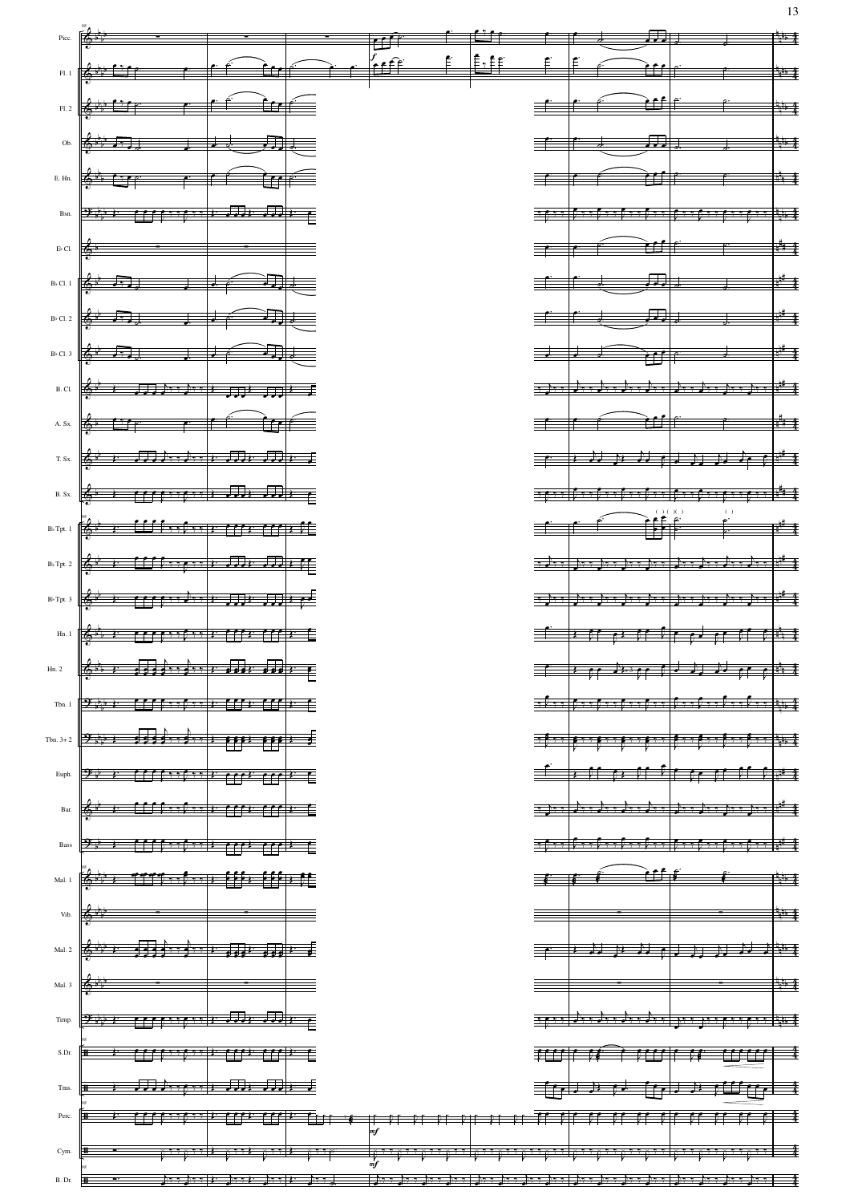| Picc.                                                                                                                                                                                                                                                                                                                                                                                                                                                                                        | 6                                                                                                                                                                                                                                                                                                                                                                                                                                               |                                                                                                                                                                                                                                                                                                          | r f f f |                              |                      |                                                                                                                                                                                                                                                                                                                     |                                 |                                                                                                                                                                                                                                                                                                                                                                                                                                                                                 |
|----------------------------------------------------------------------------------------------------------------------------------------------------------------------------------------------------------------------------------------------------------------------------------------------------------------------------------------------------------------------------------------------------------------------------------------------------------------------------------------------|-------------------------------------------------------------------------------------------------------------------------------------------------------------------------------------------------------------------------------------------------------------------------------------------------------------------------------------------------------------------------------------------------------------------------------------------------|----------------------------------------------------------------------------------------------------------------------------------------------------------------------------------------------------------------------------------------------------------------------------------------------------------|---------|------------------------------|----------------------|---------------------------------------------------------------------------------------------------------------------------------------------------------------------------------------------------------------------------------------------------------------------------------------------------------------------|---------------------------------|---------------------------------------------------------------------------------------------------------------------------------------------------------------------------------------------------------------------------------------------------------------------------------------------------------------------------------------------------------------------------------------------------------------------------------------------------------------------------------|
| F1.1                                                                                                                                                                                                                                                                                                                                                                                                                                                                                         |                                                                                                                                                                                                                                                                                                                                                                                                                                                 |                                                                                                                                                                                                                                                                                                          | ⊭tf     | $\mathbb{E}$ ff $\mathbb{I}$ | $\frac{1}{\sqrt{2}}$ | $\frac{1}{2}$                                                                                                                                                                                                                                                                                                       |                                 | $\mathbb{H} \twoheadrightarrow 2$                                                                                                                                                                                                                                                                                                                                                                                                                                               |
| FL2                                                                                                                                                                                                                                                                                                                                                                                                                                                                                          | $\frac{2}{9}$ $\frac{1}{9}$ $\frac{1}{9}$ $\frac{1}{9}$ $\frac{1}{9}$ $\frac{1}{9}$ $\frac{1}{9}$ $\frac{1}{9}$ $\frac{1}{9}$ $\frac{1}{9}$ $\frac{1}{9}$ $\frac{1}{9}$ $\frac{1}{9}$ $\frac{1}{9}$ $\frac{1}{9}$ $\frac{1}{9}$ $\frac{1}{9}$ $\frac{1}{9}$ $\frac{1}{9}$ $\frac{1}{9}$ $\frac{1}{9}$ $\frac{1}{9}$                                                                                                                             |                                                                                                                                                                                                                                                                                                          |         |                              |                      |                                                                                                                                                                                                                                                                                                                     |                                 | $\frac{1}{2}$ $\frac{1}{2}$ $\frac{1}{2}$ $\frac{1}{2}$ $\frac{1}{2}$ $\frac{1}{2}$ $\frac{1}{2}$ $\frac{1}{2}$ $\frac{1}{2}$ $\frac{1}{2}$ $\frac{1}{2}$ $\frac{1}{2}$ $\frac{1}{2}$ $\frac{1}{2}$ $\frac{1}{2}$ $\frac{1}{2}$ $\frac{1}{2}$ $\frac{1}{2}$ $\frac{1}{2}$ $\frac{1}{2}$ $\frac{1}{2}$ $\frac{1}{2}$                                                                                                                                                             |
|                                                                                                                                                                                                                                                                                                                                                                                                                                                                                              | $\left(6^{33} \cdot 3\right)$ and $\left(1, 2, 3\right)$                                                                                                                                                                                                                                                                                                                                                                                        |                                                                                                                                                                                                                                                                                                          |         |                              |                      |                                                                                                                                                                                                                                                                                                                     | $\overline{J}$ , $\overline{J}$ | $\mathbb{R}$ $\uparrow$                                                                                                                                                                                                                                                                                                                                                                                                                                                         |
| ${\rm E.}$ Hn.                                                                                                                                                                                                                                                                                                                                                                                                                                                                               | 6322                                                                                                                                                                                                                                                                                                                                                                                                                                            |                                                                                                                                                                                                                                                                                                          |         |                              |                      |                                                                                                                                                                                                                                                                                                                     |                                 | $\epsilon$ is the set of $\epsilon$                                                                                                                                                                                                                                                                                                                                                                                                                                             |
|                                                                                                                                                                                                                                                                                                                                                                                                                                                                                              | <del>، دالته دلته داردودووو دول</del> ه ۳                                                                                                                                                                                                                                                                                                                                                                                                       |                                                                                                                                                                                                                                                                                                          |         |                              |                      |                                                                                                                                                                                                                                                                                                                     |                                 |                                                                                                                                                                                                                                                                                                                                                                                                                                                                                 |
| $\to$ Cl.                                                                                                                                                                                                                                                                                                                                                                                                                                                                                    | $\overline{\bullet}$                                                                                                                                                                                                                                                                                                                                                                                                                            |                                                                                                                                                                                                                                                                                                          |         |                              | $\frac{1}{2}$        |                                                                                                                                                                                                                                                                                                                     | $\frac{1}{2}$                   | $\mathbb{R}$ 1                                                                                                                                                                                                                                                                                                                                                                                                                                                                  |
| $\rm B\!\!\,\flat\!\!\!\!\circ\!\!\!\!\circ\!\!\!\!\circ\!\!\!\!\circ\!\!\!\!\circ\!\!\!\!\circ\!\!\!\!\circ\!\!\!\!\circ\!\!\!\!\circ\!\!\!\!\circ\!\!\!\!\circ\!\!\!\!\circ\!\!\!\!\circ\!\!\!\!\circ\!\!\!\!\circ\!\!\!\!\circ\!\!\!\!\circ\!\!\!\!\circ\!\!\!\!\circ\!\!\!\!\circ\!\!\!\!\circ\!\!\!\!\circ\!\!\!\!\circ\!\!\!\!\circ\!\!\!\!\circ\!\!\!\!\circ\!\!\!\!\circ\!\!\!\!\circ\!\!\!\!\circ\!\!\!\!\circ\!\!\!\!\circ\!\!\!\!\circ\!\!\!\!\circ\!\!\!\!\circ\!\!\!\!\circ\!\$ |                                                                                                                                                                                                                                                                                                                                                                                                                                                 | $F_{\nu}$ , $\frac{1}{2}$ , $\frac{1}{2}$ , $\frac{1}{2}$ , $\frac{1}{2}$ , $\frac{1}{2}$ , $\frac{1}{2}$ , $\frac{1}{2}$ , $\frac{1}{2}$ , $\frac{1}{2}$ , $\frac{1}{2}$ , $\frac{1}{2}$ , $\frac{1}{2}$ , $\frac{1}{2}$ , $\frac{1}{2}$ , $\frac{1}{2}$ , $\frac{1}{2}$ , $\frac{1}{2}$ , $\frac{1}{2$ |         |                              |                      |                                                                                                                                                                                                                                                                                                                     |                                 | $\overline{y}$ , $\overline{y}$ , $\overline{y}$                                                                                                                                                                                                                                                                                                                                                                                                                                |
| $\rm{B}\!\!\flat$ Cl. 2                                                                                                                                                                                                                                                                                                                                                                                                                                                                      | $\overline{17}$ $\overline{1}$ $\overline{1}$ $\overline{1}$ $\overline{1}$ $\overline{1}$ $\overline{1}$ $\overline{1}$ $\overline{1}$ $\overline{1}$ $\overline{1}$ $\overline{1}$ $\overline{1}$ $\overline{1}$ $\overline{1}$ $\overline{1}$ $\overline{1}$ $\overline{1}$ $\overline{1}$ $\overline{1}$ $\overline{1}$ $\overline{1}$ $\overline{1}$ $\overline{1}$ $\overline$                                                            |                                                                                                                                                                                                                                                                                                          |         |                              |                      |                                                                                                                                                                                                                                                                                                                     |                                 | $\frac{1}{2}$ $\frac{1}{2}$ $\frac{1}{2}$ $\frac{1}{2}$ $\frac{1}{2}$ $\frac{1}{2}$ $\frac{1}{2}$ $\frac{1}{2}$ $\frac{1}{2}$ $\frac{1}{2}$ $\frac{1}{2}$ $\frac{1}{2}$ $\frac{1}{2}$ $\frac{1}{2}$ $\frac{1}{2}$ $\frac{1}{2}$ $\frac{1}{2}$ $\frac{1}{2}$ $\frac{1}{2}$ $\frac{1}{2}$ $\frac{1}{2}$ $\frac{1}{2}$<br>$\mathbb{H}^n$ 1                                                                                                                                         |
| $\mbox{B}\mskip-5mu\mskip-5mu\text{\it b}$ Cl. 3                                                                                                                                                                                                                                                                                                                                                                                                                                             |                                                                                                                                                                                                                                                                                                                                                                                                                                                 | $\mathcal{F}_{\mathcal{F}}$ , $\mathcal{F}_{\mathcal{F}}$ , $\mathcal{F}_{\mathcal{F}}$ , $\mathcal{F}_{\mathcal{F}}$ , $\mathcal{F}_{\mathcal{F}}$ , $\mathcal{F}_{\mathcal{F}}$                                                                                                                        |         |                              |                      | $\frac{1}{2}$ $\frac{1}{2}$ $\frac{1}{2}$ $\frac{1}{2}$ $\frac{1}{2}$ $\frac{1}{2}$ $\frac{1}{2}$ $\frac{1}{2}$ $\frac{1}{2}$ $\frac{1}{2}$ $\frac{1}{2}$ $\frac{1}{2}$ $\frac{1}{2}$ $\frac{1}{2}$ $\frac{1}{2}$ $\frac{1}{2}$ $\frac{1}{2}$ $\frac{1}{2}$ $\frac{1}{2}$ $\frac{1}{2}$ $\frac{1}{2}$ $\frac{1}{2}$ |                                 | $\mathbb{H}^4$ 1                                                                                                                                                                                                                                                                                                                                                                                                                                                                |
| $\, {\bf B} . \, {\bf C} {\bf l} . \,$                                                                                                                                                                                                                                                                                                                                                                                                                                                       |                                                                                                                                                                                                                                                                                                                                                                                                                                                 | $\lambda^* = \sqrt{12} \lambda^{18} \lambda^{18} \lambda^{18} \lambda^2 = \sqrt{12} \lambda^2 = \sqrt{12} \lambda^2 = \sqrt{12}$                                                                                                                                                                         |         |                              |                      |                                                                                                                                                                                                                                                                                                                     |                                 | <u> The Same Dense Dense Dense Dense Dense Dense Island</u>                                                                                                                                                                                                                                                                                                                                                                                                                     |
| A. Sx.                                                                                                                                                                                                                                                                                                                                                                                                                                                                                       | $\frac{1}{2}$ $\frac{1}{2}$ $\frac{1}{2}$ $\frac{1}{2}$ $\frac{1}{2}$ $\frac{1}{2}$ $\frac{1}{2}$ $\frac{1}{2}$ $\frac{1}{2}$ $\frac{1}{2}$ $\frac{1}{2}$ $\frac{1}{2}$ $\frac{1}{2}$ $\frac{1}{2}$ $\frac{1}{2}$ $\frac{1}{2}$ $\frac{1}{2}$ $\frac{1}{2}$ $\frac{1}{2}$ $\frac{1}{2}$ $\frac{1}{2}$ $\frac{1}{2}$                                                                                                                             |                                                                                                                                                                                                                                                                                                          |         |                              |                      | <u>reference</u>                                                                                                                                                                                                                                                                                                    |                                 | $\mathbb{H}$ 1                                                                                                                                                                                                                                                                                                                                                                                                                                                                  |
| $\mathcal{T}.$ Sx.                                                                                                                                                                                                                                                                                                                                                                                                                                                                           | $\frac{2}{9}$ + $\frac{1}{10}$ + $\frac{1}{10}$ + $\frac{1}{10}$ + $\frac{1}{10}$ + $\frac{1}{10}$                                                                                                                                                                                                                                                                                                                                              |                                                                                                                                                                                                                                                                                                          |         |                              |                      |                                                                                                                                                                                                                                                                                                                     |                                 | $\frac{1}{2} \left( \frac{1}{2} + \frac{1}{2} + \frac{1}{2} + \frac{1}{2} + \frac{1}{2} + \frac{1}{2} + \frac{1}{2} + \frac{1}{2} + \frac{1}{2} + \frac{1}{2} + \frac{1}{2} + \frac{1}{2} + \frac{1}{2} + \frac{1}{2} + \frac{1}{2} + \frac{1}{2} + \frac{1}{2} + \frac{1}{2} + \frac{1}{2} + \frac{1}{2} + \frac{1}{2} + \frac{1}{2} + \frac{1}{2} + \frac{1}{2} + \frac{1}{2} + \frac{1}{2} + \frac$                                                                          |
| $\mathbf{B}.\mathbf{\,S} \mathbf{x}$                                                                                                                                                                                                                                                                                                                                                                                                                                                         | $\frac{2}{5}$ + $\frac{1}{100}$ + $\frac{1}{100}$ + $\frac{1}{100}$ + $\frac{1}{100}$ + $\frac{1}{100}$                                                                                                                                                                                                                                                                                                                                         |                                                                                                                                                                                                                                                                                                          |         |                              |                      |                                                                                                                                                                                                                                                                                                                     |                                 |                                                                                                                                                                                                                                                                                                                                                                                                                                                                                 |
| $\rm B\ensuremath{\circ}\, \rm Tpt.$ 1                                                                                                                                                                                                                                                                                                                                                                                                                                                       | $\frac{1}{2}$                                                                                                                                                                                                                                                                                                                                                                                                                                   |                                                                                                                                                                                                                                                                                                          |         |                              |                      |                                                                                                                                                                                                                                                                                                                     | $\frac{1}{2}$                   |                                                                                                                                                                                                                                                                                                                                                                                                                                                                                 |
| $\mbox{B}\flat$ Tpt. 2                                                                                                                                                                                                                                                                                                                                                                                                                                                                       | $\frac{2}{3}$ + $\frac{1}{2}$ $\frac{1}{2}$ $\frac{1}{2}$ $\frac{1}{2}$ $\frac{1}{2}$ $\frac{1}{2}$ $\frac{1}{2}$ $\frac{1}{2}$ $\frac{1}{2}$ $\frac{1}{2}$ $\frac{1}{2}$ $\frac{1}{2}$ $\frac{1}{2}$ $\frac{1}{2}$ $\frac{1}{2}$ $\frac{1}{2}$ $\frac{1}{2}$ $\frac{1}{2}$ $\frac{1}{2}$ $\frac{1}{2}$ $\frac{1}{2}$                                                                                                                           |                                                                                                                                                                                                                                                                                                          |         |                              |                      |                                                                                                                                                                                                                                                                                                                     |                                 | <u> The President Dress (President Dress Dress Dress B<sup>8</sup></u>                                                                                                                                                                                                                                                                                                                                                                                                          |
| $\rm B\ensuremath{\circ}\, \rm Tpt.$ 3                                                                                                                                                                                                                                                                                                                                                                                                                                                       | $\frac{1}{2}$ $\frac{1}{2}$ $\frac{1}{2}$ $\frac{1}{2}$ $\frac{1}{2}$ $\frac{1}{2}$ $\frac{1}{2}$ $\frac{1}{2}$ $\frac{1}{2}$ $\frac{1}{2}$ $\frac{1}{2}$ $\frac{1}{2}$ $\frac{1}{2}$ $\frac{1}{2}$ $\frac{1}{2}$ $\frac{1}{2}$ $\frac{1}{2}$ $\frac{1}{2}$ $\frac{1}{2}$ $\frac{1}{2}$ $\frac{1}{2}$ $\frac{1}{2}$                                                                                                                             |                                                                                                                                                                                                                                                                                                          |         |                              |                      |                                                                                                                                                                                                                                                                                                                     |                                 | <u>र अध्य अधिक अधिक अधिकां अध्य अधिक अधिका अधिकारि</u>                                                                                                                                                                                                                                                                                                                                                                                                                          |
| Hn. 1                                                                                                                                                                                                                                                                                                                                                                                                                                                                                        | 63 : <u>cecessos : CC</u> C: CCC : C                                                                                                                                                                                                                                                                                                                                                                                                            |                                                                                                                                                                                                                                                                                                          |         |                              |                      |                                                                                                                                                                                                                                                                                                                     |                                 |                                                                                                                                                                                                                                                                                                                                                                                                                                                                                 |
| Hn. 2                                                                                                                                                                                                                                                                                                                                                                                                                                                                                        | $\frac{1}{2}$ $\frac{1}{2}$ $\frac{1}{2}$ $\frac{1}{2}$ $\frac{1}{2}$ $\frac{1}{2}$ $\frac{1}{2}$ $\frac{1}{2}$ $\frac{1}{2}$ $\frac{1}{2}$ $\frac{1}{2}$ $\frac{1}{2}$ $\frac{1}{2}$ $\frac{1}{2}$ $\frac{1}{2}$ $\frac{1}{2}$ $\frac{1}{2}$ $\frac{1}{2}$ $\frac{1}{2}$ $\frac{1}{2}$ $\frac{1}{2}$ $\frac{1}{2}$                                                                                                                             |                                                                                                                                                                                                                                                                                                          |         |                              |                      |                                                                                                                                                                                                                                                                                                                     |                                 |                                                                                                                                                                                                                                                                                                                                                                                                                                                                                 |
| Tbn. 1                                                                                                                                                                                                                                                                                                                                                                                                                                                                                       |                                                                                                                                                                                                                                                                                                                                                                                                                                                 |                                                                                                                                                                                                                                                                                                          |         |                              |                      |                                                                                                                                                                                                                                                                                                                     |                                 |                                                                                                                                                                                                                                                                                                                                                                                                                                                                                 |
| Tbn. $3+2$                                                                                                                                                                                                                                                                                                                                                                                                                                                                                   |                                                                                                                                                                                                                                                                                                                                                                                                                                                 |                                                                                                                                                                                                                                                                                                          |         |                              |                      |                                                                                                                                                                                                                                                                                                                     |                                 |                                                                                                                                                                                                                                                                                                                                                                                                                                                                                 |
| Euph.                                                                                                                                                                                                                                                                                                                                                                                                                                                                                        | <u> 52 1 - CCC Dealer II - Cale Calle</u>                                                                                                                                                                                                                                                                                                                                                                                                       |                                                                                                                                                                                                                                                                                                          |         |                              |                      |                                                                                                                                                                                                                                                                                                                     |                                 | $\mathbb{E} \rightarrow \mathbb{P}$ and $\mathbb{P} \rightarrow \mathbb{P}$                                                                                                                                                                                                                                                                                                                                                                                                     |
|                                                                                                                                                                                                                                                                                                                                                                                                                                                                                              | Bar. $\left  \frac{2}{\sqrt{3}} \right $ : $\left  \frac{2}{\sqrt{3}} \right $ : $\left  \frac{2}{\sqrt{3}} \right $ : $\left  \frac{2}{\sqrt{3}} \right $ : $\left  \frac{2}{\sqrt{3}} \right $ : $\left  \frac{2}{\sqrt{3}} \right $ : $\left  \frac{2}{\sqrt{3}} \right $ : $\left  \frac{2}{\sqrt{3}} \right $ : $\left  \frac{2}{\sqrt{3}} \right $ : $\left  \frac{2}{\sqrt{3}} \right $ : $\left  \frac$                                 |                                                                                                                                                                                                                                                                                                          |         |                              |                      |                                                                                                                                                                                                                                                                                                                     |                                 | <u> - Jeel Deedleedleedleel Jeedleedleedleel</u>                                                                                                                                                                                                                                                                                                                                                                                                                                |
| Bass                                                                                                                                                                                                                                                                                                                                                                                                                                                                                         | $\frac{1}{2}$ , $\frac{1}{2}$ , $\frac{1}{2}$ , $\frac{1}{2}$ , $\frac{1}{2}$ , $\frac{1}{2}$ , $\frac{1}{2}$ , $\frac{1}{2}$ , $\frac{1}{2}$ , $\frac{1}{2}$ , $\frac{1}{2}$                                                                                                                                                                                                                                                                   |                                                                                                                                                                                                                                                                                                          |         |                              |                      |                                                                                                                                                                                                                                                                                                                     |                                 |                                                                                                                                                                                                                                                                                                                                                                                                                                                                                 |
| $\mbox{Mal.}$ 1                                                                                                                                                                                                                                                                                                                                                                                                                                                                              | $\frac{1}{2}$                                                                                                                                                                                                                                                                                                                                                                                                                                   |                                                                                                                                                                                                                                                                                                          |         |                              |                      |                                                                                                                                                                                                                                                                                                                     |                                 | $\frac{1}{2}$ $\frac{1}{2}$ $\frac{1}{2}$ $\frac{1}{2}$ $\frac{1}{2}$ $\frac{1}{2}$ $\frac{1}{2}$ $\frac{1}{2}$ $\frac{1}{2}$ $\frac{1}{2}$ $\frac{1}{2}$ $\frac{1}{2}$ $\frac{1}{2}$ $\frac{1}{2}$ $\frac{1}{2}$ $\frac{1}{2}$ $\frac{1}{2}$ $\frac{1}{2}$ $\frac{1}{2}$ $\frac{1}{2}$ $\frac{1}{2}$ $\frac{1}{2}$                                                                                                                                                             |
| Vib.                                                                                                                                                                                                                                                                                                                                                                                                                                                                                         | $\left( \frac{1}{6}, \frac{1}{2} \right)$                                                                                                                                                                                                                                                                                                                                                                                                       |                                                                                                                                                                                                                                                                                                          |         |                              |                      |                                                                                                                                                                                                                                                                                                                     |                                 | $\frac{1}{2}$ $\frac{1}{2}$ $\frac{1}{2}$ $\frac{1}{2}$ $\frac{1}{2}$ $\frac{1}{2}$ $\frac{1}{2}$ $\frac{1}{2}$ $\frac{1}{2}$ $\frac{1}{2}$ $\frac{1}{2}$ $\frac{1}{2}$ $\frac{1}{2}$ $\frac{1}{2}$ $\frac{1}{2}$ $\frac{1}{2}$ $\frac{1}{2}$ $\frac{1}{2}$ $\frac{1}{2}$ $\frac{1}{2}$ $\frac{1}{2}$ $\frac{1}{2}$                                                                                                                                                             |
|                                                                                                                                                                                                                                                                                                                                                                                                                                                                                              | Mal. 2 $\left  \frac{1}{\sqrt{2}} \frac{1}{2} \frac{1}{2} \frac{1}{2} \cdot \frac{1}{2} \cdot \frac{1}{2} \cdot \frac{1}{2} \cdot \frac{1}{2} \cdot \frac{1}{2} \cdot \frac{1}{2} \cdot \frac{1}{2} \cdot \frac{1}{2} \cdot \frac{1}{2} \cdot \frac{1}{2} \cdot \frac{1}{2} \cdot \frac{1}{2} \cdot \frac{1}{2} \cdot \frac{1}{2} \cdot \frac{1}{2} \cdot \frac{1}{2} \cdot \frac{1}{2} \cdot \frac{1}{2} \cdot \frac{1}{2} \cdot \frac{1}{2$   |                                                                                                                                                                                                                                                                                                          |         |                              |                      |                                                                                                                                                                                                                                                                                                                     |                                 |                                                                                                                                                                                                                                                                                                                                                                                                                                                                                 |
| $\mbox{Mal.}$ 3                                                                                                                                                                                                                                                                                                                                                                                                                                                                              | $\left(\frac{1}{2}x\right)^{\frac{1}{2}}$                                                                                                                                                                                                                                                                                                                                                                                                       |                                                                                                                                                                                                                                                                                                          |         |                              |                      |                                                                                                                                                                                                                                                                                                                     |                                 | $\overline{\phantom{a}}$ $\overline{\phantom{a}}$ $\overline{\phantom{a}}$ $\overline{\phantom{a}}$ $\overline{\phantom{a}}$ $\overline{\phantom{a}}$ $\overline{\phantom{a}}$ $\overline{\phantom{a}}$ $\overline{\phantom{a}}$ $\overline{\phantom{a}}$ $\overline{\phantom{a}}$ $\overline{\phantom{a}}$ $\overline{\phantom{a}}$ $\overline{\phantom{a}}$ $\overline{\phantom{a}}$ $\overline{\phantom{a}}$ $\overline{\phantom{a}}$ $\overline{\phantom{a}}$ $\overline{\$ |
| $\mbox{Timp.}$                                                                                                                                                                                                                                                                                                                                                                                                                                                                               | [2222]                                                                                                                                                                                                                                                                                                                                                                                                                                          |                                                                                                                                                                                                                                                                                                          |         |                              |                      |                                                                                                                                                                                                                                                                                                                     |                                 |                                                                                                                                                                                                                                                                                                                                                                                                                                                                                 |
| S.Dr.                                                                                                                                                                                                                                                                                                                                                                                                                                                                                        | $\frac{1}{\sqrt{1-\frac{1}{2}}}\left\{\frac{1}{\sqrt{1-\frac{1}{2}}}\left\{\frac{1}{\sqrt{1-\frac{1}{2}}}\left\{\frac{1}{\sqrt{1-\frac{1}{2}}}\left\{\frac{1}{\sqrt{1-\frac{1}{2}}}\left\{\frac{1}{\sqrt{1-\frac{1}{2}}}\left\{\frac{1}{\sqrt{1-\frac{1}{2}}}\left\{\frac{1}{\sqrt{1-\frac{1}{2}}}\left\{\frac{1}{\sqrt{1-\frac{1}{2}}}\left\{\frac{1}{\sqrt{1-\frac{1}{2}}}\left\{\frac{1}{\sqrt{1-\frac{1}{2}}}\left\{\frac{1}{\sqrt{1-\frac$ |                                                                                                                                                                                                                                                                                                          |         |                              |                      |                                                                                                                                                                                                                                                                                                                     |                                 | 700 M 7 700 M 7 7 7 9 10 11 11                                                                                                                                                                                                                                                                                                                                                                                                                                                  |
| Tms.                                                                                                                                                                                                                                                                                                                                                                                                                                                                                         |                                                                                                                                                                                                                                                                                                                                                                                                                                                 |                                                                                                                                                                                                                                                                                                          |         |                              |                      |                                                                                                                                                                                                                                                                                                                     |                                 | $\frac{1}{2}$ $\frac{1}{2}$ $\frac{1}{2}$ $\frac{1}{2}$ $\frac{1}{2}$ $\frac{1}{2}$ $\frac{1}{2}$ $\frac{1}{2}$ $\frac{1}{2}$ $\frac{1}{2}$ $\frac{1}{2}$ $\frac{1}{2}$ $\frac{1}{2}$ $\frac{1}{2}$ $\frac{1}{2}$ $\frac{1}{2}$ $\frac{1}{2}$ $\frac{1}{2}$ $\frac{1}{2}$ $\frac{1}{2}$ $\frac{1}{2}$ $\frac{1}{2}$                                                                                                                                                             |
| Perc.                                                                                                                                                                                                                                                                                                                                                                                                                                                                                        |                                                                                                                                                                                                                                                                                                                                                                                                                                                 | <u>n a creative creative and a companies of the second interest of the second second interest of the second a</u>                                                                                                                                                                                        |         |                              |                      |                                                                                                                                                                                                                                                                                                                     |                                 |                                                                                                                                                                                                                                                                                                                                                                                                                                                                                 |
| Cym.<br>B. Dr.                                                                                                                                                                                                                                                                                                                                                                                                                                                                               |                                                                                                                                                                                                                                                                                                                                                                                                                                                 | हैं । उन्हें उन्हें उन्हें उन्हें उन्हें उन्हें उन्हें उन्हें उन्हें उन्हें उन्हें । हिन्हें उन्हें उन्हें उन्हें उन्हें उन्हें उन्हें                                                                                                                                                                   |         |                              |                      |                                                                                                                                                                                                                                                                                                                     |                                 |                                                                                                                                                                                                                                                                                                                                                                                                                                                                                 |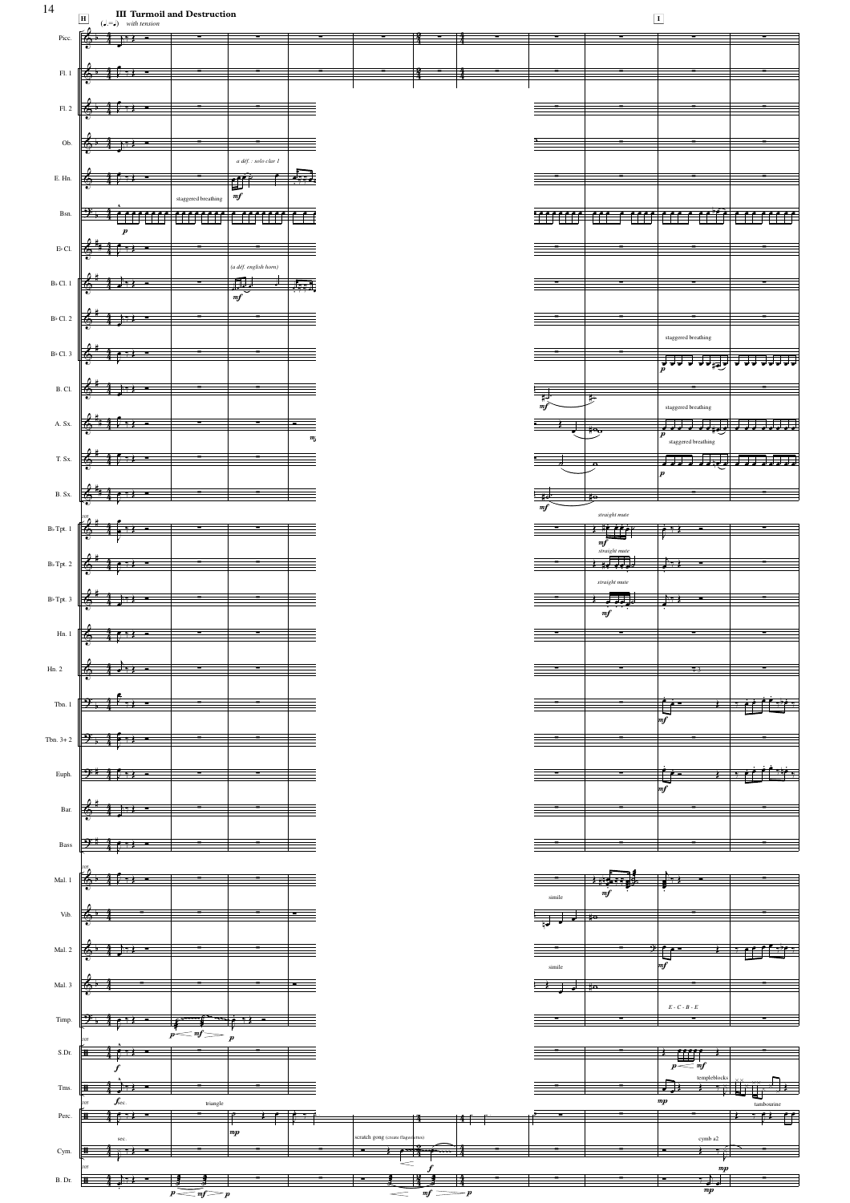

4 2 ˙ æ ˙ æ

.

 $\overline{m}$ f $\geq$ p

p

 $\widetilde{\scriptscriptstyle{\mathit{mf}}}$ p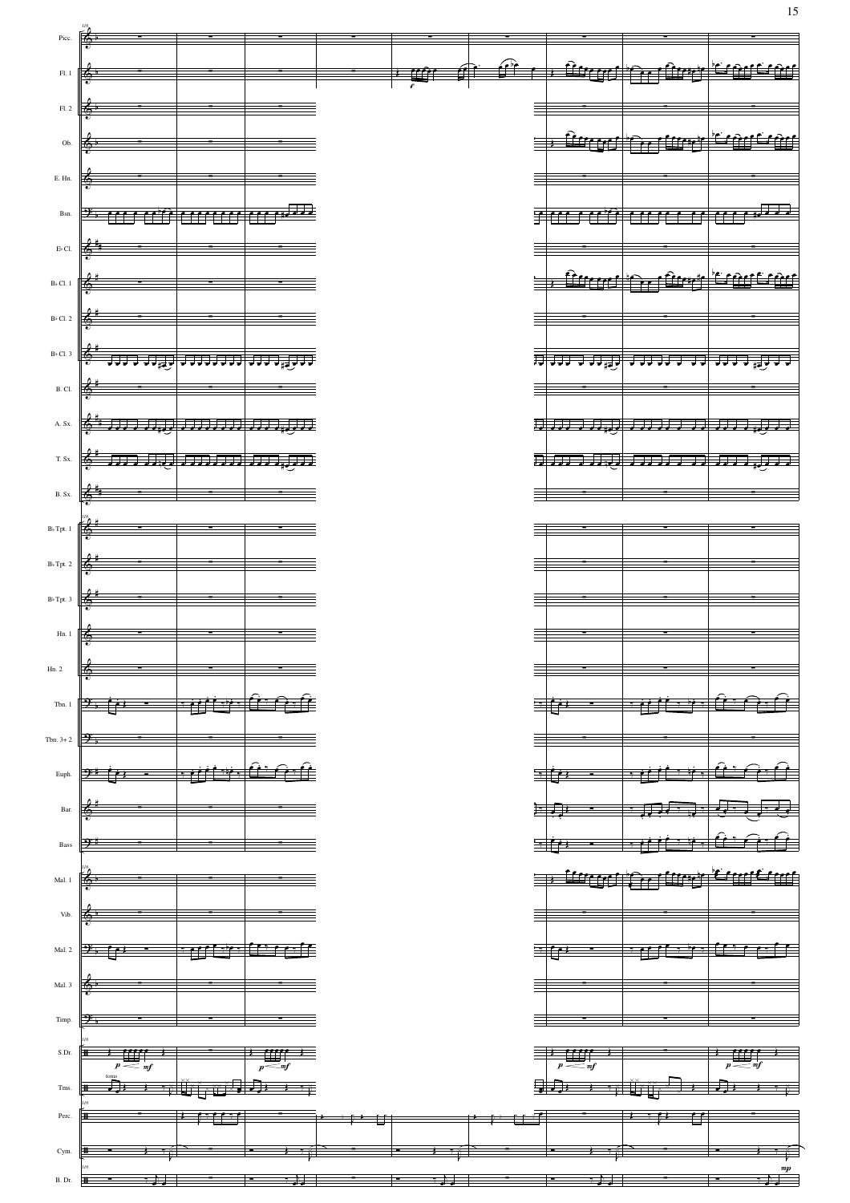|               | Picc. $\left[\begin{array}{ccc} \stackrel{\frown}{\bullet} & \stackrel{\frown}{\bullet} \\ \stackrel{\frown}{\bullet} & \stackrel{\frown}{\bullet} \end{array}\right]$                                                                                                                                                  |                                                                          |  |  |                              |                                                                                                    |                                                                                                                                                                                                                                                                                                                                                                    |
|---------------|-------------------------------------------------------------------------------------------------------------------------------------------------------------------------------------------------------------------------------------------------------------------------------------------------------------------------|--------------------------------------------------------------------------|--|--|------------------------------|----------------------------------------------------------------------------------------------------|--------------------------------------------------------------------------------------------------------------------------------------------------------------------------------------------------------------------------------------------------------------------------------------------------------------------------------------------------------------------|
|               | FLI $\overline{\mathbf{6}}$                                                                                                                                                                                                                                                                                             |                                                                          |  |  |                              |                                                                                                    |                                                                                                                                                                                                                                                                                                                                                                    |
|               |                                                                                                                                                                                                                                                                                                                         |                                                                          |  |  |                              |                                                                                                    |                                                                                                                                                                                                                                                                                                                                                                    |
|               | $F1.2$ $\downarrow$                                                                                                                                                                                                                                                                                                     |                                                                          |  |  |                              |                                                                                                    |                                                                                                                                                                                                                                                                                                                                                                    |
|               | $\frac{2}{5}$ b $\frac{2}{5}$ b $\frac{2}{5}$ b $\frac{2}{5}$ b $\frac{2}{5}$ c $\frac{2}{5}$ c $\frac{2}{5}$ c $\frac{2}{5}$ c $\frac{2}{5}$ c $\frac{2}{5}$ c $\frac{2}{5}$ c $\frac{2}{5}$ c $\frac{2}{5}$ c $\frac{2}{5}$ c $\frac{2}{5}$ c $\frac{2}{5}$ c $\frac{2}{5}$ c $\frac{2}{5}$ c $\frac{2$               |                                                                          |  |  |                              |                                                                                                    | <u>ה למימיו לקיומי "בימוכימו"</u>                                                                                                                                                                                                                                                                                                                                  |
|               | E. Hn. $\frac{2}{\sqrt{2}}$                                                                                                                                                                                                                                                                                             |                                                                          |  |  |                              |                                                                                                    |                                                                                                                                                                                                                                                                                                                                                                    |
|               | $B_{SD}$ $\frac{1}{2}$ $\frac{1}{2}$ $\frac{1}{2}$ $\frac{1}{2}$ $\frac{1}{2}$ $\frac{1}{2}$ $\frac{1}{2}$ $\frac{1}{2}$ $\frac{1}{2}$ $\frac{1}{2}$ $\frac{1}{2}$ $\frac{1}{2}$ $\frac{1}{2}$ $\frac{1}{2}$ $\frac{1}{2}$ $\frac{1}{2}$ $\frac{1}{2}$ $\frac{1}{2}$ $\frac{1}{2}$ $\frac{1}{2}$ $\frac{1}{2}$ $\frac{$ |                                                                          |  |  |                              | <u> Terre di Perre del continu</u>                                                                 |                                                                                                                                                                                                                                                                                                                                                                    |
|               | $B \text{ C.}$ $\frac{24}{9}$                                                                                                                                                                                                                                                                                           |                                                                          |  |  |                              |                                                                                                    |                                                                                                                                                                                                                                                                                                                                                                    |
|               | $B_3$ Cl. 1                                                                                                                                                                                                                                                                                                             |                                                                          |  |  |                              |                                                                                                    | <u>ו לנוצרים וליצון לנוצי "בו מולי ממ</u>                                                                                                                                                                                                                                                                                                                          |
|               | B/C. 2                                                                                                                                                                                                                                                                                                                  |                                                                          |  |  |                              |                                                                                                    |                                                                                                                                                                                                                                                                                                                                                                    |
|               | <mark>נככה בבבר <mark>נכבר כבכל לכובר כבכל היו ל</mark>יושי</mark>                                                                                                                                                                                                                                                      |                                                                          |  |  |                              |                                                                                                    | <del>. נינין, ניני (נדינוניג (נדינו ליניג ליניג (נ</del>                                                                                                                                                                                                                                                                                                           |
|               | B.Cl. $\frac{24}{5}$                                                                                                                                                                                                                                                                                                    |                                                                          |  |  |                              |                                                                                                    |                                                                                                                                                                                                                                                                                                                                                                    |
|               | A. S. <b>E. 1999 D. 1999 D. 1999 D. 1999</b>                                                                                                                                                                                                                                                                            |                                                                          |  |  |                              |                                                                                                    | $\overline{D}$ , $\overline{D}$ , $\overline{D}$ , $\overline{D}$ , $\overline{D}$ , $\overline{D}$ , $\overline{D}$ , $\overline{D}$ , $\overline{D}$ , $\overline{D}$                                                                                                                                                                                            |
|               |                                                                                                                                                                                                                                                                                                                         |                                                                          |  |  |                              |                                                                                                    |                                                                                                                                                                                                                                                                                                                                                                    |
|               | T.S. 6 1111 112 1111 1111 1111, 171                                                                                                                                                                                                                                                                                     |                                                                          |  |  |                              |                                                                                                    | <u>. בדק, רדת (בדת הדת הדת הדת ה</u>                                                                                                                                                                                                                                                                                                                               |
|               | B. Sx. $\frac{2\frac{a}{b}}{b}$ = $\frac{1}{b}$ = $\frac{1}{b}$ = $\frac{1}{b}$ = $\frac{1}{b}$ = $\frac{1}{b}$ = $\frac{1}{b}$ = $\frac{1}{b}$ = $\frac{1}{b}$ = $\frac{1}{c}$ = $\frac{1}{c}$ = $\frac{1}{c}$ = $\frac{1}{c}$ = $\frac{1}{c}$ = $\frac{1}{c}$ = $\frac{1}{c}$ = $\frac{1}{c}$ = $\frac$               |                                                                          |  |  |                              |                                                                                                    |                                                                                                                                                                                                                                                                                                                                                                    |
|               | $B_3$ Tpt. 1                                                                                                                                                                                                                                                                                                            |                                                                          |  |  |                              |                                                                                                    |                                                                                                                                                                                                                                                                                                                                                                    |
|               | $B_3$ Tpt. 2 $\frac{A_1^2}{2}$                                                                                                                                                                                                                                                                                          |                                                                          |  |  |                              |                                                                                                    |                                                                                                                                                                                                                                                                                                                                                                    |
|               | $B^3 T pt. 3$                                                                                                                                                                                                                                                                                                           |                                                                          |  |  |                              |                                                                                                    |                                                                                                                                                                                                                                                                                                                                                                    |
|               | $Hn.1$ $\frac{1}{20}$                                                                                                                                                                                                                                                                                                   |                                                                          |  |  |                              |                                                                                                    |                                                                                                                                                                                                                                                                                                                                                                    |
| Hn. 2         |                                                                                                                                                                                                                                                                                                                         |                                                                          |  |  |                              |                                                                                                    |                                                                                                                                                                                                                                                                                                                                                                    |
| Tbn. 1        | <u> 25 (2000 - 10 22 (22 1) (22 22 1)</u>                                                                                                                                                                                                                                                                               |                                                                          |  |  |                              | <u>sije: -   renji re</u> nj                                                                       | بوبية                                                                                                                                                                                                                                                                                                                                                              |
| Tbn. $3+2$    | D.                                                                                                                                                                                                                                                                                                                      |                                                                          |  |  |                              |                                                                                                    |                                                                                                                                                                                                                                                                                                                                                                    |
| Euph.         | $2^*$ $\leftrightarrow$                                                                                                                                                                                                                                                                                                 | $\rightarrow$ energy $\rightarrow$                                       |  |  | $\mathbf{F}(\boldsymbol{t})$ | $\left\vert \cdot \right\rangle$ $\left\vert \cdot \right\rangle$ $\left\vert \cdot \right\rangle$ |                                                                                                                                                                                                                                                                                                                                                                    |
| Bar.          | 6' -                                                                                                                                                                                                                                                                                                                    |                                                                          |  |  |                              |                                                                                                    | $\frac{1}{2}$                                                                                                                                                                                                                                                                                                                                                      |
| Bass          |                                                                                                                                                                                                                                                                                                                         |                                                                          |  |  |                              |                                                                                                    | str <del>- 1. grav, 2. gr</del> i                                                                                                                                                                                                                                                                                                                                  |
|               |                                                                                                                                                                                                                                                                                                                         |                                                                          |  |  |                              |                                                                                                    | <u>הוא לגרמים ולא יולדומו לאמר ל</u>                                                                                                                                                                                                                                                                                                                               |
| Mal. 1        |                                                                                                                                                                                                                                                                                                                         |                                                                          |  |  |                              |                                                                                                    |                                                                                                                                                                                                                                                                                                                                                                    |
| Vib.          | $\overline{\bullet}$                                                                                                                                                                                                                                                                                                    |                                                                          |  |  |                              |                                                                                                    |                                                                                                                                                                                                                                                                                                                                                                    |
| Mal. 2        | <del>9, gans - pagitar (12) gali</del>                                                                                                                                                                                                                                                                                  |                                                                          |  |  |                              |                                                                                                    | $\begin{picture}(150,10) \put(0,0){\vector(1,0){100}} \put(10,0){\vector(1,0){100}} \put(10,0){\vector(1,0){100}} \put(10,0){\vector(1,0){100}} \put(10,0){\vector(1,0){100}} \put(10,0){\vector(1,0){100}} \put(10,0){\vector(1,0){100}} \put(10,0){\vector(1,0){100}} \put(10,0){\vector(1,0){100}} \put(10,0){\vector(1,0){100}} \put(10,0){\vector(1,0){100}}$ |
| Mal. 3        | $\frac{1}{6}$                                                                                                                                                                                                                                                                                                           |                                                                          |  |  |                              |                                                                                                    |                                                                                                                                                                                                                                                                                                                                                                    |
| Timp.         |                                                                                                                                                                                                                                                                                                                         |                                                                          |  |  |                              |                                                                                                    |                                                                                                                                                                                                                                                                                                                                                                    |
| S.Dr.         | $\frac{1}{p}$ $\frac{1}{p}$                                                                                                                                                                                                                                                                                             |                                                                          |  |  | $\frac{1}{p}$                |                                                                                                    | $\frac{1}{p}$                                                                                                                                                                                                                                                                                                                                                      |
| Tms.          | ▆▁ <sup>▔▛</sup> ▛▁▗▁ <sub>▝▐</sub> ▏▏░ <sub>▛</sub> <sub>▆</sub> ▅▅▛▛▊▞▛ <del>▖▁▖▝<sub>▐</sub></del>                                                                                                                                                                                                                   |                                                                          |  |  |                              |                                                                                                    | $\mathbb{Z}$ , $\mathbb{Z}$                                                                                                                                                                                                                                                                                                                                        |
| Perc.         |                                                                                                                                                                                                                                                                                                                         | $\left  \cdot \right $ , $\left  \cdot \right $ , $\left  \cdot \right $ |  |  |                              |                                                                                                    |                                                                                                                                                                                                                                                                                                                                                                    |
| Cym.          |                                                                                                                                                                                                                                                                                                                         |                                                                          |  |  |                              |                                                                                                    |                                                                                                                                                                                                                                                                                                                                                                    |
| <b>B.</b> Dr. |                                                                                                                                                                                                                                                                                                                         |                                                                          |  |  |                              |                                                                                                    |                                                                                                                                                                                                                                                                                                                                                                    |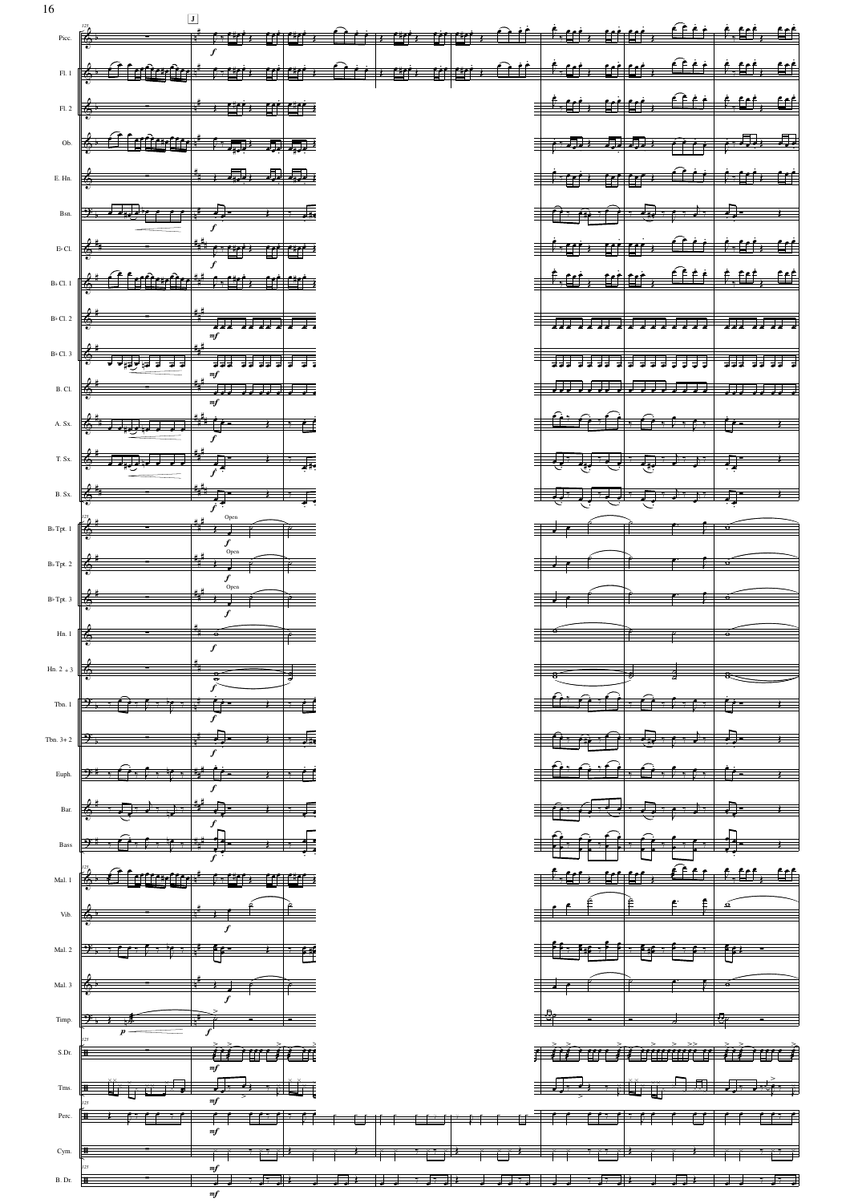| ×<br>٧ |  |
|--------|--|
|        |  |

| 16                                                                                                                                                                                                                                                                                                                                                                                                                                                                                           |                                             | $\mathbf J$   |                                        |                          |                                   |  |   |                                                                                                                                                                                                                                                                                                                                                                                                                                                                             |                                                                                         |                                                                                                                      |                         |
|----------------------------------------------------------------------------------------------------------------------------------------------------------------------------------------------------------------------------------------------------------------------------------------------------------------------------------------------------------------------------------------------------------------------------------------------------------------------------------------------|---------------------------------------------|---------------|----------------------------------------|--------------------------|-----------------------------------|--|---|-----------------------------------------------------------------------------------------------------------------------------------------------------------------------------------------------------------------------------------------------------------------------------------------------------------------------------------------------------------------------------------------------------------------------------------------------------------------------------|-----------------------------------------------------------------------------------------|----------------------------------------------------------------------------------------------------------------------|-------------------------|
| Picc.                                                                                                                                                                                                                                                                                                                                                                                                                                                                                        | ⊺6                                          |               | <u>- Do Cario - Cristanico I</u>       |                          |                                   |  |   | <u> Prima rana ranara Codô (Ascôl concerta</u>                                                                                                                                                                                                                                                                                                                                                                                                                              |                                                                                         | <del>نْتَ رَبَّا رَبَّابَ الْ</del>                                                                                  |                         |
| FL1                                                                                                                                                                                                                                                                                                                                                                                                                                                                                          | f d'Érrênek (nere dri dri s<br>6            |               |                                        |                          | f f f f i al ciefa - cief ciefa a |  | f | $\mathbb{R}^n$ , if $\mathbb{R}^n$ , if $\mathbb{R}^n$                                                                                                                                                                                                                                                                                                                                                                                                                      |                                                                                         | $\left  \left  \cdot , \left  \right  \right  \right\rangle$ , $\left  \right $                                      |                         |
| FL.2                                                                                                                                                                                                                                                                                                                                                                                                                                                                                         | €                                           |               | $\mathbb{R} \times \mathbb{Z}$ t die a |                          |                                   |  |   | <u>ter cricr. Chitles, cri</u>                                                                                                                                                                                                                                                                                                                                                                                                                                              |                                                                                         |                                                                                                                      |                         |
| Ob.                                                                                                                                                                                                                                                                                                                                                                                                                                                                                          | éférterterki dago gigo                      |               |                                        |                          |                                   |  |   | ‡त्यः प्राणः <u>तित्तंती</u> ः पी                                                                                                                                                                                                                                                                                                                                                                                                                                           |                                                                                         |                                                                                                                      |                         |
| ${\bf E}.$ Hn.                                                                                                                                                                                                                                                                                                                                                                                                                                                                               | 凾                                           | 隼             | $\sqrt{2}$                             |                          |                                   |  | 丰 | ) من امن امن المنابع المنابع المنابع المنابع<br>المنابع المنابع المنابع المنابع المنابع المنابع المنابع                                                                                                                                                                                                                                                                                                                                                                     | $\sim$ $\sim$ $\sim$                                                                    | $\mathfrak{f}:\underline{\mathfrak{f}}\mathfrak{f}\longrightarrow \underline{\mathfrak{f}}\underline{\mathfrak{f}}'$ |                         |
| Bsn.                                                                                                                                                                                                                                                                                                                                                                                                                                                                                         | $\overline{z}$<br>2,                        |               |                                        | 靠                        |                                   |  | 丰 | $\left  \frac{1}{2} \right  \left  \frac{1}{2} \right  \left  \frac{1}{2} \right  \left  \frac{1}{2} \right  \left  \frac{1}{2} \right  \left  \frac{1}{2} \right  \left  \frac{1}{2} \right  \left  \frac{1}{2} \right  \left  \frac{1}{2} \right  \left  \frac{1}{2} \right  \left  \frac{1}{2} \right  \left  \frac{1}{2} \right  \left  \frac{1}{2} \right  \left  \frac{1}{2} \right  \left  \frac{1}{2} \right  \left  \frac{1}{2} \right  \left  \frac{1}{2} \right$ |                                                                                         |                                                                                                                      | $\overline{\mathbf{r}}$ |
| $\to$ Cl.                                                                                                                                                                                                                                                                                                                                                                                                                                                                                    | 唾                                           |               |                                        |                          |                                   |  |   |                                                                                                                                                                                                                                                                                                                                                                                                                                                                             |                                                                                         |                                                                                                                      |                         |
| $\rm B\!\!\,\flat\!\!\!\!\circ\!\!\!\!\circ\!\!\!\!\circ\!\!\!\!\circ\!\!\!\!\circ\!\!\!\!\circ\!\!\!\!\circ\!\!\!\!\circ\!\!\!\!\circ\!\!\!\!\circ\!\!\!\!\circ\!\!\!\!\circ\!\!\!\!\circ\!\!\!\!\circ\!\!\!\!\circ\!\!\!\!\circ\!\!\!\!\circ\!\!\!\!\circ\!\!\!\!\circ\!\!\!\!\circ\!\!\!\!\circ\!\!\!\!\circ\!\!\!\!\circ\!\!\!\!\circ\!\!\!\!\circ\!\!\!\!\circ\!\!\!\!\circ\!\!\!\!\circ\!\!\!\!\circ\!\!\!\!\circ\!\!\!\!\circ\!\!\!\!\circ\!\!\!\!\circ\!\!\!\!\circ\!\!\!\!\circ\!\$ | <u>a free free se</u>                       |               | <i>九世</i> : 百世 :                       |                          |                                   |  |   | $\left \left \hat{v},\underline{c}v\right\rangle\right\rangle$ , $\left \left \hat{c}v\right\rangle\right\rangle$ , $\left \left \hat{c},\underline{c}v\right\rangle\right\rangle$ , $\left \underline{c}v\right\rangle$                                                                                                                                                                                                                                                    |                                                                                         |                                                                                                                      |                         |
| $\rm B\ensuremath{\,\dot{b}}$ Cl. 2                                                                                                                                                                                                                                                                                                                                                                                                                                                          |                                             | Ŧ             | , <del>,, ,, ,, , , , ,</del>          |                          |                                   |  |   | 7777777777777777777777777                                                                                                                                                                                                                                                                                                                                                                                                                                                   |                                                                                         |                                                                                                                      |                         |
| $\rm B\!\!\,\flat\!\!\!\!\circ\!\!\!\!\circ\!\!\!\!\circ\!\!\!\circ\!\!\!\!\circ\!\!\!\!\circ\!\!\!\!\circ\!\!\!\!\circ\!\!\!\!\circ\!\!\!\!\circ\!\!\!\!\circ\!\!\!\!\circ\!\!\!\!\circ\!\!\!\!\circ\!\!\!\!\circ\!\!\!\!\circ\!\!\!\!\circ\!\!\!\!\circ\!\!\!\!\circ\!\!\!\!\circ\!\!\!\!\circ\!\!\!\!\circ\!\!\!\!\circ\!\!\!\!\circ\!\!\!\!\circ\!\!\!\!\circ\!\!\!\!\circ\!\!\!\!\circ\!\!\!\!\circ\!\!\!\!\circ\!\!\!\!\circ\!\!\!\!\circ\!\!\!\!\circ\!\!\!\!\circ\!\!\!\!\circ\!\!\$ | ⊕<br>₹₹₹                                    |               |                                        | न कर ज                   |                                   |  |   | <del>111 111 11 1 1 1 1 1 1 1 1 1</del>                                                                                                                                                                                                                                                                                                                                                                                                                                     |                                                                                         | <del>.,, ,, ,, ,</del>                                                                                               |                         |
| B.Cl.                                                                                                                                                                                                                                                                                                                                                                                                                                                                                        | ⊕                                           |               | mf                                     |                          |                                   |  |   |                                                                                                                                                                                                                                                                                                                                                                                                                                                                             |                                                                                         | $\overline{J}$ , $\overline{J}$ , $\overline{J}$ , $\overline{J}$                                                    |                         |
| A. Sx.                                                                                                                                                                                                                                                                                                                                                                                                                                                                                       | ⊕<br>لەرلەردە                               |               | ŕ۰.                                    | $\mathbf{r}$             |                                   |  |   |                                                                                                                                                                                                                                                                                                                                                                                                                                                                             | $f: f \mapsto f \mapsto f \mapsto f \mapsto f \mapsto f$                                |                                                                                                                      | $\rightarrow$           |
| T. Sx.                                                                                                                                                                                                                                                                                                                                                                                                                                                                                       | J.J.J.J.J.J<br>⊕                            |               | ी                                      | 泵                        |                                   |  |   | $\frac{1}{2}$ $\frac{1}{2}$ $\frac{1}{2}$ $\frac{1}{2}$ $\frac{1}{2}$ $\frac{1}{2}$ $\frac{1}{2}$ $\frac{1}{2}$ $\frac{1}{2}$ $\frac{1}{2}$ $\frac{1}{2}$ $\frac{1}{2}$ $\frac{1}{2}$ $\frac{1}{2}$ $\frac{1}{2}$ $\frac{1}{2}$ $\frac{1}{2}$ $\frac{1}{2}$ $\frac{1}{2}$ $\frac{1}{2}$ $\frac{1}{2}$ $\frac{1}{2}$                                                                                                                                                         |                                                                                         | ्रा                                                                                                                  |                         |
| B. Sx.                                                                                                                                                                                                                                                                                                                                                                                                                                                                                       |                                             |               |                                        | 戸                        |                                   |  | 丰 | स्*                                                                                                                                                                                                                                                                                                                                                                                                                                                                         |                                                                                         |                                                                                                                      |                         |
| $\rm B\flat$ Tpt. 1                                                                                                                                                                                                                                                                                                                                                                                                                                                                          |                                             | l#' ≀         | $\rightarrow$                          | $\equiv$                 |                                   |  |   |                                                                                                                                                                                                                                                                                                                                                                                                                                                                             |                                                                                         | $\mathbf{o}$                                                                                                         |                         |
| $\rm B\!\!\,\flat$ Tpt. 2                                                                                                                                                                                                                                                                                                                                                                                                                                                                    | 6                                           | ₩             |                                        | $\dot{r}$ =              |                                   |  |   |                                                                                                                                                                                                                                                                                                                                                                                                                                                                             |                                                                                         | ு                                                                                                                    |                         |
| $\rm B \flat$ Tpt. 3                                                                                                                                                                                                                                                                                                                                                                                                                                                                         | 6                                           |               | Oper<br>$\overline{\textbf{F}}$        |                          |                                   |  |   |                                                                                                                                                                                                                                                                                                                                                                                                                                                                             |                                                                                         | $\mathbf{\sigma}$                                                                                                    |                         |
| Hn.1                                                                                                                                                                                                                                                                                                                                                                                                                                                                                         | $\overline{\phantom{a}}$<br>$\blacklozenge$ | $\frac{5}{4}$ |                                        | P =                      |                                   |  |   | $\bullet$                                                                                                                                                                                                                                                                                                                                                                                                                                                                   |                                                                                         |                                                                                                                      |                         |
| $Hn. 2 + 3$                                                                                                                                                                                                                                                                                                                                                                                                                                                                                  |                                             |               |                                        |                          |                                   |  |   |                                                                                                                                                                                                                                                                                                                                                                                                                                                                             |                                                                                         |                                                                                                                      |                         |
| Tbn. 1                                                                                                                                                                                                                                                                                                                                                                                                                                                                                       | $\sim$<br>יי                                |               |                                        |                          |                                   |  |   |                                                                                                                                                                                                                                                                                                                                                                                                                                                                             |                                                                                         |                                                                                                                      |                         |
| Tbn. $3+2$                                                                                                                                                                                                                                                                                                                                                                                                                                                                                   | ナ                                           |               |                                        |                          |                                   |  |   | $2^{\prime}$ $\prime$<br>f * *                                                                                                                                                                                                                                                                                                                                                                                                                                              |                                                                                         |                                                                                                                      |                         |
| Euph.                                                                                                                                                                                                                                                                                                                                                                                                                                                                                        | 9:1<br>$\cdot$ if $\cdot$ if $\cdot$        |               |                                        | $\overline{\phantom{a}}$ |                                   |  |   |                                                                                                                                                                                                                                                                                                                                                                                                                                                                             |                                                                                         |                                                                                                                      |                         |
| Bar.                                                                                                                                                                                                                                                                                                                                                                                                                                                                                         | ┱                                           |               |                                        |                          |                                   |  |   |                                                                                                                                                                                                                                                                                                                                                                                                                                                                             | $\sqrt{1 + \frac{1}{2}}$                                                                |                                                                                                                      |                         |
| Bass                                                                                                                                                                                                                                                                                                                                                                                                                                                                                         |                                             |               | 74.                                    |                          |                                   |  |   |                                                                                                                                                                                                                                                                                                                                                                                                                                                                             | ⊣∗                                                                                      |                                                                                                                      |                         |
| Mal. 1                                                                                                                                                                                                                                                                                                                                                                                                                                                                                       | eff febri feel                              |               |                                        |                          |                                   |  |   |                                                                                                                                                                                                                                                                                                                                                                                                                                                                             |                                                                                         |                                                                                                                      |                         |
| Vib.                                                                                                                                                                                                                                                                                                                                                                                                                                                                                         |                                             |               |                                        |                          |                                   |  |   |                                                                                                                                                                                                                                                                                                                                                                                                                                                                             |                                                                                         | $\frac{6}{2}$                                                                                                        |                         |
| Mal. 2                                                                                                                                                                                                                                                                                                                                                                                                                                                                                       | $, \, \, \cdot$ $, \, \, \cdot$             |               |                                        |                          |                                   |  |   | <u>.</u>                                                                                                                                                                                                                                                                                                                                                                                                                                                                    | $\lceil \frac{1}{2} \rceil$ , $\lceil \frac{1}{2} \rceil$ , $\lceil \frac{1}{2} \rceil$ |                                                                                                                      |                         |
| Mal. 3                                                                                                                                                                                                                                                                                                                                                                                                                                                                                       | ⊕                                           |               |                                        |                          |                                   |  |   |                                                                                                                                                                                                                                                                                                                                                                                                                                                                             |                                                                                         |                                                                                                                      |                         |
| Timp.                                                                                                                                                                                                                                                                                                                                                                                                                                                                                        | ツァミ                                         |               |                                        |                          |                                   |  |   |                                                                                                                                                                                                                                                                                                                                                                                                                                                                             |                                                                                         |                                                                                                                      |                         |
| S.Dr.                                                                                                                                                                                                                                                                                                                                                                                                                                                                                        | ⊞                                           |               |                                        |                          |                                   |  |   |                                                                                                                                                                                                                                                                                                                                                                                                                                                                             |                                                                                         |                                                                                                                      | Ŧ                       |
| Tms.<br>Perc.                                                                                                                                                                                                                                                                                                                                                                                                                                                                                | 田                                           |               |                                        |                          |                                   |  |   |                                                                                                                                                                                                                                                                                                                                                                                                                                                                             |                                                                                         |                                                                                                                      | Ť<br>$\cdots$           |
| Cym.                                                                                                                                                                                                                                                                                                                                                                                                                                                                                         | Œ                                           |               | mf                                     |                          |                                   |  |   |                                                                                                                                                                                                                                                                                                                                                                                                                                                                             |                                                                                         |                                                                                                                      |                         |
| B. Dr.                                                                                                                                                                                                                                                                                                                                                                                                                                                                                       |                                             |               |                                        |                          |                                   |  |   |                                                                                                                                                                                                                                                                                                                                                                                                                                                                             |                                                                                         |                                                                                                                      |                         |
|                                                                                                                                                                                                                                                                                                                                                                                                                                                                                              |                                             |               | m f                                    |                          |                                   |  |   |                                                                                                                                                                                                                                                                                                                                                                                                                                                                             |                                                                                         |                                                                                                                      |                         |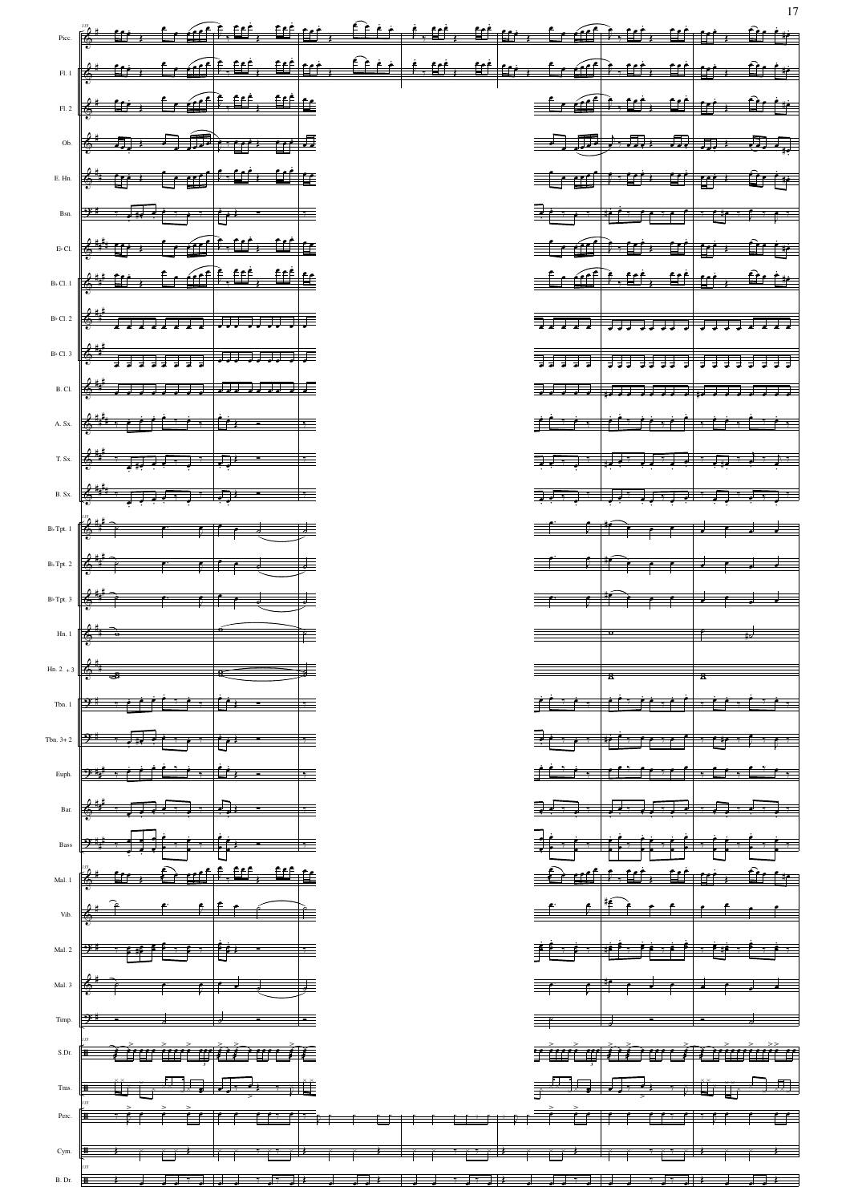|                                                                                                                                                                                                                                                                                                                                                                                                                                                                                                                                                                                                                                                                   |                       |  |  |                                                                                                                                                                                                                                                                                                                                                                                                                                                                                                                                      |  | 17 |
|-------------------------------------------------------------------------------------------------------------------------------------------------------------------------------------------------------------------------------------------------------------------------------------------------------------------------------------------------------------------------------------------------------------------------------------------------------------------------------------------------------------------------------------------------------------------------------------------------------------------------------------------------------------------|-----------------------|--|--|--------------------------------------------------------------------------------------------------------------------------------------------------------------------------------------------------------------------------------------------------------------------------------------------------------------------------------------------------------------------------------------------------------------------------------------------------------------------------------------------------------------------------------------|--|----|
| المدر النَّ <del>جُّ شَفَاء كَ وَشَفْرُ</del> أَنْ فَقَدْ إِنَّ مَنْ الْأَلْفَاءِ فَي الْقَارَاتِ وَاللَّهُ وَمَثَلُونَ وَاللَّهُ وَاللَّهُ وَاللَّهُ وَاللَّهُ وَاللَّهُ وَاللَّهُ وَاللَّهُ وَاللَّهُ وَاللَّهُ وَاللَّهُ وَاللَّهُ و                                                                                                                                                                                                                                                                                                                                                                                                                           |                       |  |  |                                                                                                                                                                                                                                                                                                                                                                                                                                                                                                                                      |  |    |
| <u>الج<sup>د</sup> شدن ، ف منتقل آن شنا ، فقا اشدن ، فكشف الشريف اشدن ، في منتقل آن شنا ، شدن اسدن ، اشك فيه ا</u>                                                                                                                                                                                                                                                                                                                                                                                                                                                                                                                                                |                       |  |  |                                                                                                                                                                                                                                                                                                                                                                                                                                                                                                                                      |  |    |
| ne <mark>de com la conflicta conflor</mark>                                                                                                                                                                                                                                                                                                                                                                                                                                                                                                                                                                                                                       |                       |  |  | <u> – Er ett<sup>e</sup>r, tri , i tri er , i fries</u>                                                                                                                                                                                                                                                                                                                                                                                                                                                                              |  |    |
| $\sim$ $\frac{1}{2}$ $\sim$ $\sqrt{2}$ $\sim$ $\sim$ $\sqrt{2}$                                                                                                                                                                                                                                                                                                                                                                                                                                                                                                                                                                                                   |                       |  |  | $\overline{1}$ , $\overline{1}$ , $\overline{1}$ , $\overline{1}$ , $\overline{1}$ , $\overline{1}$ , $\overline{1}$ , $\overline{1}$ , $\overline{1}$                                                                                                                                                                                                                                                                                                                                                                               |  |    |
|                                                                                                                                                                                                                                                                                                                                                                                                                                                                                                                                                                                                                                                                   |                       |  |  | <u> - En codi (n Coix) - College x - Concert</u>                                                                                                                                                                                                                                                                                                                                                                                                                                                                                     |  |    |
| Bsn. $\frac{1}{2}$                                                                                                                                                                                                                                                                                                                                                                                                                                                                                                                                                                                                                                                |                       |  |  | <u> 2007 - 1908 - 1909 - 1909 - 1909 - 1909 - 1909 - 1909 - 1909 - 1909 - 1909 - 1909 - 1909 - 1909 - 1909 - 190</u>                                                                                                                                                                                                                                                                                                                                                                                                                 |  |    |
| ⊳a <mark> &lt; #red is a contracted</mark> pro                                                                                                                                                                                                                                                                                                                                                                                                                                                                                                                                                                                                                    |                       |  |  | <u>stréditstri digitalités digital</u>                                                                                                                                                                                                                                                                                                                                                                                                                                                                                               |  |    |
| Bar <mark>List of the Contract of the Contract of the Second Second Second Second Second Second Second Second Second Second Second Second Second Second Second Second Second Second Second Second Second Second Second Second Secon</mark>                                                                                                                                                                                                                                                                                                                                                                                                                        |                       |  |  | <u>= Er éti   À, tti , - tti   tri , - tir i v</u>                                                                                                                                                                                                                                                                                                                                                                                                                                                                                   |  |    |
| $B_{\rm p}$ $\alpha$ $\beta$ $\frac{H^2}{\sqrt{2}}$ $\frac{1}{\sqrt{2(1-\frac{1}{2}-\frac{1}{2})}}$ $\frac{1}{\sqrt{2(1-\frac{1}{2}-\frac{1}{2})}}$ $\frac{1}{\sqrt{2}}$                                                                                                                                                                                                                                                                                                                                                                                                                                                                                          |                       |  |  | a japanja japanja japanja japani na kana japanja japanja japanja japanja japanja japanja japanja japanja japanj                                                                                                                                                                                                                                                                                                                                                                                                                      |  |    |
|                                                                                                                                                                                                                                                                                                                                                                                                                                                                                                                                                                                                                                                                   |                       |  |  |                                                                                                                                                                                                                                                                                                                                                                                                                                                                                                                                      |  |    |
|                                                                                                                                                                                                                                                                                                                                                                                                                                                                                                                                                                                                                                                                   |                       |  |  | <del>JATA MARATAN MARI</del>                                                                                                                                                                                                                                                                                                                                                                                                                                                                                                         |  |    |
| $\Delta S_x$ $\left  \xi^{\frac{1+\beta}{2}} + \xi \right  \leq \xi^{\frac{1-\beta}{2}}$                                                                                                                                                                                                                                                                                                                                                                                                                                                                                                                                                                          |                       |  |  |                                                                                                                                                                                                                                                                                                                                                                                                                                                                                                                                      |  |    |
| T. Sx. $\frac{2\frac{1+\frac{1}{2}}{2}+\frac{1}{2}}{\frac{1}{2}+\frac{1}{2}+\frac{1}{2}+\frac{1}{2}+\frac{1}{2}+\frac{1}{2}+\frac{1}{2}+\cdots}$                                                                                                                                                                                                                                                                                                                                                                                                                                                                                                                  |                       |  |  | $\frac{1}{2}$ , $\frac{1}{2}$ , $\frac{1}{2}$ , $\frac{1}{2}$ , $\frac{1}{2}$ , $\frac{1}{2}$ , $\frac{1}{2}$ , $\frac{1}{2}$ , $\frac{1}{2}$ , $\frac{1}{2}$                                                                                                                                                                                                                                                                                                                                                                        |  |    |
| B. Sx. $\frac{2}{3}$ $\frac{2}{3}$ $\frac{1}{3}$ $\frac{1}{3}$ $\frac{1}{3}$ $\frac{1}{3}$ $\frac{1}{3}$ $\frac{1}{3}$ $\frac{1}{3}$ $\frac{1}{3}$ $\frac{1}{3}$ $\frac{1}{3}$ $\frac{1}{3}$ $\frac{1}{3}$ $\frac{1}{3}$ $\frac{1}{3}$ $\frac{1}{3}$ $\frac{1}{3}$ $\frac{1}{3}$ $\frac{1}{3}$ $\frac{1}{3}$ $\frac{$                                                                                                                                                                                                                                                                                                                                             |                       |  |  | <u>י רבי ית יובדו בית ירביב</u>                                                                                                                                                                                                                                                                                                                                                                                                                                                                                                      |  |    |
| $B_3$ Tpt. 1 $\frac{1}{2}$ $\frac{1}{2}$ $\frac{1}{2}$ $\frac{1}{2}$ $\frac{1}{2}$ $\frac{1}{2}$ $\frac{1}{2}$ $\frac{1}{2}$ $\frac{1}{2}$ $\frac{1}{2}$ $\frac{1}{2}$ $\frac{1}{2}$ $\frac{1}{2}$                                                                                                                                                                                                                                                                                                                                                                                                                                                                |                       |  |  |                                                                                                                                                                                                                                                                                                                                                                                                                                                                                                                                      |  |    |
| $B_3$ Tpt. 2 $\frac{2}{3}$ $\frac{2}{3}$ $\frac{2}{3}$ $\frac{2}{3}$ $\frac{2}{3}$ $\frac{2}{3}$ $\frac{2}{3}$ $\frac{2}{3}$ $\frac{2}{3}$ $\frac{2}{3}$ $\frac{2}{3}$ $\frac{2}{3}$ $\frac{2}{3}$ $\frac{2}{3}$ $\frac{2}{3}$ $\frac{2}{3}$ $\frac{2}{3}$ $\frac{2}{3}$ $\frac{2}{3}$ $\frac{2}{3}$ $\frac{2}{3}$                                                                                                                                                                                                                                                                                                                                                |                       |  |  |                                                                                                                                                                                                                                                                                                                                                                                                                                                                                                                                      |  |    |
| B> Tpt. 3                                                                                                                                                                                                                                                                                                                                                                                                                                                                                                                                                                                                                                                         |                       |  |  |                                                                                                                                                                                                                                                                                                                                                                                                                                                                                                                                      |  |    |
| $H_{\rm B}$ , $\frac{1}{2}$ , $\frac{1}{2}$ , $\frac{1}{2}$ , $\frac{1}{2}$ , $\frac{1}{2}$ , $\frac{1}{2}$ , $\frac{1}{2}$ , $\frac{1}{2}$ , $\frac{1}{2}$ , $\frac{1}{2}$ , $\frac{1}{2}$ , $\frac{1}{2}$ , $\frac{1}{2}$ , $\frac{1}{2}$ , $\frac{1}{2}$ , $\frac{1}{2}$ , $\frac{1}{2}$ , $\frac{1}{$                                                                                                                                                                                                                                                                                                                                                         |                       |  |  | $\overline{\phantom{a}}$ $\overline{\phantom{a}}$ $\overline{\phantom{a}}$ $\overline{\phantom{a}}$ $\overline{\phantom{a}}$ $\overline{\phantom{a}}$ $\overline{\phantom{a}}$ $\overline{\phantom{a}}$ $\overline{\phantom{a}}$ $\overline{\phantom{a}}$ $\overline{\phantom{a}}$ $\overline{\phantom{a}}$ $\overline{\phantom{a}}$ $\overline{\phantom{a}}$ $\overline{\phantom{a}}$ $\overline{\phantom{a}}$ $\overline{\phantom{a}}$ $\overline{\phantom{a}}$ $\overline{\$                                                      |  |    |
| $\frac{3}{2}$ $\frac{1}{2}$ $\frac{1}{2}$ $\frac{1}{2}$ $\frac{1}{2}$ $\frac{1}{2}$ $\frac{1}{2}$ $\frac{1}{2}$ $\frac{1}{2}$ $\frac{1}{2}$ $\frac{1}{2}$ $\frac{1}{2}$ $\frac{1}{2}$ $\frac{1}{2}$ $\frac{1}{2}$ $\frac{1}{2}$ $\frac{1}{2}$ $\frac{1}{2}$ $\frac{1}{2}$ $\frac{1}{2}$ $\frac{1}{2}$ $\frac{1}{2}$                                                                                                                                                                                                                                                                                                                                               |                       |  |  | $\begin{array}{c c c c c c} \hline \multicolumn{3}{c }{\textbf{a}} & \multicolumn{3}{c }{\textbf{a}} & \multicolumn{3}{c }{\textbf{a}} & \multicolumn{3}{c }{\textbf{a}} & \multicolumn{3}{c }{\textbf{a}} & \multicolumn{3}{c }{\textbf{a}} & \multicolumn{3}{c }{\textbf{a}} & \multicolumn{3}{c }{\textbf{a}} & \multicolumn{3}{c }{\textbf{a}} & \multicolumn{3}{c }{\textbf{a}} & \multicolumn{3}{c }{\textbf{a}} & \multicolumn{3}{c }{\textbf$                                                                                |  |    |
| Tbn. 1 $\frac{1}{2}$ if $\frac{1}{2}$ if $\frac{1}{2}$ if $\frac{1}{2}$ if $\frac{1}{2}$ if $\frac{1}{2}$ if $\frac{1}{2}$ if $\frac{1}{2}$ if $\frac{1}{2}$ if $\frac{1}{2}$ if $\frac{1}{2}$ if $\frac{1}{2}$ if $\frac{1}{2}$ if $\frac{1}{2}$ if $\frac{1}{2}$ if $\frac{1}{2}$ if $\frac{1}{$                                                                                                                                                                                                                                                                                                                                                                |                       |  |  |                                                                                                                                                                                                                                                                                                                                                                                                                                                                                                                                      |  |    |
|                                                                                                                                                                                                                                                                                                                                                                                                                                                                                                                                                                                                                                                                   |                       |  |  | $\frac{1}{2}$ ( $\frac{1}{2}$ ) $\frac{1}{2}$ ) $\frac{1}{2}$ ( $\frac{1}{2}$ ) $\frac{1}{2}$ ( $\frac{1}{2}$ ) $\frac{1}{2}$ ( $\frac{1}{2}$ ) $\frac{1}{2}$ ( $\frac{1}{2}$ ) $\frac{1}{2}$ ) $\frac{1}{2}$                                                                                                                                                                                                                                                                                                                        |  |    |
|                                                                                                                                                                                                                                                                                                                                                                                                                                                                                                                                                                                                                                                                   |                       |  |  | <u> † 12 + +   12 + 1 + 1 + 1 + 12 + 12 + 1</u>                                                                                                                                                                                                                                                                                                                                                                                                                                                                                      |  |    |
| $Bar$ $\frac{2}{3}$ $\frac{44}{3}$ $\frac{1}{2}$ $\frac{1}{2}$ $\frac{1}{2}$ $\frac{1}{2}$ $\frac{1}{2}$ $\frac{1}{2}$ $\frac{1}{2}$ $\frac{1}{2}$ $\frac{1}{2}$                                                                                                                                                                                                                                                                                                                                                                                                                                                                                                  |                       |  |  | $\overline{1}, \overline{1}, \overline{2}, \overline{3}, \overline{4}, \overline{5}, \overline{7}, \overline{7}, \overline{8}, \overline{9}, \overline{1}, \overline{1}, \overline{2}, \overline{3}, \overline{4}, \overline{5}, \overline{7}, \overline{8}, \overline{9}, \overline{1}, \overline{1}, \overline{2}, \overline{3}, \overline{4}, \overline{5}, \overline{6}, \overline{7}, \overline{8}, \overline{9}, \overline{1}, \overline{1}, \overline{2}, \overline{3}, \overline{4}, \overline{5}, \overline{6}, \overline{$ |  |    |
| $_{\text{Bas}}$ $\frac{1}{2^{k}+1}$ , $\frac{1}{2}$ , $\frac{1}{k}$ , $\frac{1}{k}$ , $\frac{1}{k}$ , $\frac{1}{k}$ , $\frac{1}{k}$ , $\frac{1}{k}$                                                                                                                                                                                                                                                                                                                                                                                                                                                                                                               |                       |  |  | <del>्थू पहुंच ह</del> िन्देहरू हो पहुंच के पहुंच है                                                                                                                                                                                                                                                                                                                                                                                                                                                                                 |  |    |
|                                                                                                                                                                                                                                                                                                                                                                                                                                                                                                                                                                                                                                                                   |                       |  |  | <del>and the company of the company of the company of the company of the company of the company of the company of the company of the company of the company of the company of the company of the company of the company of the com</del>                                                                                                                                                                                                                                                                                             |  |    |
| $v_{\rm{lb}}$ $\frac{24}{9}$ $\frac{400}{9}$ $\frac{400}{9}$ $\frac{400}{9}$ $\frac{400}{9}$ $\frac{400}{9}$ $\frac{400}{9}$ $\frac{400}{9}$ $\frac{400}{9}$ $\frac{400}{9}$ $\frac{400}{9}$ $\frac{400}{9}$ $\frac{400}{9}$ $\frac{400}{9}$ $\frac{400}{9}$ $\frac{400}{9}$ $\frac{400}{9}$ $\frac{400}{$                                                                                                                                                                                                                                                                                                                                                        |                       |  |  | <u>religion de la compa</u>                                                                                                                                                                                                                                                                                                                                                                                                                                                                                                          |  |    |
| $Mal. 2$ 2                                                                                                                                                                                                                                                                                                                                                                                                                                                                                                                                                                                                                                                        |                       |  |  | <u> Filmes (Alminded Holden)</u>                                                                                                                                                                                                                                                                                                                                                                                                                                                                                                     |  |    |
| Mal. 3 $\begin{array}{ccc} \begin{array}{ccc} \bullet & \bullet & \bullet & \bullet \\ \hline \bullet & \bullet & \bullet & \bullet \end{array} & \begin{array}{ccc} \bullet & \bullet & \bullet & \bullet \\ \end{array} & \begin{array}{ccc} \bullet & \bullet & \bullet & \bullet \\ \end{array} & \begin{array}{ccc} \bullet & \bullet & \bullet & \bullet \\ \end{array} & \begin{array}{ccc} \bullet & \bullet & \bullet & \bullet \\ \end{array} & \begin{array}{ccc} \bullet & \bullet & \bullet & \bullet \\ \end{array} & \begin{array}{ccc} \bullet & \bullet & \bullet & \bullet \\ \end{array} & \begin{array}{ccc} \bullet & \bullet & \bullet & \$ |                       |  |  | $\frac{1}{\sqrt{2\pi}}\int_{0}^{\pi}\frac{1}{\sqrt{2\pi}}\left \frac{1}{\sqrt{2\pi}}\left(\frac{1}{\sqrt{2\pi}}\right)^{\frac{1}{2}}\right ^{2}d\theta=\frac{1}{\sqrt{2\pi}}\int_{0}^{\pi}\frac{1}{\sqrt{2\pi}}\left \frac{1}{\sqrt{2\pi}}\left(\frac{1}{\sqrt{2\pi}}\right)^{\frac{1}{2}}\right ^{2}d\theta=\frac{1}{\sqrt{2\pi}}\int_{0}^{\pi}\frac{1}{\sqrt{2\pi}}\left \frac{1}{\sqrt{2\pi}}\left(\frac{1}{\sqrt{2\pi}}\right$                                                                                                   |  |    |
| $Timp.$ $\frac{m}{2}$ $\frac{m}{2}$ $\frac{m}{2}$ $\frac{m}{2}$ $\frac{m}{2}$ $\frac{m}{2}$ $\frac{m}{2}$ $\frac{m}{2}$ $\frac{m}{2}$ $\frac{m}{2}$ $\frac{m}{2}$ $\frac{m}{2}$ $\frac{m}{2}$ $\frac{m}{2}$ $\frac{m}{2}$ $\frac{m}{2}$ $\frac{m}{2}$ $\frac{m}{2}$ $\frac{m}{2}$ $\frac{m}{2}$ $\frac{m}{2}$ $\frac{m$                                                                                                                                                                                                                                                                                                                                           |                       |  |  |                                                                                                                                                                                                                                                                                                                                                                                                                                                                                                                                      |  |    |
| sos <del>a Túrar iari ar Morar d'IC</del>                                                                                                                                                                                                                                                                                                                                                                                                                                                                                                                                                                                                                         |                       |  |  | siwi wê de wedî diwiwî v                                                                                                                                                                                                                                                                                                                                                                                                                                                                                                             |  |    |
| $T_{\rm rms}$ $\frac{1}{2}$ $\frac{1}{2}$ $\frac{1}{2}$ $\frac{1}{2}$ $\frac{1}{2}$ $\frac{1}{2}$ $\frac{1}{2}$ $\frac{1}{2}$ $\frac{1}{2}$ $\frac{1}{2}$                                                                                                                                                                                                                                                                                                                                                                                                                                                                                                         |                       |  |  | <del>, Tal Jel vyl</del> ing, Dval                                                                                                                                                                                                                                                                                                                                                                                                                                                                                                   |  |    |
| Perc. <mark>Julian Spitz of the party of the party of the computation of the computation of the computation of the computation of the computation of the computation of the computation of the computation of the computation of th</mark>                                                                                                                                                                                                                                                                                                                                                                                                                        |                       |  |  |                                                                                                                                                                                                                                                                                                                                                                                                                                                                                                                                      |  |    |
| Cym. <del>1988 - 1988 - 1988 - 1988 - 1988 - 1988 - 1988 - 1988 - 1988 - 1988 - 1988 - 1988 - 1988 - 1988 - 1988 - 1988 - 1988 - 1988 - 1988 - 1988 - 1988 - 1988 - 1988 - 1988 - 1988 - 1988 - 1988 - 1988 - 1988 - 1988 - 1988 -</del>                                                                                                                                                                                                                                                                                                                                                                                                                          |                       |  |  |                                                                                                                                                                                                                                                                                                                                                                                                                                                                                                                                      |  |    |
|                                                                                                                                                                                                                                                                                                                                                                                                                                                                                                                                                                                                                                                                   | $T$ , $T$ , $T$ , $T$ |  |  |                                                                                                                                                                                                                                                                                                                                                                                                                                                                                                                                      |  |    |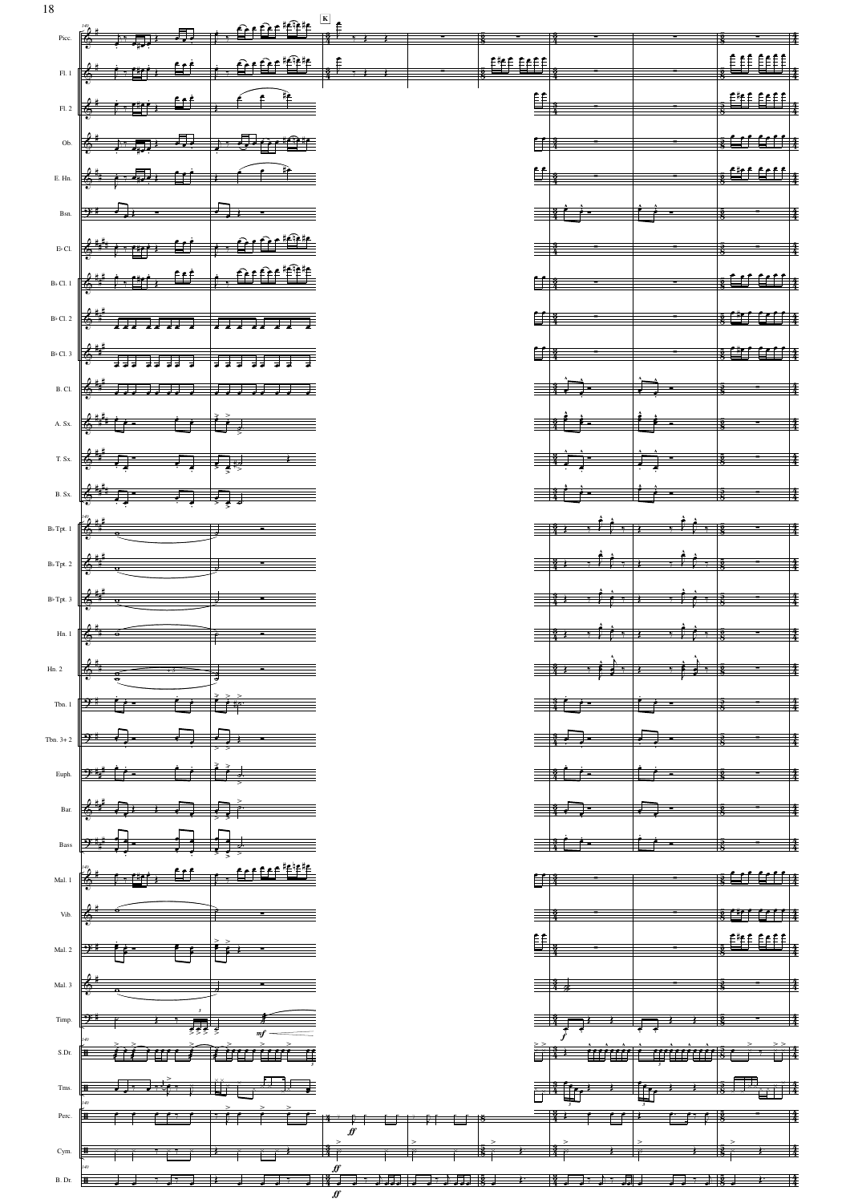| ٧ |        |
|---|--------|
|   |        |
|   | I      |
|   | M<br>٧ |

| lδ            |                                                                                                                                                                                                                                                                                                                                                                                                                            |                                                                                                                                                                                                                                                                                                                     |   |                              |                                                                                                                                                                                                                                                                                                                     |                                                                                                                                                                                                                                                                                                                     |                                                                                                                 |
|---------------|----------------------------------------------------------------------------------------------------------------------------------------------------------------------------------------------------------------------------------------------------------------------------------------------------------------------------------------------------------------------------------------------------------------------------|---------------------------------------------------------------------------------------------------------------------------------------------------------------------------------------------------------------------------------------------------------------------------------------------------------------------|---|------------------------------|---------------------------------------------------------------------------------------------------------------------------------------------------------------------------------------------------------------------------------------------------------------------------------------------------------------------|---------------------------------------------------------------------------------------------------------------------------------------------------------------------------------------------------------------------------------------------------------------------------------------------------------------------|-----------------------------------------------------------------------------------------------------------------|
|               | Pice. $\frac{100}{100}$ <b>by <math>\frac{1}{200}</math></b> $\frac{1}{200}$ <b>c</b> $\frac{1}{200}$ <b>c</b> $\frac{1}{200}$ <b>c</b> $\frac{1}{200}$ <b>c</b> $\frac{1}{200}$ <b>c</b> $\frac{1}{200}$ <b>c</b> $\frac{1}{200}$ <b>c</b> $\frac{1}{200}$ <b>c</b> $\frac{1}{200}$ <b>c</b> $\frac{1}{200}$ <b>c</b> $\frac{1}{200}$ <b>c</b> $\frac{1}{20$                                                              |                                                                                                                                                                                                                                                                                                                     |   |                              |                                                                                                                                                                                                                                                                                                                     |                                                                                                                                                                                                                                                                                                                     |                                                                                                                 |
|               |                                                                                                                                                                                                                                                                                                                                                                                                                            |                                                                                                                                                                                                                                                                                                                     |   |                              |                                                                                                                                                                                                                                                                                                                     |                                                                                                                                                                                                                                                                                                                     | $\frac{1}{8}$ if if $\frac{1}{4}$                                                                               |
|               | $F_{R,2}$ $\frac{2}{5}$ $\frac{2}{5}$ $\frac{2}{5}$ $\frac{2}{5}$ $\frac{2}{5}$ $\frac{2}{5}$ $\frac{2}{5}$ $\frac{2}{5}$ $\frac{2}{5}$ $\frac{2}{5}$ $\frac{2}{5}$ $\frac{2}{5}$                                                                                                                                                                                                                                          |                                                                                                                                                                                                                                                                                                                     |   |                              |                                                                                                                                                                                                                                                                                                                     |                                                                                                                                                                                                                                                                                                                     | $\frac{1}{3}$ $\frac{1}{2}$ $\frac{1}{2}$ $\frac{1}{2}$ $\frac{1}{2}$ $\frac{1}{2}$ $\frac{1}{2}$ $\frac{1}{2}$ |
|               | $\frac{1}{2}$ , $\frac{1}{2}$ , $\frac{1}{2}$ , $\frac{1}{2}$ , $\frac{1}{2}$ , $\frac{1}{2}$                                                                                                                                                                                                                                                                                                                              |                                                                                                                                                                                                                                                                                                                     |   | $\left  \frac{3}{4} \right $ |                                                                                                                                                                                                                                                                                                                     | $\mathbf{v} = \mathbf{v} \cdot \mathbf{v}$                                                                                                                                                                                                                                                                          | $\frac{1}{8}$ in the set of $\frac{1}{4}$                                                                       |
|               | $E_{\text{Hilb}}$ $\frac{1}{6}$ $\frac{1}{6}$ $\frac{1}{6}$ $\frac{1}{6}$ $\frac{1}{6}$ $\frac{1}{6}$ $\frac{1}{6}$ $\frac{1}{6}$ $\frac{1}{6}$ $\frac{1}{6}$ $\frac{1}{6}$ $\frac{1}{6}$ $\frac{1}{6}$ $\frac{1}{6}$ $\frac{1}{6}$ $\frac{1}{6}$ $\frac{1}{6}$ $\frac{1}{6}$ $\frac{1}{6}$ $\frac{1}{6}$ $\frac{1}{6}$                                                                                                    |                                                                                                                                                                                                                                                                                                                     |   |                              |                                                                                                                                                                                                                                                                                                                     | $\mathbb{E}[\mathbf{r}]$                                                                                                                                                                                                                                                                                            | $\frac{1}{3}$ in the set $\frac{1}{3}$                                                                          |
|               | $B_{\text{sn}}$ $\left[\frac{1}{2}, \frac{1}{2}, \frac{1}{2}, \frac{1}{2}, \frac{1}{2}, \frac{1}{2}, \frac{1}{2}, \frac{1}{2}, \frac{1}{2}, \frac{1}{2}, \frac{1}{2}, \frac{1}{2}, \frac{1}{2}, \frac{1}{2}, \frac{1}{2}, \frac{1}{2}, \frac{1}{2}, \frac{1}{2}, \frac{1}{2}, \frac{1}{2}, \frac{1}{2}, \frac{1}{2}, \frac{1}{2}, \frac{1}{2}, \frac{1}{2}, \frac{1}{2}, \frac{1}{2}, \frac{1}{2}, \frac{1}{2}, \frac{1}{$ |                                                                                                                                                                                                                                                                                                                     |   |                              |                                                                                                                                                                                                                                                                                                                     | $\frac{3}{4}$ $\frac{3}{4}$ $\frac{3}{4}$ $\frac{3}{4}$ $\frac{3}{4}$ $\frac{3}{4}$ $\frac{3}{4}$ $\frac{3}{4}$ $\frac{3}{4}$ $\frac{3}{4}$ $\frac{3}{4}$ $\frac{3}{4}$ $\frac{3}{4}$ $\frac{3}{4}$ $\frac{3}{4}$ $\frac{3}{4}$ $\frac{3}{4}$ $\frac{3}{4}$ $\frac{3}{4}$ $\frac{3}{4}$ $\frac{3}{4}$ $\frac{3}{4}$ |                                                                                                                 |
|               | Da filip and the state of the state of the state of the state of the state of the state of the state of the state of the state of the state of the state of the state of the state of the state of the state of the state of t                                                                                                                                                                                             |                                                                                                                                                                                                                                                                                                                     |   |                              | $\frac{3}{4}$ $\frac{1}{4}$                                                                                                                                                                                                                                                                                         | $\frac{1}{8}$ $\frac{5}{4}$ $\frac{1}{4}$                                                                                                                                                                                                                                                                           |                                                                                                                 |
|               | $\frac{1}{\sqrt{2}}$ , $\frac{1}{\sqrt{2}}$ , $\frac{1}{\sqrt{2}}$ , $\frac{1}{\sqrt{2}}$ , $\frac{1}{\sqrt{2}}$ , $\frac{1}{\sqrt{2}}$ , $\frac{1}{\sqrt{2}}$ , $\frac{1}{\sqrt{2}}$ , $\frac{1}{\sqrt{2}}$ , $\frac{1}{\sqrt{2}}$ , $\frac{1}{\sqrt{2}}$ , $\frac{1}{\sqrt{2}}$ , $\frac{1}{\sqrt{2}}$ , $\frac{1}{\sqrt{2}}$ , $\frac{1}{\sqrt{2}}$                                                                     |                                                                                                                                                                                                                                                                                                                     |   |                              |                                                                                                                                                                                                                                                                                                                     | $\frac{1}{2}$ $\frac{1}{2}$ $\frac{1}{2}$ $\frac{1}{2}$ $\frac{1}{2}$ $\frac{1}{2}$ $\frac{1}{2}$ $\frac{1}{2}$ $\frac{1}{2}$ $\frac{1}{2}$ $\frac{1}{2}$ $\frac{1}{2}$ $\frac{1}{2}$ $\frac{1}{2}$ $\frac{1}{2}$ $\frac{1}{2}$ $\frac{1}{2}$ $\frac{1}{2}$ $\frac{1}{2}$ $\frac{1}{2}$ $\frac{1}{2}$ $\frac{1}{2}$ |                                                                                                                 |
|               | $B_{\rm B}$ $\alpha$ 2 $\frac{2\pi i}{\sqrt{3}}$ $\frac{1}{\sqrt{11}}$ $\frac{1}{\sqrt{11}}$ $\frac{1}{\sqrt{11}}$ $\frac{1}{\sqrt{11}}$ $\frac{1}{\sqrt{11}}$                                                                                                                                                                                                                                                             |                                                                                                                                                                                                                                                                                                                     |   |                              | $\frac{1}{2}$ $\frac{1}{2}$ $\frac{1}{2}$ $\frac{1}{2}$ $\frac{1}{2}$ $\frac{1}{2}$ $\frac{1}{2}$ $\frac{1}{2}$ $\frac{1}{2}$ $\frac{1}{2}$ $\frac{1}{2}$ $\frac{1}{2}$ $\frac{1}{2}$ $\frac{1}{2}$ $\frac{1}{2}$ $\frac{1}{2}$ $\frac{1}{2}$ $\frac{1}{2}$ $\frac{1}{2}$ $\frac{1}{2}$ $\frac{1}{2}$ $\frac{1}{2}$ | $\sim$ $\sim$                                                                                                                                                                                                                                                                                                       | $\frac{1}{8}$ $\frac{1}{2}$ $\frac{1}{2}$ $\frac{1}{4}$                                                         |
|               | $\frac{1}{1000}$ $\frac{1}{1000}$ $\frac{1}{1000}$ $\frac{1}{1000}$ $\frac{1}{1000}$ $\frac{1}{1000}$ $\frac{1}{1000}$ $\frac{1}{1000}$ $\frac{1}{1000}$ $\frac{1}{1000}$ $\frac{1}{1000}$ $\frac{1}{1000}$ $\frac{1}{1000}$ $\frac{1}{1000}$ $\frac{1}{1000}$ $\frac{1}{1000}$ $\frac{1}{1000}$                                                                                                                           |                                                                                                                                                                                                                                                                                                                     |   |                              |                                                                                                                                                                                                                                                                                                                     | $\frac{1}{8}$ $\frac{1}{8}$ $\frac{1}{8}$ $\frac{1}{8}$ $\frac{1}{8}$ $\frac{1}{8}$ $\frac{1}{8}$ $\frac{1}{8}$ $\frac{1}{8}$ $\frac{1}{8}$ $\frac{1}{8}$ $\frac{1}{8}$ $\frac{1}{8}$ $\frac{1}{8}$ $\frac{1}{8}$ $\frac{1}{8}$ $\frac{1}{8}$ $\frac{1}{8}$ $\frac{1}{8}$ $\frac{1}{8}$ $\frac{1}{8}$ $\frac{1}{8}$ |                                                                                                                 |
|               | B.C.                                                                                                                                                                                                                                                                                                                                                                                                                       |                                                                                                                                                                                                                                                                                                                     |   |                              |                                                                                                                                                                                                                                                                                                                     | $\frac{1}{3}$ $\frac{1}{3}$ $\frac{1}{3}$ $\frac{1}{3}$ $\frac{1}{3}$ $\frac{1}{3}$ $\frac{1}{3}$ $\frac{1}{3}$ $\frac{1}{3}$                                                                                                                                                                                       |                                                                                                                 |
|               |                                                                                                                                                                                                                                                                                                                                                                                                                            |                                                                                                                                                                                                                                                                                                                     |   |                              |                                                                                                                                                                                                                                                                                                                     | $\frac{1}{3}$ $\frac{1}{2}$ $\frac{1}{2}$ $\frac{1}{2}$ $\frac{1}{2}$ $\frac{1}{2}$ $\frac{1}{2}$ $\frac{1}{2}$ $\frac{1}{2}$ $\frac{1}{2}$ $\frac{1}{2}$ $\frac{1}{2}$ $\frac{1}{2}$ $\frac{1}{2}$ $\frac{1}{2}$ $\frac{1}{2}$ $\frac{1}{2}$ $\frac{1}{2}$ $\frac{1}{2}$ $\frac{1}{2}$ $\frac{1}{2}$ $\frac{1}{2}$ |                                                                                                                 |
|               | $T$ Sx $\frac{1}{2}$ $\frac{1}{2}$ $\frac{1}{2}$ $\frac{1}{2}$ $\frac{1}{2}$ $\frac{1}{2}$ $\frac{1}{2}$ $\frac{1}{2}$ $\frac{1}{2}$ $\frac{1}{2}$ $\frac{1}{2}$ $\frac{1}{2}$ $\frac{1}{2}$ $\frac{1}{2}$ $\frac{1}{2}$ $\frac{1}{2}$ $\frac{1}{2}$ $\frac{1}{2}$ $\frac{1}{2}$ $\frac{1}{2}$ $\frac{1}{2}$ $\frac{$                                                                                                      |                                                                                                                                                                                                                                                                                                                     |   |                              |                                                                                                                                                                                                                                                                                                                     | $\frac{1}{2}$ $\frac{1}{2}$ $\frac{1}{2}$ $\frac{1}{2}$ $\frac{1}{2}$ $\frac{1}{2}$ $\frac{1}{2}$ $\frac{1}{2}$ $\frac{1}{2}$ $\frac{1}{2}$ $\frac{1}{2}$ $\frac{1}{2}$ $\frac{1}{2}$ $\frac{1}{2}$ $\frac{1}{2}$ $\frac{1}{2}$ $\frac{1}{2}$ $\frac{1}{2}$ $\frac{1}{2}$ $\frac{1}{2}$ $\frac{1}{2}$ $\frac{1}{2}$ |                                                                                                                 |
|               | B. S. $\frac{1}{2}$ $\frac{1}{2}$ $\frac{1}{2}$ $\frac{1}{2}$ $\frac{1}{2}$ $\frac{1}{2}$ $\frac{1}{2}$ $\frac{1}{2}$ $\frac{1}{2}$ $\frac{1}{2}$ $\frac{1}{2}$ $\frac{1}{2}$ $\frac{1}{2}$ $\frac{1}{2}$ $\frac{1}{2}$ $\frac{1}{2}$ $\frac{1}{2}$ $\frac{1}{2}$ $\frac{1}{2}$ $\frac{1}{2}$ $\frac{1}{2}$ $\frac{1$                                                                                                      |                                                                                                                                                                                                                                                                                                                     |   |                              |                                                                                                                                                                                                                                                                                                                     | $\frac{3}{4}$ $\frac{1}{4}$ $\frac{1}{4}$ $\frac{1}{4}$ $\frac{1}{8}$ $\frac{1}{4}$ $\frac{1}{8}$ $\frac{1}{4}$                                                                                                                                                                                                     |                                                                                                                 |
|               | $B^3 T pt. 1$                                                                                                                                                                                                                                                                                                                                                                                                              |                                                                                                                                                                                                                                                                                                                     |   |                              |                                                                                                                                                                                                                                                                                                                     | <u> 182 - Le Sternes Sternes Sternes</u>                                                                                                                                                                                                                                                                            |                                                                                                                 |
|               | B, Tpt. 2 $\frac{2}{9} + \frac{2}{9} + \frac{2}{9} + \frac{2}{9} + \frac{2}{9} + \frac{2}{9} + \frac{2}{9} + \frac{2}{9} + \frac{2}{9} + \frac{2}{9} + \frac{2}{9} + \frac{2}{9} + \frac{2}{9} + \frac{2}{9} + \frac{2}{9} + \frac{2}{9} + \frac{2}{9} + \frac{2}{9} + \frac{2}{9} + \frac{2}{9} + \frac{2}{9} + \frac{2}{9} + \frac{2}{9} + \frac{2}{9} + \frac{2}{9} + \frac{2}{9} + \frac$                              |                                                                                                                                                                                                                                                                                                                     |   |                              |                                                                                                                                                                                                                                                                                                                     | $\frac{1}{3}$ $\frac{1}{3}$ $\frac{1}{3}$ $\frac{1}{3}$ $\frac{1}{3}$ $\frac{1}{3}$ $\frac{1}{3}$ $\frac{1}{3}$ $\frac{1}{3}$ $\frac{1}{3}$ $\frac{1}{3}$                                                                                                                                                           |                                                                                                                 |
|               | $B \triangleright Tpt.$ 3 $\left  \begin{array}{ccc} \frac{1}{2} & \frac{1}{2} & \frac{1}{2} \\ 0 & 0 & \frac{1}{2} \end{array} \right $                                                                                                                                                                                                                                                                                   |                                                                                                                                                                                                                                                                                                                     |   |                              |                                                                                                                                                                                                                                                                                                                     | $\frac{1}{2}$ $\frac{1}{2}$ $\frac{1}{2}$ $\frac{1}{2}$ $\frac{1}{2}$ $\frac{1}{2}$ $\frac{1}{2}$ $\frac{1}{2}$ $\frac{1}{2}$ $\frac{1}{2}$ $\frac{1}{2}$ $\frac{1}{2}$ $\frac{1}{2}$ $\frac{1}{2}$ $\frac{1}{2}$ $\frac{1}{2}$ $\frac{1}{2}$ $\frac{1}{2}$ $\frac{1}{2}$ $\frac{1}{2}$ $\frac{1}{2}$ $\frac{1}{2}$ |                                                                                                                 |
|               | $Hn.1$ $\frac{2}{\sqrt{3}}$ $\frac{4}{9}$ $\frac{2}{9}$ $\frac{2}{9}$ $\frac{2}{9}$ $\frac{2}{9}$ $\frac{2}{9}$ $\frac{2}{9}$ $\frac{2}{9}$ $\frac{2}{9}$ $\frac{2}{9}$ $\frac{2}{9}$ $\frac{2}{9}$ $\frac{2}{9}$ $\frac{2}{9}$ $\frac{2}{9}$ $\frac{2}{9}$ $\frac{2}{9}$ $\frac{2}{9}$ $\frac{2}{9}$ $\frac{2}{9}$                                                                                                        |                                                                                                                                                                                                                                                                                                                     |   |                              |                                                                                                                                                                                                                                                                                                                     | $\frac{1}{2}$ $\frac{1}{2}$ $\frac{1}{2}$ $\frac{1}{2}$ $\frac{1}{2}$ $\frac{1}{2}$ $\frac{1}{2}$ $\frac{1}{2}$ $\frac{1}{2}$ $\frac{1}{2}$ $\frac{1}{2}$ $\frac{1}{2}$ $\frac{1}{2}$ $\frac{1}{2}$ $\frac{1}{2}$ $\frac{1}{2}$ $\frac{1}{2}$ $\frac{1}{2}$ $\frac{1}{2}$ $\frac{1}{2}$ $\frac{1}{2}$ $\frac{1}{2}$ |                                                                                                                 |
| Hn. 2         | $\frac{164}{9}$                                                                                                                                                                                                                                                                                                                                                                                                            |                                                                                                                                                                                                                                                                                                                     |   |                              |                                                                                                                                                                                                                                                                                                                     | $\mathbf{y}$ , $\mathbf{y}$ , $\mathbf{y}$ , $\mathbf{y}$ , $\mathbf{y}$ , $\mathbf{y}$ , $\mathbf{y}$ , $\mathbf{y}$                                                                                                                                                                                               | $\frac{1}{4}$                                                                                                   |
| Tbn. 1        |                                                                                                                                                                                                                                                                                                                                                                                                                            |                                                                                                                                                                                                                                                                                                                     |   |                              |                                                                                                                                                                                                                                                                                                                     |                                                                                                                                                                                                                                                                                                                     | ₹                                                                                                               |
| Tbn. $3+2$    |                                                                                                                                                                                                                                                                                                                                                                                                                            |                                                                                                                                                                                                                                                                                                                     |   |                              |                                                                                                                                                                                                                                                                                                                     |                                                                                                                                                                                                                                                                                                                     | 拜                                                                                                               |
| Euph.         |                                                                                                                                                                                                                                                                                                                                                                                                                            | $\frac{1}{2}$ $\frac{1}{2}$ $\frac{1}{2}$ $\frac{1}{2}$ $\frac{1}{2}$ $\frac{1}{2}$ $\frac{1}{2}$ $\frac{1}{2}$ $\frac{1}{2}$ $\frac{1}{2}$ $\frac{1}{2}$ $\frac{1}{2}$ $\frac{1}{2}$ $\frac{1}{2}$ $\frac{1}{2}$ $\frac{1}{2}$ $\frac{1}{2}$ $\frac{1}{2}$ $\frac{1}{2}$ $\frac{1}{2}$ $\frac{1}{2}$ $\frac{1}{2}$ |   |                              |                                                                                                                                                                                                                                                                                                                     |                                                                                                                                                                                                                                                                                                                     | $\frac{1}{8}$                                                                                                   |
|               |                                                                                                                                                                                                                                                                                                                                                                                                                            | $\Box$ $\Box$ $\Box$ $\Box$ $\Box$ $\Box$ $\Box$                                                                                                                                                                                                                                                                    |   |                              |                                                                                                                                                                                                                                                                                                                     |                                                                                                                                                                                                                                                                                                                     |                                                                                                                 |
| Bass          |                                                                                                                                                                                                                                                                                                                                                                                                                            | $\frac{1}{2}$                                                                                                                                                                                                                                                                                                       |   |                              |                                                                                                                                                                                                                                                                                                                     |                                                                                                                                                                                                                                                                                                                     | ⇉                                                                                                               |
| Mal. $\,$ 1   | <u> 1999 - 1999 - 1999 - 1999 - 1999 - 1999 - 1999 - 1999 - 1999 - 1999 - 1999 - 1999 - 1999 - 1999 - 1999 - 199</u>                                                                                                                                                                                                                                                                                                       |                                                                                                                                                                                                                                                                                                                     |   |                              |                                                                                                                                                                                                                                                                                                                     |                                                                                                                                                                                                                                                                                                                     | $\mathbb{R}$ $\Box$ $\Box$ $\Box$ $\mathbb{R}$                                                                  |
| Vib.          | $\bullet$ $\bullet$                                                                                                                                                                                                                                                                                                                                                                                                        |                                                                                                                                                                                                                                                                                                                     |   |                              |                                                                                                                                                                                                                                                                                                                     |                                                                                                                                                                                                                                                                                                                     | <u>Uf off,</u>                                                                                                  |
| Mal. 2        | $\frac{1}{2}$ $\frac{1}{2}$ $\frac{1}{2}$ $\frac{1}{2}$ $\frac{1}{2}$ $\frac{1}{2}$ $\frac{1}{2}$ $\frac{1}{2}$ $\frac{1}{2}$ $\frac{1}{2}$                                                                                                                                                                                                                                                                                |                                                                                                                                                                                                                                                                                                                     |   |                              |                                                                                                                                                                                                                                                                                                                     |                                                                                                                                                                                                                                                                                                                     |                                                                                                                 |
| Mal. 3        |                                                                                                                                                                                                                                                                                                                                                                                                                            |                                                                                                                                                                                                                                                                                                                     |   |                              |                                                                                                                                                                                                                                                                                                                     |                                                                                                                                                                                                                                                                                                                     |                                                                                                                 |
| Timp.         |                                                                                                                                                                                                                                                                                                                                                                                                                            |                                                                                                                                                                                                                                                                                                                     |   |                              |                                                                                                                                                                                                                                                                                                                     |                                                                                                                                                                                                                                                                                                                     |                                                                                                                 |
| S.Dr.         |                                                                                                                                                                                                                                                                                                                                                                                                                            | ran í Tranna                                                                                                                                                                                                                                                                                                        |   |                              |                                                                                                                                                                                                                                                                                                                     | <u> 18 11111 - 111111111 ș</u>                                                                                                                                                                                                                                                                                      |                                                                                                                 |
| Tms.<br>Perc. | <del>JJsJs&amp;js <sub>Ď</sub>  ŭrr s<sup>£d</sup> J</del> J                                                                                                                                                                                                                                                                                                                                                               |                                                                                                                                                                                                                                                                                                                     |   |                              |                                                                                                                                                                                                                                                                                                                     |                                                                                                                                                                                                                                                                                                                     | $\Box$ $H$<br>$\frac{1}{4}$                                                                                     |
| Cym.          |                                                                                                                                                                                                                                                                                                                                                                                                                            |                                                                                                                                                                                                                                                                                                                     |   |                              |                                                                                                                                                                                                                                                                                                                     |                                                                                                                                                                                                                                                                                                                     |                                                                                                                 |
| B. Dr.        |                                                                                                                                                                                                                                                                                                                                                                                                                            |                                                                                                                                                                                                                                                                                                                     |   |                              |                                                                                                                                                                                                                                                                                                                     |                                                                                                                                                                                                                                                                                                                     |                                                                                                                 |
|               |                                                                                                                                                                                                                                                                                                                                                                                                                            |                                                                                                                                                                                                                                                                                                                     | ℋ |                              |                                                                                                                                                                                                                                                                                                                     |                                                                                                                                                                                                                                                                                                                     |                                                                                                                 |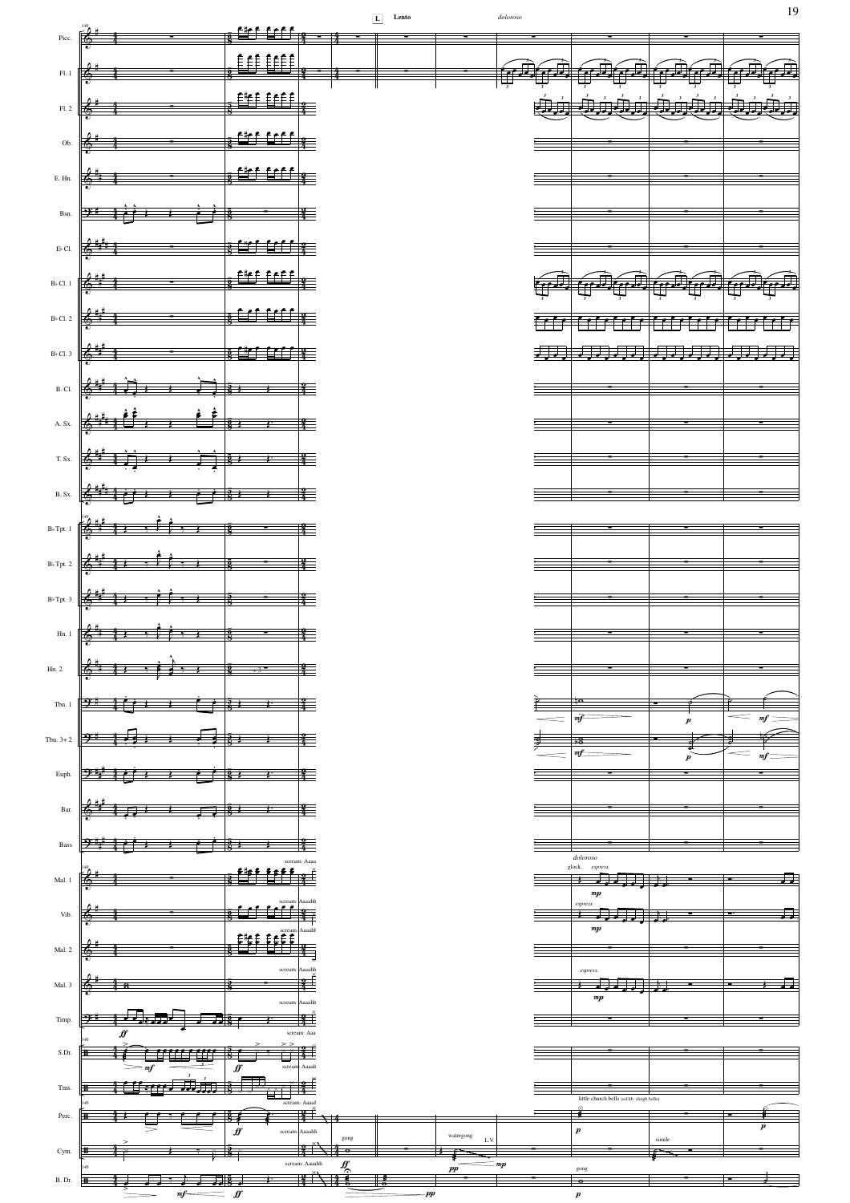|                               |                                                                                                                                                                                                                                                                                                                                                                                             |                                                                                                                               | $\overline{L}$ | Lento |                        | doloroso                   |                                                                                                                                                                                         |                             |                                            |        |                  | 19                                                                                                                    |
|-------------------------------|---------------------------------------------------------------------------------------------------------------------------------------------------------------------------------------------------------------------------------------------------------------------------------------------------------------------------------------------------------------------------------------------|-------------------------------------------------------------------------------------------------------------------------------|----------------|-------|------------------------|----------------------------|-----------------------------------------------------------------------------------------------------------------------------------------------------------------------------------------|-----------------------------|--------------------------------------------|--------|------------------|-----------------------------------------------------------------------------------------------------------------------|
| $\rm Picc.$                   |                                                                                                                                                                                                                                                                                                                                                                                             |                                                                                                                               |                |       |                        |                            |                                                                                                                                                                                         |                             |                                            |        |                  |                                                                                                                       |
| FLI                           |                                                                                                                                                                                                                                                                                                                                                                                             | $\frac{1}{8}$ $\frac{1}{2}$ $\frac{1}{2}$ $\frac{1}{2}$ $\frac{1}{2}$ $\frac{1}{2}$ $\frac{1}{2}$ $\frac{1}{2}$ $\frac{1}{2}$ |                |       |                        |                            | $\left\{ \left( \mathcal{L}^{(1)} \left( \mathcal{L}^{(1)} \right) \right) \left( \mathcal{L}^{(1)} \right) \left( \mathcal{L}^{(1)} \right) \left( \mathcal{L}^{(1)} \right) \right\}$ |                             |                                            |        |                  | $\pi_{\ell},\pi$                                                                                                      |
|                               |                                                                                                                                                                                                                                                                                                                                                                                             |                                                                                                                               |                |       |                        |                            |                                                                                                                                                                                         |                             |                                            |        |                  |                                                                                                                       |
| FL <sub>2</sub> $\frac{1}{2}$ |                                                                                                                                                                                                                                                                                                                                                                                             | <u>, Erf Erff y</u>                                                                                                           |                |       |                        |                            |                                                                                                                                                                                         | <u>ள்ள செய்தியுள்ளும் </u>  |                                            |        |                  |                                                                                                                       |
|                               | $_{\rm ob}$ 6 <sup>2</sup> 4                                                                                                                                                                                                                                                                                                                                                                | $\frac{1}{3}$ if if $\frac{1}{3}$                                                                                             |                |       |                        |                            |                                                                                                                                                                                         |                             |                                            |        |                  |                                                                                                                       |
|                               | E. Hn. $647$                                                                                                                                                                                                                                                                                                                                                                                |                                                                                                                               |                |       |                        |                            |                                                                                                                                                                                         |                             |                                            |        |                  |                                                                                                                       |
|                               | Bsn. $2^{\frac{3}{2}}$ $3^{\frac{3}{2}}$ $4^{\frac{3}{2}}$ $4^{\frac{3}{2}}$ $8^{\frac{3}{2}}$                                                                                                                                                                                                                                                                                              |                                                                                                                               |                |       |                        |                            |                                                                                                                                                                                         |                             |                                            |        |                  |                                                                                                                       |
|                               | $B$ Cl. $877$<br>$\frac{1}{8}$ $\frac{1}{2}$ $\frac{1}{8}$ $\frac{1}{2}$ $\frac{1}{8}$ $\frac{1}{8}$                                                                                                                                                                                                                                                                                        |                                                                                                                               |                |       |                        |                            |                                                                                                                                                                                         |                             |                                            |        |                  |                                                                                                                       |
|                               | $B_{\text{BCL}}$ $\frac{2\frac{14}{3}}{2}$                                                                                                                                                                                                                                                                                                                                                  |                                                                                                                               |                |       |                        |                            |                                                                                                                                                                                         |                             |                                            |        |                  | GAGAGAGAGAGA                                                                                                          |
|                               | $B_{\text{B}}$ $C_{12}$ $C_{23}$ $C_{34}$ $C_{44}$ $C_{45}$ $C_{46}$ $C_{47}$ $C_{48}$ $C_{49}$ $C_{40}$ $C_{40}$ $C_{41}$ $C_{42}$ $C_{45}$ $C_{46}$ $C_{47}$ $C_{48}$ $C_{49}$ $C_{40}$ $C_{40}$ $C_{40}$ $C_{40}$ $C_{40}$ $C_{40}$ $C_{40}$ $C_{40}$ $C_{$                                                                                                                              |                                                                                                                               |                |       |                        |                            |                                                                                                                                                                                         |                             |                                            |        |                  | <u> Tristants de la familie de la familie de la familie de la familie de la familie de la familie de la familie d</u> |
|                               | $B_{\text{B}}$ $C13$ $B17$ $B17$ $B17$ $B17$                                                                                                                                                                                                                                                                                                                                                |                                                                                                                               |                |       |                        |                            |                                                                                                                                                                                         |                             |                                            |        |                  | 2001 2001 2001 2001 2002 2001                                                                                         |
|                               | <b>B.C.</b> $\frac{2}{5}$ $\frac{1}{2}$ $\frac{1}{2}$ $\frac{1}{2}$ $\frac{1}{2}$ $\frac{1}{2}$ $\frac{1}{2}$ $\frac{1}{2}$ $\frac{1}{2}$ $\frac{1}{2}$ $\frac{1}{2}$ $\frac{1}{2}$ $\frac{1}{2}$ $\frac{1}{2}$ $\frac{1}{2}$ $\frac{1}{2}$ $\frac{1}{2}$ $\frac{1}{2}$ $\frac{1}{2}$ $\frac{1}{2}$ $\frac{1}{2}$ $\frac{$                                                                  |                                                                                                                               |                |       |                        |                            |                                                                                                                                                                                         |                             |                                            |        |                  |                                                                                                                       |
|                               | $\lambda$ $\frac{2\frac{1}{3} + \frac{1}{3}}{\frac{1}{3} + \frac{1}{3}}$ $\frac{1}{3}$ $\frac{1}{3}$ $\frac{1}{3}$ $\frac{1}{3}$ $\frac{1}{3}$ $\frac{1}{3}$ $\frac{1}{3}$ $\frac{1}{3}$ $\frac{1}{3}$                                                                                                                                                                                      |                                                                                                                               |                |       |                        |                            |                                                                                                                                                                                         |                             |                                            |        |                  |                                                                                                                       |
|                               | $T.S.$ $\frac{2}{5}$ $\frac{6}{5}$ $\frac{1}{2}$ $\frac{1}{2}$ $\frac{1}{2}$ $\frac{1}{2}$ $\frac{1}{2}$ $\frac{1}{2}$ $\frac{1}{2}$ $\frac{1}{2}$ $\frac{1}{2}$ $\frac{1}{2}$ $\frac{1}{2}$ $\frac{1}{2}$ $\frac{1}{2}$ $\frac{1}{2}$ $\frac{1}{2}$ $\frac{1}{2}$ $\frac{1}{2}$ $\frac{1}{2}$ $\frac{1}{2}$ $\frac{1$                                                                      |                                                                                                                               |                |       |                        |                            |                                                                                                                                                                                         |                             |                                            |        |                  |                                                                                                                       |
|                               | B. Sx. $\frac{2}{3}$ $\frac{1}{2}$ $\frac{1}{3}$ $\frac{1}{2}$ $\frac{1}{3}$ $\frac{1}{3}$ $\frac{1}{3}$ $\frac{1}{3}$ $\frac{1}{3}$ $\frac{1}{3}$ $\frac{1}{3}$ $\frac{1}{3}$ $\frac{1}{3}$ $\frac{1}{3}$ $\frac{1}{3}$                                                                                                                                                                    |                                                                                                                               |                |       |                        |                            |                                                                                                                                                                                         |                             |                                            |        |                  |                                                                                                                       |
|                               | $B_3$ Tpt. 1 $\left[\frac{2}{5} + \frac{11}{4} + \frac{1}{4} + \frac{1}{2} + \frac{1}{2} + \frac{1}{2} + \frac{1}{2} + \frac{1}{2} + \frac{1}{2} + \frac{1}{2} + \frac{1}{2} + \frac{1}{2} + \frac{1}{2} + \frac{1}{2} + \frac{1}{2} + \frac{1}{2} + \frac{1}{2} + \frac{1}{2} + \frac{1}{2} + \frac{1}{2} + \frac{1}{2} + \frac{1}{2} + \frac{1}{2} + \frac{1}{2} + \frac{1}{2} + \frac{1$ |                                                                                                                               |                |       |                        |                            |                                                                                                                                                                                         |                             |                                            |        |                  |                                                                                                                       |
|                               | B) Tpt. 2 $\frac{2}{9}$ $\frac{4\pi}{9}$ $\frac{4\pi}{3}$ $\frac{4}{9}$ $\frac{4}{9}$ $\frac{4}{9}$ $\frac{4}{9}$ $\frac{4}{9}$ $\frac{4}{9}$ $\frac{4}{9}$                                                                                                                                                                                                                                 |                                                                                                                               |                |       |                        |                            |                                                                                                                                                                                         |                             |                                            |        |                  |                                                                                                                       |
|                               | B) Tpt. 3 $\left  \frac{2}{\sqrt{3}} \frac{\frac{11}{10}}{\frac{3}{4}} \frac{2}{4} \frac{2}{3} + \frac{\hat{6} \hat{6}}{\hat{6}} \frac{2}{3} + \frac{1}{2} \frac{2}{3} \frac{2}{3} \right $                                                                                                                                                                                                 |                                                                                                                               |                |       |                        |                            |                                                                                                                                                                                         |                             |                                            |        |                  |                                                                                                                       |
|                               |                                                                                                                                                                                                                                                                                                                                                                                             |                                                                                                                               |                |       |                        |                            |                                                                                                                                                                                         |                             |                                            |        |                  |                                                                                                                       |
| Hn. 2                         |                                                                                                                                                                                                                                                                                                                                                                                             |                                                                                                                               |                |       |                        |                            |                                                                                                                                                                                         |                             |                                            |        |                  |                                                                                                                       |
| Tbn. 1                        |                                                                                                                                                                                                                                                                                                                                                                                             | 횽                                                                                                                             |                |       |                        |                            |                                                                                                                                                                                         | ÷Θ                          |                                            |        |                  |                                                                                                                       |
| Tbn. $3+2$                    |                                                                                                                                                                                                                                                                                                                                                                                             | $\frac{2}{5}$                                                                                                                 |                |       |                        |                            |                                                                                                                                                                                         | m f                         |                                            |        | p                | mf                                                                                                                    |
| Euph.                         |                                                                                                                                                                                                                                                                                                                                                                                             | $\mathcal{B}$                                                                                                                 |                |       |                        |                            |                                                                                                                                                                                         | mŢ                          |                                            |        | $\boldsymbol{p}$ | mf :                                                                                                                  |
| Bar.                          |                                                                                                                                                                                                                                                                                                                                                                                             |                                                                                                                               |                |       |                        |                            |                                                                                                                                                                                         |                             |                                            |        |                  |                                                                                                                       |
| <b>Bass</b>                   | デキ                                                                                                                                                                                                                                                                                                                                                                                          | $\mathcal{B}$                                                                                                                 |                |       |                        |                            |                                                                                                                                                                                         |                             |                                            |        |                  |                                                                                                                       |
| Mal. 1                        |                                                                                                                                                                                                                                                                                                                                                                                             | scream: Aaaa                                                                                                                  |                |       |                        |                            |                                                                                                                                                                                         | doloroso<br>glock. espress. |                                            |        |                  | 叧                                                                                                                     |
| Vib.                          |                                                                                                                                                                                                                                                                                                                                                                                             | aaahh<br>screar                                                                                                               |                |       |                        |                            |                                                                                                                                                                                         | $\binom{mp}{2}$<br>espress  |                                            |        |                  | $\overline{\phantom{a}}$<br>$\overline{\phantom{a}}$                                                                  |
| Mal. 2                        | ťm                                                                                                                                                                                                                                                                                                                                                                                          | Aaaahh<br>scream                                                                                                              |                |       |                        |                            |                                                                                                                                                                                         | $_{mp}$                     |                                            |        |                  |                                                                                                                       |
| Mal. 3                        | t.                                                                                                                                                                                                                                                                                                                                                                                          | aaahh<br>scream<br>Ŧ                                                                                                          |                |       |                        |                            |                                                                                                                                                                                         | espress.                    |                                            |        |                  | $\overline{\phantom{a}}$                                                                                              |
| Timp.                         |                                                                                                                                                                                                                                                                                                                                                                                             | <b>Aaaahh</b><br>scream<br>Ŧ<br>scream: Aaaa                                                                                  |                |       |                        |                            |                                                                                                                                                                                         | $\boldsymbol{m}$            |                                            |        |                  |                                                                                                                       |
| S.Dr.                         | ff<br>,,,,,,,,,<br>≖<br>m <sup>f</sup>                                                                                                                                                                                                                                                                                                                                                      | ∓<br>ff<br>Aaaah<br>screan                                                                                                    |                |       |                        |                            |                                                                                                                                                                                         |                             |                                            |        |                  |                                                                                                                       |
| Tms.                          | Ŧ<br>                                                                                                                                                                                                                                                                                                                                                                                       | 44                                                                                                                            |                |       |                        |                            |                                                                                                                                                                                         |                             | little church bells (ad.lib. sleigh bells) |        |                  |                                                                                                                       |
| Perc.                         | Ŧ                                                                                                                                                                                                                                                                                                                                                                                           | scream: Aaaah<br>ff<br>Aaaahh<br>scream:                                                                                      |                |       |                        |                            |                                                                                                                                                                                         | $\boldsymbol{p}$            |                                            |        |                  | $\boldsymbol{p}$                                                                                                      |
| Cym.                          | 田                                                                                                                                                                                                                                                                                                                                                                                           |                                                                                                                               | gong           |       | $\rm watergong$<br>L.V |                            |                                                                                                                                                                                         |                             |                                            | simile |                  |                                                                                                                       |
| B. Dr.                        | 4s<br>田                                                                                                                                                                                                                                                                                                                                                                                     | scream: Aaaahh                                                                                                                | $\frac{f}{f}$  |       | pp                     | $\mathsf{=}\, \mathit{mp}$ |                                                                                                                                                                                         | gong                        |                                            |        |                  |                                                                                                                       |
|                               | $=$ s<br>mf                                                                                                                                                                                                                                                                                                                                                                                 |                                                                                                                               |                | pp    |                        |                            |                                                                                                                                                                                         | $\boldsymbol{p}$            |                                            |        |                  |                                                                                                                       |

 $-\frac{pp}{p}$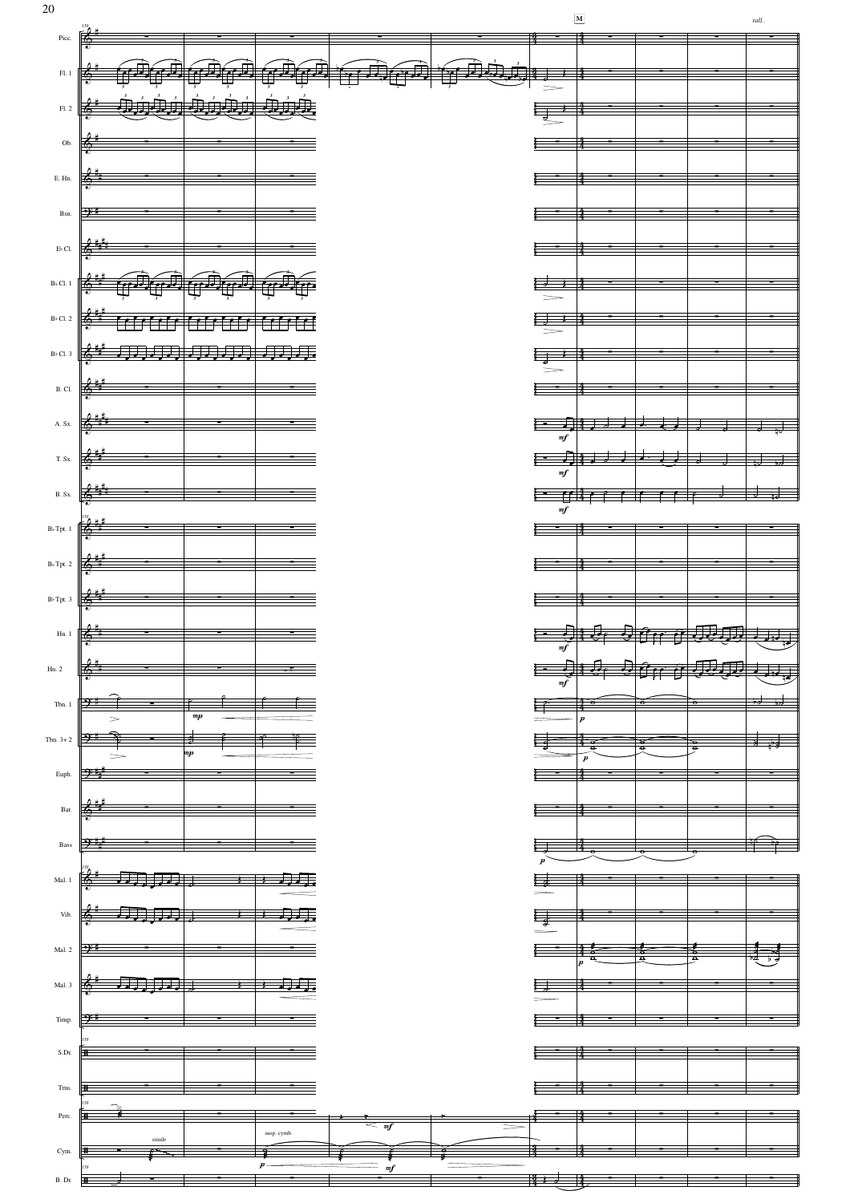20

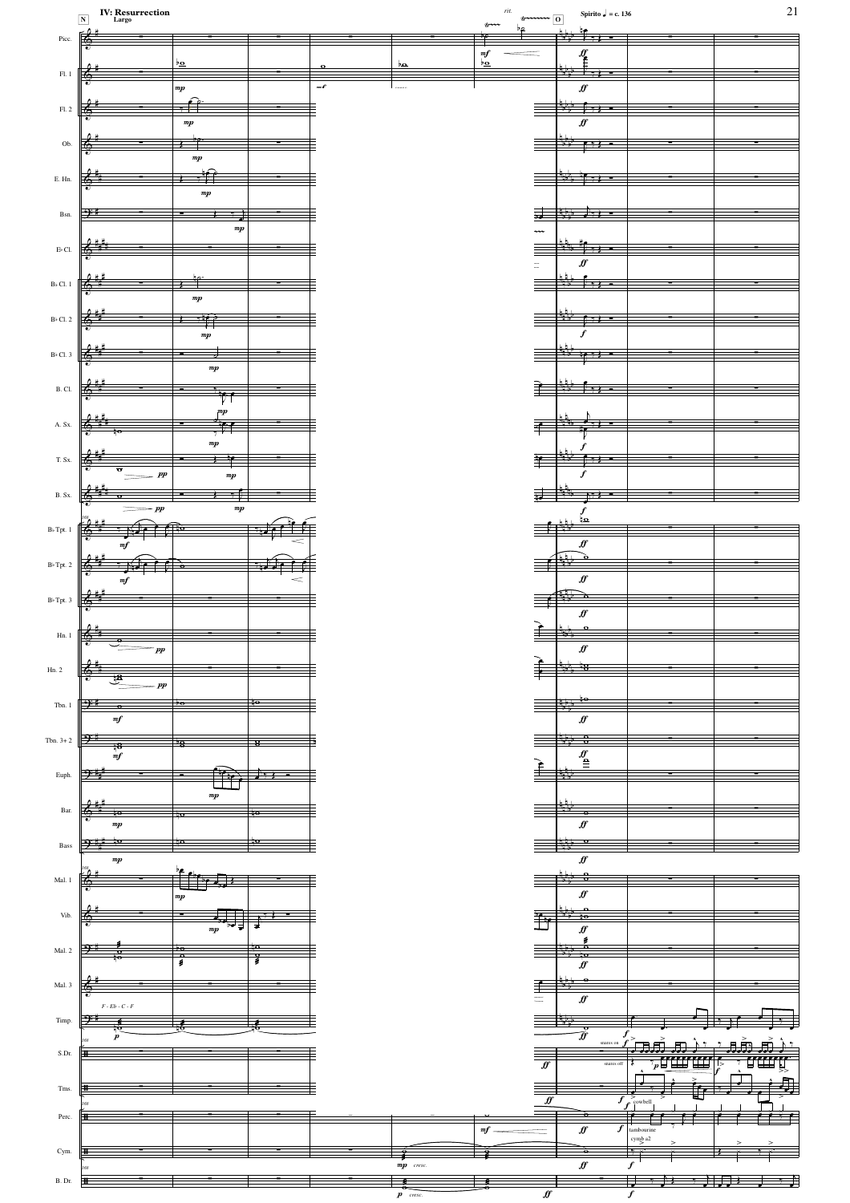|                                        | $\mathbf{IV:}$ Resurrection<br>$\bf N$                                                                                   |                                                  |                          |             |                                     | rit.<br>$\psi$ mum $\boxed{0}$        | Spirito $_{\bullet}$ = c. 136                                                                  |                                                                                                                                                                                                                                                                                                                                                                                                                                                                                                                                                          | $21\,$      |
|----------------------------------------|--------------------------------------------------------------------------------------------------------------------------|--------------------------------------------------|--------------------------|-------------|-------------------------------------|---------------------------------------|------------------------------------------------------------------------------------------------|----------------------------------------------------------------------------------------------------------------------------------------------------------------------------------------------------------------------------------------------------------------------------------------------------------------------------------------------------------------------------------------------------------------------------------------------------------------------------------------------------------------------------------------------------------|-------------|
| Picc.                                  |                                                                                                                          |                                                  |                          |             |                                     | $\it mf$                              | ∯                                                                                              |                                                                                                                                                                                                                                                                                                                                                                                                                                                                                                                                                          |             |
| $\rm{Fl.}$ $1$                         |                                                                                                                          | þΩ                                               |                          |             |                                     | $\flat\mathbf{a}$                     |                                                                                                |                                                                                                                                                                                                                                                                                                                                                                                                                                                                                                                                                          |             |
| $\rm Fl.~2$                            |                                                                                                                          | $\mathfrak{m}p$                                  |                          | $-\epsilon$ |                                     |                                       | $f\hspace{-0.1cm}f$<br>D 7 3                                                                   |                                                                                                                                                                                                                                                                                                                                                                                                                                                                                                                                                          |             |
|                                        |                                                                                                                          | $\binom{mp}{2}$                                  |                          |             |                                     |                                       | $f\hspace{-0.1cm}f$                                                                            |                                                                                                                                                                                                                                                                                                                                                                                                                                                                                                                                                          |             |
| Ob.                                    |                                                                                                                          | $_{mp}$                                          |                          |             |                                     |                                       | $\cdots$                                                                                       |                                                                                                                                                                                                                                                                                                                                                                                                                                                                                                                                                          |             |
| $\mathbf{E}$ .<br>Hn.                  |                                                                                                                          |                                                  |                          |             |                                     |                                       |                                                                                                |                                                                                                                                                                                                                                                                                                                                                                                                                                                                                                                                                          |             |
| Bsn.                                   | ザキ                                                                                                                       | $\mathfrak{m}p$<br>≂                             |                          |             |                                     | ₹                                     | $\rightarrow$                                                                                  |                                                                                                                                                                                                                                                                                                                                                                                                                                                                                                                                                          |             |
|                                        |                                                                                                                          | $_{mp}$                                          |                          |             |                                     |                                       |                                                                                                |                                                                                                                                                                                                                                                                                                                                                                                                                                                                                                                                                          |             |
| $\to$ Cl.                              |                                                                                                                          |                                                  |                          |             |                                     |                                       | $\mathfrak{p}_{n}$ .<br>f f                                                                    |                                                                                                                                                                                                                                                                                                                                                                                                                                                                                                                                                          |             |
| $\mathrm{B}\flat$ Cl. 1                |                                                                                                                          | Ŧ                                                |                          |             |                                     |                                       | ₩                                                                                              |                                                                                                                                                                                                                                                                                                                                                                                                                                                                                                                                                          |             |
| $B \triangleright CL$ 2                |                                                                                                                          | $\it mp$<br>تمام                                 |                          |             |                                     |                                       |                                                                                                |                                                                                                                                                                                                                                                                                                                                                                                                                                                                                                                                                          |             |
|                                        |                                                                                                                          | $\binom{mp}{2}$                                  |                          |             |                                     |                                       |                                                                                                |                                                                                                                                                                                                                                                                                                                                                                                                                                                                                                                                                          |             |
| $B \triangleright C1.3$                |                                                                                                                          | $\mathfrak{m}p$                                  |                          |             |                                     |                                       | 10.73                                                                                          |                                                                                                                                                                                                                                                                                                                                                                                                                                                                                                                                                          |             |
| B. CL                                  |                                                                                                                          |                                                  |                          |             |                                     | ₹                                     | ∕ करे                                                                                          |                                                                                                                                                                                                                                                                                                                                                                                                                                                                                                                                                          |             |
|                                        | A. Sx.                                                                                                                   | $_{mp}$                                          |                          |             |                                     | 丰                                     |                                                                                                |                                                                                                                                                                                                                                                                                                                                                                                                                                                                                                                                                          |             |
|                                        |                                                                                                                          | $_{mp}$                                          |                          |             |                                     |                                       |                                                                                                |                                                                                                                                                                                                                                                                                                                                                                                                                                                                                                                                                          |             |
| T.Sx.                                  | $=$ $pp$                                                                                                                 | $\mathfrak{m}p$                                  |                          |             |                                     | 王                                     |                                                                                                |                                                                                                                                                                                                                                                                                                                                                                                                                                                                                                                                                          |             |
| B. Sx.                                 | $-$ pp                                                                                                                   | $\mathfrak{m}p$                                  |                          |             |                                     | 귵                                     |                                                                                                |                                                                                                                                                                                                                                                                                                                                                                                                                                                                                                                                                          |             |
| $\rm B\flat$ Tpt. 1                    |                                                                                                                          | ≖                                                |                          |             |                                     |                                       |                                                                                                |                                                                                                                                                                                                                                                                                                                                                                                                                                                                                                                                                          |             |
|                                        | m f                                                                                                                      |                                                  |                          |             |                                     |                                       | $f\hspace{-0.1cm}f$                                                                            |                                                                                                                                                                                                                                                                                                                                                                                                                                                                                                                                                          |             |
| $\rm B\ensuremath{\circ}\, \rm Tpt.$ 2 | $m\!f$                                                                                                                   |                                                  |                          |             |                                     |                                       | $f\hspace{-0.1cm}f$                                                                            |                                                                                                                                                                                                                                                                                                                                                                                                                                                                                                                                                          |             |
| $\rm B\ensuremath{\circ}\, \rm Tpt.$ 3 |                                                                                                                          |                                                  |                          |             |                                     |                                       | $f\hspace{-0.1cm}f$                                                                            |                                                                                                                                                                                                                                                                                                                                                                                                                                                                                                                                                          |             |
|                                        | $\frac{Hn.1}{100}$                                                                                                       |                                                  |                          | ⋿           |                                     | ≛                                     |                                                                                                |                                                                                                                                                                                                                                                                                                                                                                                                                                                                                                                                                          |             |
| Hn. $2\,$                              | $\frac{1}{\sqrt{p}}$<br>儚<br>$\frac{1}{\sqrt{3}}$                                                                        |                                                  |                          |             |                                     | 拿                                     | $f\hspace{-0.8mm}f$<br>''‡, '8                                                                 |                                                                                                                                                                                                                                                                                                                                                                                                                                                                                                                                                          |             |
|                                        | $=$ $pp$                                                                                                                 |                                                  |                          |             |                                     |                                       |                                                                                                |                                                                                                                                                                                                                                                                                                                                                                                                                                                                                                                                                          |             |
|                                        | Tbn. 1 $\frac{9:8}{8}$ o $\frac{30}{8}$<br>$\overline{\mathit{mf}}$                                                      |                                                  | $\overline{\phantom{a}}$ |             |                                     |                                       | $\mathbb{R}^{\mathfrak{p}^{\mathfrak{p}}^{\mathfrak{p}}}$<br>$\overline{\mathbf{\mathit{f}f}}$ |                                                                                                                                                                                                                                                                                                                                                                                                                                                                                                                                                          |             |
|                                        | Tbn. 3+2 $\frac{9.4}{48}$                                                                                                | ंश                                               | æ                        | Þ           |                                     |                                       | $\frac{1}{2}$ $\frac{1}{2}$ $\frac{1}{2}$ $\frac{1}{2}$ $\frac{1}{2}$                          |                                                                                                                                                                                                                                                                                                                                                                                                                                                                                                                                                          |             |
| ${\hbox{\rm Euph}}.$                   | $\mathbb{R}^n$                                                                                                           | Ħ                                                | $\frac{1}{2}$            |             |                                     |                                       | $\frac{f_1}{f_2}$                                                                              |                                                                                                                                                                                                                                                                                                                                                                                                                                                                                                                                                          |             |
|                                        |                                                                                                                          | $\it mp$                                         |                          |             |                                     |                                       |                                                                                                |                                                                                                                                                                                                                                                                                                                                                                                                                                                                                                                                                          |             |
| Bar.                                   | $\it mp$                                                                                                                 | $\overline{\phantom{a}}$                         | †⊙                       |             |                                     |                                       | $\equiv$ $\mathbb{P}$<br>$f\hspace{-0.1cm}f$                                                   |                                                                                                                                                                                                                                                                                                                                                                                                                                                                                                                                                          |             |
| $_{\rm Bass}$                          | $\frac{2.7}{m}$                                                                                                          | $\mathbf{P}$                                     | ≖                        |             |                                     |                                       | $\frac{1}{x}$                                                                                  |                                                                                                                                                                                                                                                                                                                                                                                                                                                                                                                                                          |             |
| Mal. 1 $\frac{2\pi}{\sqrt{2}}$         |                                                                                                                          | i<br>Title                                       |                          |             |                                     |                                       | $\frac{\frac{1}{2} \frac{1}{2} + \frac{1}{2}}{f}$                                              |                                                                                                                                                                                                                                                                                                                                                                                                                                                                                                                                                          |             |
|                                        |                                                                                                                          | $\mathbf{m} \boldsymbol{p}$                      |                          |             |                                     |                                       |                                                                                                |                                                                                                                                                                                                                                                                                                                                                                                                                                                                                                                                                          |             |
| Vib.                                   |                                                                                                                          |                                                  |                          |             |                                     |                                       |                                                                                                |                                                                                                                                                                                                                                                                                                                                                                                                                                                                                                                                                          |             |
| Mal. 2 $\frac{1}{2}$                   | ≢                                                                                                                        | $\frac{1}{\sqrt{\frac{1}{2}}\sqrt{\frac{1}{2}}}$ | F                        |             |                                     |                                       | $\frac{1}{10}$<br>jf                                                                           |                                                                                                                                                                                                                                                                                                                                                                                                                                                                                                                                                          |             |
| Mal. $3\,$                             |                                                                                                                          | $\overline{\phantom{0}}$                         |                          |             |                                     | 丰三                                    | $\frac{1}{\sqrt{2\pi}}$                                                                        |                                                                                                                                                                                                                                                                                                                                                                                                                                                                                                                                                          |             |
| $\mbox{Timp.}$                         | $F\cdot Eb\cdot C\cdot F$                                                                                                |                                                  |                          |             |                                     |                                       |                                                                                                |                                                                                                                                                                                                                                                                                                                                                                                                                                                                                                                                                          |             |
|                                        | $\begin{array}{c c}\n\mathbf{P} & \mathbf{E} \\ \hline\n\vdots & \mathbf{F} \\ \hline\n\vdots & \mathbf{F}\n\end{array}$ |                                                  |                          |             |                                     |                                       | $\frac{\frac{1}{2} \frac{1}{2} \frac{1}{2}}{\hat{y}}$<br>snares on $\,$                        |                                                                                                                                                                                                                                                                                                                                                                                                                                                                                                                                                          |             |
| $S.Dr.$                                | Œ                                                                                                                        |                                                  |                          |             |                                     | $\equiv$                              | snares off $\left\{\right.$                                                                    | <u>ع استانت) م</u> ر                                                                                                                                                                                                                                                                                                                                                                                                                                                                                                                                     | <b>Timy</b> |
| $\rm Tms.$                             | 圧                                                                                                                        |                                                  |                          |             |                                     |                                       |                                                                                                | $\overline{f_{\overrightarrow{f}}}$ cwbell                                                                                                                                                                                                                                                                                                                                                                                                                                                                                                               |             |
| Perc. <b>HE</b>                        |                                                                                                                          |                                                  |                          |             |                                     | $\frac{1}{\frac{f}{f}}$<br>$\it mf$ . | ò<br>$f\hspace{-0.1cm}f$                                                                       | tambourine                                                                                                                                                                                                                                                                                                                                                                                                                                                                                                                                               |             |
| Cym. $H$                               |                                                                                                                          |                                                  |                          |             |                                     |                                       | $\frac{1}{\alpha}$                                                                             | $\mathop{\rm cymb}\limits_{\textstyle >}$ a2                                                                                                                                                                                                                                                                                                                                                                                                                                                                                                             |             |
| B. Dr.                                 |                                                                                                                          |                                                  |                          |             | $\mathbf{m}{\boldsymbol{p}}$ cresc. |                                       | $f\hspace{-0.1cm}f$<br>$\sim$ $\sim$                                                           | $\begin{array}{c} \begin{array}{c} \begin{array}{c} \end{array} \\ \end{array} \end{array} \begin{array}{c} \begin{array}{c} \end{array} \\ \end{array} \begin{array}{c} \end{array} \begin{array}{c} \end{array} \begin{array}{c} \end{array} \begin{array}{c} \end{array} \begin{array}{c} \end{array} \begin{array}{c} \end{array} \begin{array}{c} \end{array} \begin{array}{c} \end{array} \begin{array}{c} \end{array} \begin{array}{c} \end{array} \begin{array}{c} \end{array} \begin{array}{c} \end{array} \begin{array}{c} \end{array} \begin$ |             |
|                                        |                                                                                                                          |                                                  |                          |             | $\boldsymbol{p}$ cresc.             | $f\hspace{-0.1cm}f$                   |                                                                                                | $\boldsymbol{f}$                                                                                                                                                                                                                                                                                                                                                                                                                                                                                                                                         |             |

 $\overline{f}$ 

f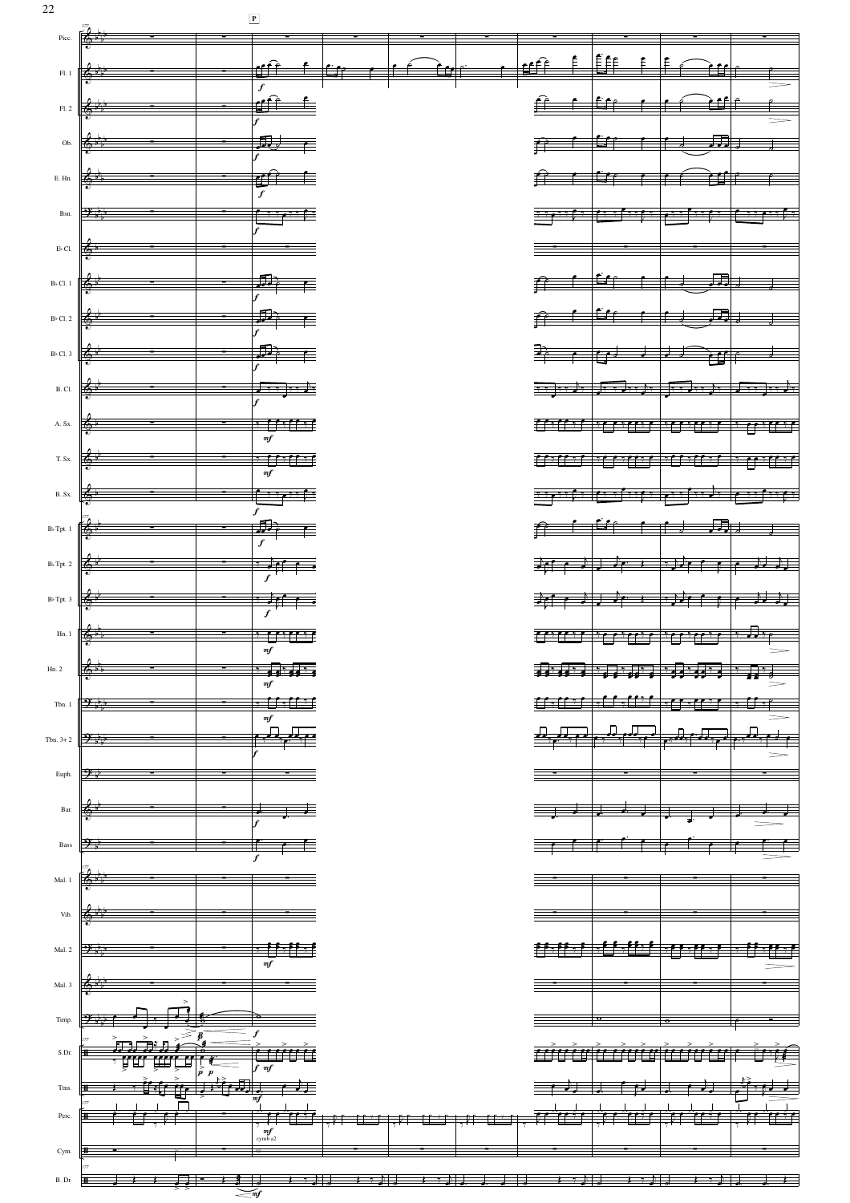| 22                                                                         |                         | $\mathbf P$                           |      |  |                                                                    |                                                                                                                                                                                                                                      |                                                                                                                                                                                                                                                                                                                                                     |                                         |
|----------------------------------------------------------------------------|-------------------------|---------------------------------------|------|--|--------------------------------------------------------------------|--------------------------------------------------------------------------------------------------------------------------------------------------------------------------------------------------------------------------------------|-----------------------------------------------------------------------------------------------------------------------------------------------------------------------------------------------------------------------------------------------------------------------------------------------------------------------------------------------------|-----------------------------------------|
| Picc.                                                                      | $\leftarrow$            |                                       |      |  |                                                                    |                                                                                                                                                                                                                                      |                                                                                                                                                                                                                                                                                                                                                     |                                         |
|                                                                            |                         | ≝Ê                                    |      |  | $\mathbf{f}$<br><u>efî</u>                                         | ∰ff                                                                                                                                                                                                                                  |                                                                                                                                                                                                                                                                                                                                                     |                                         |
| FL1                                                                        |                         | $\boldsymbol{f}$                      | †Cff |  |                                                                    |                                                                                                                                                                                                                                      | ثلثكا                                                                                                                                                                                                                                                                                                                                               |                                         |
| Fl. 2                                                                      | ⊚                       | <u>trî t</u>                          |      |  |                                                                    | <u>ti r tre r r f</u>                                                                                                                                                                                                                | <u>t⊈</u> if                                                                                                                                                                                                                                                                                                                                        |                                         |
| Ob.                                                                        | ⊕⇒⊧                     | 灵王                                    |      |  | $\hat{f}$ $\hat{f}$                                                | $\Box$                                                                                                                                                                                                                               | 男                                                                                                                                                                                                                                                                                                                                                   |                                         |
|                                                                            |                         |                                       |      |  |                                                                    |                                                                                                                                                                                                                                      |                                                                                                                                                                                                                                                                                                                                                     |                                         |
| E. Hn.                                                                     | (ტა∌                    | tî t<br>$\boldsymbol{f}$              |      |  |                                                                    |                                                                                                                                                                                                                                      |                                                                                                                                                                                                                                                                                                                                                     |                                         |
| Bsn.                                                                       | ファ                      | $f$ ''''' $\mathcal{V}$ '             |      |  |                                                                    |                                                                                                                                                                                                                                      | <u> 11,000   11,000   11,000   11,000   11,000   1</u>                                                                                                                                                                                                                                                                                              |                                         |
| $\to$ Cl.                                                                  | $\bullet$               |                                       |      |  | $\mathcal{L}(\mathcal{L})$ . The set of $\mathcal{L}(\mathcal{L})$ |                                                                                                                                                                                                                                      |                                                                                                                                                                                                                                                                                                                                                     |                                         |
|                                                                            |                         | $\mathcal{D}_i =$                     |      |  |                                                                    |                                                                                                                                                                                                                                      | $\hat{f}$ is the set of $\hat{f}$ , $\hat{f}$ , $\hat{f}$ , $\hat{f}$ , $\hat{f}$ , $\hat{f}$ , $\hat{f}$ , $\hat{f}$ , $\hat{f}$ , $\hat{f}$ , $\hat{f}$ , $\hat{f}$ , $\hat{f}$ , $\hat{f}$ , $\hat{f}$ , $\hat{f}$ , $\hat{f}$ , $\hat{f}$ , $\hat{f}$ , $\hat{f}$ ,                                                                             |                                         |
| $\rm B\!\!\flat$ Cl. 1                                                     | ⊕                       |                                       |      |  |                                                                    |                                                                                                                                                                                                                                      |                                                                                                                                                                                                                                                                                                                                                     |                                         |
| $\rm B \flat$ Cl. 2                                                        | $\bullet$               | $E_{\rm P}$ $=$                       |      |  | 耷<br>- 1                                                           | ॉर्टा                                                                                                                                                                                                                                |                                                                                                                                                                                                                                                                                                                                                     |                                         |
| $B \triangleright C1.3$                                                    | €                       | $\mathcal{D}_1$                       |      |  |                                                                    |                                                                                                                                                                                                                                      | $\frac{1}{2}$ $\frac{1}{2}$ $\frac{1}{2}$ $\frac{1}{2}$ $\frac{1}{2}$ $\frac{1}{2}$ $\frac{1}{2}$ $\frac{1}{2}$ $\frac{1}{2}$ $\frac{1}{2}$ $\frac{1}{2}$ $\frac{1}{2}$ $\frac{1}{2}$ $\frac{1}{2}$ $\frac{1}{2}$ $\frac{1}{2}$ $\frac{1}{2}$ $\frac{1}{2}$ $\frac{1}{2}$ $\frac{1}{2}$ $\frac{1}{2}$ $\frac{1}{2}$                                 |                                         |
| B. Cl.                                                                     | $\overline{\mathbb{G}}$ | $J$ , $\overline{Y}$ , $\overline{Y}$ |      |  |                                                                    |                                                                                                                                                                                                                                      | <u> 11   11   12   13   14   15   17   18   17   11   1</u>                                                                                                                                                                                                                                                                                         |                                         |
|                                                                            |                         |                                       |      |  |                                                                    |                                                                                                                                                                                                                                      |                                                                                                                                                                                                                                                                                                                                                     |                                         |
| A. Sx.                                                                     | 6                       | أتقان فان<br>m f                      |      |  |                                                                    |                                                                                                                                                                                                                                      | <u> 119119 - 12999 - 12999 - 12999 - 1299</u>                                                                                                                                                                                                                                                                                                       |                                         |
| T. Sx.                                                                     | ⊕                       | ff if i f                             |      |  |                                                                    | <u> { { } { } }   { { } { } }   { { } }   { { } }   { { } { { } } { { } } { { } { { } } { { } { } { { } { } { } { } { } { } { } { } { } { } { } { } { } { } { } { } { } { } { } { } { } { } { } { } { } { } { } { } { } { } { } </u> |                                                                                                                                                                                                                                                                                                                                                     | <u>tricht</u>                           |
| B. Sx.                                                                     | ю€                      | mf<br>$\mathcal{F}$                   |      |  |                                                                    |                                                                                                                                                                                                                                      |                                                                                                                                                                                                                                                                                                                                                     |                                         |
|                                                                            |                         | $\mathcal{D}$ and $\mathcal{D}$       |      |  |                                                                    |                                                                                                                                                                                                                                      | $\begin{picture}(100,10) \put(0,0){\line(1,0){10}} \put(10,0){\line(1,0){10}} \put(10,0){\line(1,0){10}} \put(10,0){\line(1,0){10}} \put(10,0){\line(1,0){10}} \put(10,0){\line(1,0){10}} \put(10,0){\line(1,0){10}} \put(10,0){\line(1,0){10}} \put(10,0){\line(1,0){10}} \put(10,0){\line(1,0){10}} \put(10,0){\line(1,0){10}} \put(10,0){\line($ |                                         |
| B <sup>b</sup> Tpt. 1                                                      | ⋒                       |                                       |      |  |                                                                    |                                                                                                                                                                                                                                      |                                                                                                                                                                                                                                                                                                                                                     |                                         |
| $B \triangleright Tpt.$ 2                                                  | ta.                     | $\frac{1}{f}$                         |      |  |                                                                    |                                                                                                                                                                                                                                      | $\frac{1}{2}$ of $\epsilon$ $\rightarrow$ $\frac{1}{2}$ $\frac{1}{2}$ $\epsilon$ $\rightarrow$ $\frac{1}{2}$ $\frac{1}{2}$ $\frac{1}{2}$ $\frac{1}{2}$ $\frac{1}{2}$ $\frac{1}{2}$ $\frac{1}{2}$ $\frac{1}{2}$ $\frac{1}{2}$ $\frac{1}{2}$ $\frac{1}{2}$                                                                                            |                                         |
| $\rm B\ensuremath{\circ}\xspace\ensuremath{\mathrm{Tpt}\xspace}\xspace$ .3 | ⊕                       | ्रेगी र ज                             |      |  |                                                                    |                                                                                                                                                                                                                                      | $\frac{1}{2}$                                                                                                                                                                                                                                                                                                                                       |                                         |
| Hn. 1                                                                      | $6^{\frac{3}{2}}$       | <u>r grav</u>                         |      |  |                                                                    |                                                                                                                                                                                                                                      |                                                                                                                                                                                                                                                                                                                                                     |                                         |
| Hn. 2                                                                      |                         | тJ<br>وتواونا                         |      |  | وكرديج                                                             |                                                                                                                                                                                                                                      |                                                                                                                                                                                                                                                                                                                                                     |                                         |
|                                                                            | to.                     | m f                                   |      |  |                                                                    | $\frac{1}{2}$                                                                                                                                                                                                                        |                                                                                                                                                                                                                                                                                                                                                     |                                         |
| Tbn. 1                                                                     | ジャト                     | <u>istri</u><br>m f                   |      |  | 有化工                                                                | f.ff<br>ਿ≁                                                                                                                                                                                                                           | <u>.</u>                                                                                                                                                                                                                                                                                                                                            |                                         |
| Tbn. $3+2$                                                                 | ゾート                     | $\overline{\phantom{a}}$<br>          |      |  | П<br>---<br><u>.</u>                                               | $e^{i\theta}$<br>--                                                                                                                                                                                                                  | <del>. آر م آر پر</del>                                                                                                                                                                                                                                                                                                                             | $. \bullet \bullet . \bullet . \bullet$ |
| Euph.                                                                      | <del>்</del>            |                                       |      |  | Ξ                                                                  |                                                                                                                                                                                                                                      |                                                                                                                                                                                                                                                                                                                                                     |                                         |
| Bar.                                                                       |                         |                                       |      |  |                                                                    |                                                                                                                                                                                                                                      |                                                                                                                                                                                                                                                                                                                                                     |                                         |
|                                                                            |                         | ᆍ                                     |      |  |                                                                    |                                                                                                                                                                                                                                      |                                                                                                                                                                                                                                                                                                                                                     |                                         |
| Bass                                                                       |                         | Ξ<br>f                                |      |  |                                                                    |                                                                                                                                                                                                                                      |                                                                                                                                                                                                                                                                                                                                                     |                                         |
| Mal. 1                                                                     | fm                      |                                       |      |  |                                                                    |                                                                                                                                                                                                                                      |                                                                                                                                                                                                                                                                                                                                                     |                                         |
| Vib.                                                                       | t.                      |                                       |      |  | -                                                                  |                                                                                                                                                                                                                                      |                                                                                                                                                                                                                                                                                                                                                     |                                         |
|                                                                            |                         |                                       |      |  | 12 May 20                                                          | <u>, , , , , , ,</u>                                                                                                                                                                                                                 |                                                                                                                                                                                                                                                                                                                                                     | <u>55.ss.s</u><br>h.                    |
| Mal. 2                                                                     | ナドゥ                     | m f                                   |      |  |                                                                    |                                                                                                                                                                                                                                      |                                                                                                                                                                                                                                                                                                                                                     |                                         |
| Mal. 3                                                                     |                         |                                       |      |  |                                                                    |                                                                                                                                                                                                                                      |                                                                                                                                                                                                                                                                                                                                                     |                                         |
| Timp.                                                                      |                         |                                       |      |  |                                                                    | $\mathbf{\sigma}$                                                                                                                                                                                                                    | $\bullet$                                                                                                                                                                                                                                                                                                                                           |                                         |
| S.Dr.                                                                      |                         | فتنتنت                                |      |  |                                                                    |                                                                                                                                                                                                                                      | <u>,,,,,,,,,,,,,,,,,,,,,,,,,,</u>                                                                                                                                                                                                                                                                                                                   | $P$ $P$ $P$ $R$                         |
| Tms.                                                                       | #                       | m f                                   |      |  |                                                                    |                                                                                                                                                                                                                                      |                                                                                                                                                                                                                                                                                                                                                     |                                         |
|                                                                            |                         | mf<br>. .                             |      |  |                                                                    |                                                                                                                                                                                                                                      |                                                                                                                                                                                                                                                                                                                                                     |                                         |
| Perc.                                                                      | Ħ                       | m f<br>cymb a2                        |      |  |                                                                    |                                                                                                                                                                                                                                      |                                                                                                                                                                                                                                                                                                                                                     | بزجج                                    |
| Cym.                                                                       | Ŧ<br>ļ                  |                                       |      |  |                                                                    |                                                                                                                                                                                                                                      |                                                                                                                                                                                                                                                                                                                                                     |                                         |
|                                                                            |                         |                                       |      |  |                                                                    |                                                                                                                                                                                                                                      |                                                                                                                                                                                                                                                                                                                                                     |                                         |

22

ã B. Dr.

*177* œ Œ Œ œ > œ > Ó Œ œ æ ˙ </u>  $\tilde{f}$ ≀ → ) 。 Œ ‰ j œ œ. œ. œ ˙ Œ ‰ j œ ˙ Œ ‰ j œ ˙ Œ ‰ j œ œ. œ. Œ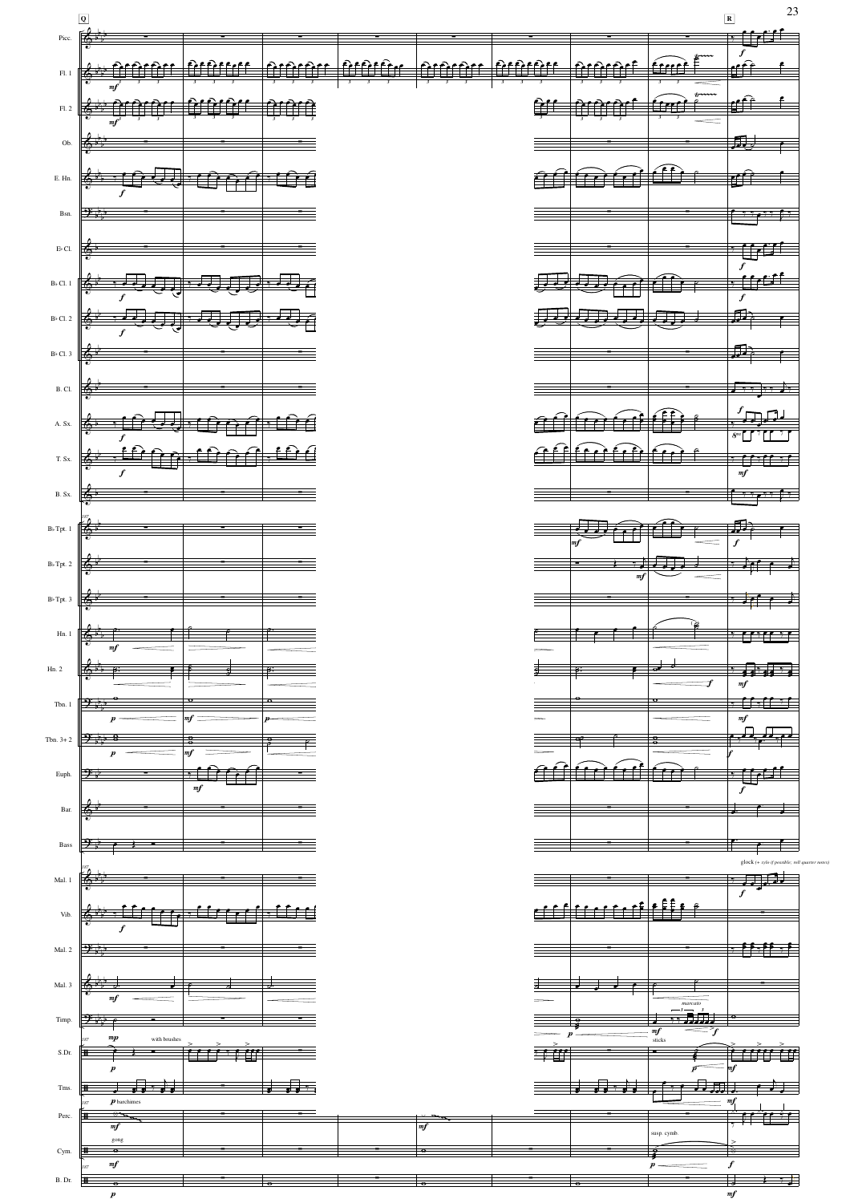|                                      | $\mathbf Q$                                                                                                                                                                                                                                                                                                                                                         |                                                                    |                             |                               |    |    |                                     |                                                                                                                                                                                                                                                                                                                                                                                                                                  | 23<br>$\mathbf R$                                                     |
|--------------------------------------|---------------------------------------------------------------------------------------------------------------------------------------------------------------------------------------------------------------------------------------------------------------------------------------------------------------------------------------------------------------------|--------------------------------------------------------------------|-----------------------------|-------------------------------|----|----|-------------------------------------|----------------------------------------------------------------------------------------------------------------------------------------------------------------------------------------------------------------------------------------------------------------------------------------------------------------------------------------------------------------------------------------------------------------------------------|-----------------------------------------------------------------------|
| Picc.                                | 险                                                                                                                                                                                                                                                                                                                                                                   |                                                                    |                             |                               |    |    |                                     |                                                                                                                                                                                                                                                                                                                                                                                                                                  |                                                                       |
| $\rm{Fl.}$ $1$                       |                                                                                                                                                                                                                                                                                                                                                                     | <u> ऐस्सिसि सिसिसि किसिसि</u>                                      |                             | <u> Rugtis Bustet Bugtigt</u> |    |    | <del>mmmm</del>                     |                                                                                                                                                                                                                                                                                                                                                                                                                                  |                                                                       |
| Fl. 2                                | <u>के पिसिस, सिसिस, सिसिस</u>                                                                                                                                                                                                                                                                                                                                       |                                                                    |                             |                               |    |    | <u>tir brereri </u>                 | $ \mathbb{C}\mathbb{C} $                                                                                                                                                                                                                                                                                                                                                                                                         |                                                                       |
| Ob.                                  | $\mathbb{C}^{5}$                                                                                                                                                                                                                                                                                                                                                    | $\blacksquare$                                                     |                             |                               |    |    |                                     |                                                                                                                                                                                                                                                                                                                                                                                                                                  | 現                                                                     |
| ${\bf E}.$ Hn.                       | $\frac{1}{2}$ and $\frac{1}{2}$ and $\frac{1}{2}$ and $\frac{1}{2}$                                                                                                                                                                                                                                                                                                 |                                                                    |                             |                               |    |    | til Gali                            |                                                                                                                                                                                                                                                                                                                                                                                                                                  | rf                                                                    |
| Bsn.                                 | ⊸⊬'9                                                                                                                                                                                                                                                                                                                                                                |                                                                    |                             |                               |    |    |                                     |                                                                                                                                                                                                                                                                                                                                                                                                                                  | 1.77                                                                  |
| $\to$ Cl.                            | $\left\langle \phi \right\rangle$ .                                                                                                                                                                                                                                                                                                                                 |                                                                    |                             |                               |    |    |                                     |                                                                                                                                                                                                                                                                                                                                                                                                                                  |                                                                       |
|                                      |                                                                                                                                                                                                                                                                                                                                                                     |                                                                    |                             |                               |    |    |                                     | <del>स्कूले ही के स</del>                                                                                                                                                                                                                                                                                                                                                                                                        | 1 <del>, post</del>                                                   |
|                                      | ैं । संस्कृति स्टान्स् स्टान्स् स्टान्स् स्टान्स् ।<br>इति स्टान्स् स्टान्स् स्टान्स् स्टान्स्                                                                                                                                                                                                                                                                      |                                                                    |                             |                               |    | 以り |                                     | 5 3 3 3 3 3 3                                                                                                                                                                                                                                                                                                                                                                                                                    | 是                                                                     |
|                                      | ٰ ک                                                                                                                                                                                                                                                                                                                                                                 | $\mathbf{r}$                                                       |                             |                               |    |    |                                     |                                                                                                                                                                                                                                                                                                                                                                                                                                  | ♬                                                                     |
| $\, {\bf B} . \, {\bf Cl} . \,$      | $\phi^{\mu}$                                                                                                                                                                                                                                                                                                                                                        | $\blacksquare$                                                     |                             |                               |    |    |                                     |                                                                                                                                                                                                                                                                                                                                                                                                                                  | $\rightarrow$ , , , , ,                                               |
|                                      | ^* <del>  총 - 다 신 신 신 신 인 인 - 다</del> 원                                                                                                                                                                                                                                                                                                                             |                                                                    |                             |                               |    |    | $\bigoplus$ $\bigoplus$ $\bigoplus$ |                                                                                                                                                                                                                                                                                                                                                                                                                                  | $\sqrt{1}$<br>$8^{\circ\circ}$ $1^{\circ}$                            |
|                                      | $\mathbb{E} \left[ \frac{1}{2} \sum_{i=1}^{n} \frac{1}{2} \sum_{i=1}^{n} \frac{1}{2} \sum_{i=1}^{n} \frac{1}{2} \sum_{i=1}^{n} \frac{1}{2} \sum_{i=1}^{n} \frac{1}{2} \sum_{i=1}^{n} \frac{1}{2} \sum_{i=1}^{n} \frac{1}{2} \sum_{i=1}^{n} \frac{1}{2} \sum_{i=1}^{n} \frac{1}{2} \sum_{i=1}^{n} \frac{1}{2} \sum_{i=1}^{n} \frac{1}{2} \sum_{i=1}^{n} \frac{1}{2}$ |                                                                    |                             |                               |    |    |                                     |                                                                                                                                                                                                                                                                                                                                                                                                                                  | $f: f \rightarrow$<br>m f                                             |
| $\mathbf{B}.\ \mathbf{S}\mathbf{x}.$ | [⊕∍                                                                                                                                                                                                                                                                                                                                                                 | $\overline{\phantom{a}}$ , and the set of $\overline{\phantom{a}}$ |                             |                               |    |    |                                     |                                                                                                                                                                                                                                                                                                                                                                                                                                  | <del>.</del>                                                          |
| $\rm B\text{+}Tpt.$ 1                | $\frac{1}{2}$                                                                                                                                                                                                                                                                                                                                                       |                                                                    |                             |                               |    |    | 梅香油                                 |                                                                                                                                                                                                                                                                                                                                                                                                                                  | $\frac{1}{\sqrt{2}}$                                                  |
| $\mathbf{B}$ ) Tpt. 2                | ∣ক                                                                                                                                                                                                                                                                                                                                                                  | <u> The Communication of the Communication of</u>                  |                             |                               |    |    |                                     | $\begin{array}{c} \mathbf{1} & \mathbf{1} & \mathbf{1} & \mathbf{1} & \mathbf{1} & \mathbf{1} & \mathbf{1} & \mathbf{1} & \mathbf{1} & \mathbf{1} & \mathbf{1} & \mathbf{1} & \mathbf{1} & \mathbf{1} & \mathbf{1} & \mathbf{1} & \mathbf{1} & \mathbf{1} & \mathbf{1} & \mathbf{1} & \mathbf{1} & \mathbf{1} & \mathbf{1} & \mathbf{1} & \mathbf{1} & \mathbf{1} & \mathbf{1} & \mathbf{1} & \mathbf{1} & \mathbf{1} & \mathbf$ | $\frac{1}{2}$ , $\frac{1}{2}$ , $\frac{1}{2}$                         |
| $\rm B \flat$ Tpt. 3                 | [≰∍                                                                                                                                                                                                                                                                                                                                                                 |                                                                    | $\mathcal{L} = \mathcal{L}$ |                               |    |    |                                     |                                                                                                                                                                                                                                                                                                                                                                                                                                  | $\frac{1}{2}$ $\frac{1}{2}$ $\frac{1}{2}$ $\frac{1}{2}$ $\frac{1}{2}$ |
| Hn. 1                                | $\frac{1}{2}$ $\frac{1}{2}$ $\frac{1}{2}$ $\frac{1}{2}$ $\frac{1}{2}$ $\frac{1}{2}$ $\frac{1}{2}$ $\frac{1}{2}$ $\frac{1}{2}$ $\frac{1}{2}$ $\frac{1}{2}$ $\frac{1}{2}$ $\frac{1}{2}$ $\frac{1}{2}$ $\frac{1}{2}$ $\frac{1}{2}$ $\frac{1}{2}$ $\frac{1}{2}$ $\frac{1}{2}$ $\frac{1}{2}$ $\frac{1}{2}$ $\frac{1}{2}$<br>m                                            |                                                                    |                             |                               |    |    | $\gamma$ in the set of $\gamma$     |                                                                                                                                                                                                                                                                                                                                                                                                                                  | $ \cdot $ order to $\cdot$ order to $\cdot$                           |
| Hn. 2                                | 6                                                                                                                                                                                                                                                                                                                                                                   |                                                                    |                             |                               |    |    |                                     |                                                                                                                                                                                                                                                                                                                                                                                                                                  | m f                                                                   |
| Tbn. 1                               | ジナ                                                                                                                                                                                                                                                                                                                                                                  | mf                                                                 |                             |                               |    |    |                                     | o                                                                                                                                                                                                                                                                                                                                                                                                                                | m f                                                                   |
| Tbn. $3+2$                           | ソト                                                                                                                                                                                                                                                                                                                                                                  |                                                                    |                             |                               |    |    |                                     |                                                                                                                                                                                                                                                                                                                                                                                                                                  |                                                                       |
| Euph.                                |                                                                                                                                                                                                                                                                                                                                                                     | m f                                                                |                             |                               |    |    |                                     |                                                                                                                                                                                                                                                                                                                                                                                                                                  | $\boldsymbol{f}$                                                      |
| Bar.                                 |                                                                                                                                                                                                                                                                                                                                                                     |                                                                    |                             |                               |    |    |                                     |                                                                                                                                                                                                                                                                                                                                                                                                                                  |                                                                       |
| Bass                                 |                                                                                                                                                                                                                                                                                                                                                                     |                                                                    |                             |                               |    |    |                                     |                                                                                                                                                                                                                                                                                                                                                                                                                                  | glock (+ xylo if possible; roll quarter notes,                        |
| Mal. 1                               |                                                                                                                                                                                                                                                                                                                                                                     |                                                                    |                             |                               |    |    |                                     |                                                                                                                                                                                                                                                                                                                                                                                                                                  | 月丁<br>$\boldsymbol{f}$                                                |
| Vib.                                 |                                                                                                                                                                                                                                                                                                                                                                     |                                                                    |                             |                               |    |    |                                     |                                                                                                                                                                                                                                                                                                                                                                                                                                  |                                                                       |
| Mal. 2                               |                                                                                                                                                                                                                                                                                                                                                                     |                                                                    |                             |                               |    |    |                                     |                                                                                                                                                                                                                                                                                                                                                                                                                                  |                                                                       |
| Mal. 3                               |                                                                                                                                                                                                                                                                                                                                                                     |                                                                    |                             |                               |    |    |                                     | marcato                                                                                                                                                                                                                                                                                                                                                                                                                          |                                                                       |
| Timp.                                | mp<br>with brushes                                                                                                                                                                                                                                                                                                                                                  |                                                                    |                             |                               |    |    |                                     | ĒĴ.<br>mf<br>sticks                                                                                                                                                                                                                                                                                                                                                                                                              |                                                                       |
| S.Dr.                                | ┺                                                                                                                                                                                                                                                                                                                                                                   | <u>, , , , ,,</u>                                                  |                             |                               |    |    |                                     |                                                                                                                                                                                                                                                                                                                                                                                                                                  | . <i>.</i> .                                                          |
| Tms.                                 | ⊞<br>$\boldsymbol{p}$ barchimes                                                                                                                                                                                                                                                                                                                                     |                                                                    | وتقولو                      |                               |    |    | $\cdot$ $\cdot$                     | <u>J.</u>                                                                                                                                                                                                                                                                                                                                                                                                                        | mf                                                                    |
| Perc.                                | Œ<br>mf<br>gong                                                                                                                                                                                                                                                                                                                                                     |                                                                    |                             |                               | mf |    |                                     | susp. cymb.                                                                                                                                                                                                                                                                                                                                                                                                                      | 77 T                                                                  |
| Cym.<br>B. Dr.                       | ⊞<br>۰<br>m f<br>田                                                                                                                                                                                                                                                                                                                                                  |                                                                    |                             |                               |    |    |                                     |                                                                                                                                                                                                                                                                                                                                                                                                                                  | $\boldsymbol{f}$                                                      |
|                                      | p                                                                                                                                                                                                                                                                                                                                                                   |                                                                    |                             |                               |    |    |                                     |                                                                                                                                                                                                                                                                                                                                                                                                                                  | mf                                                                    |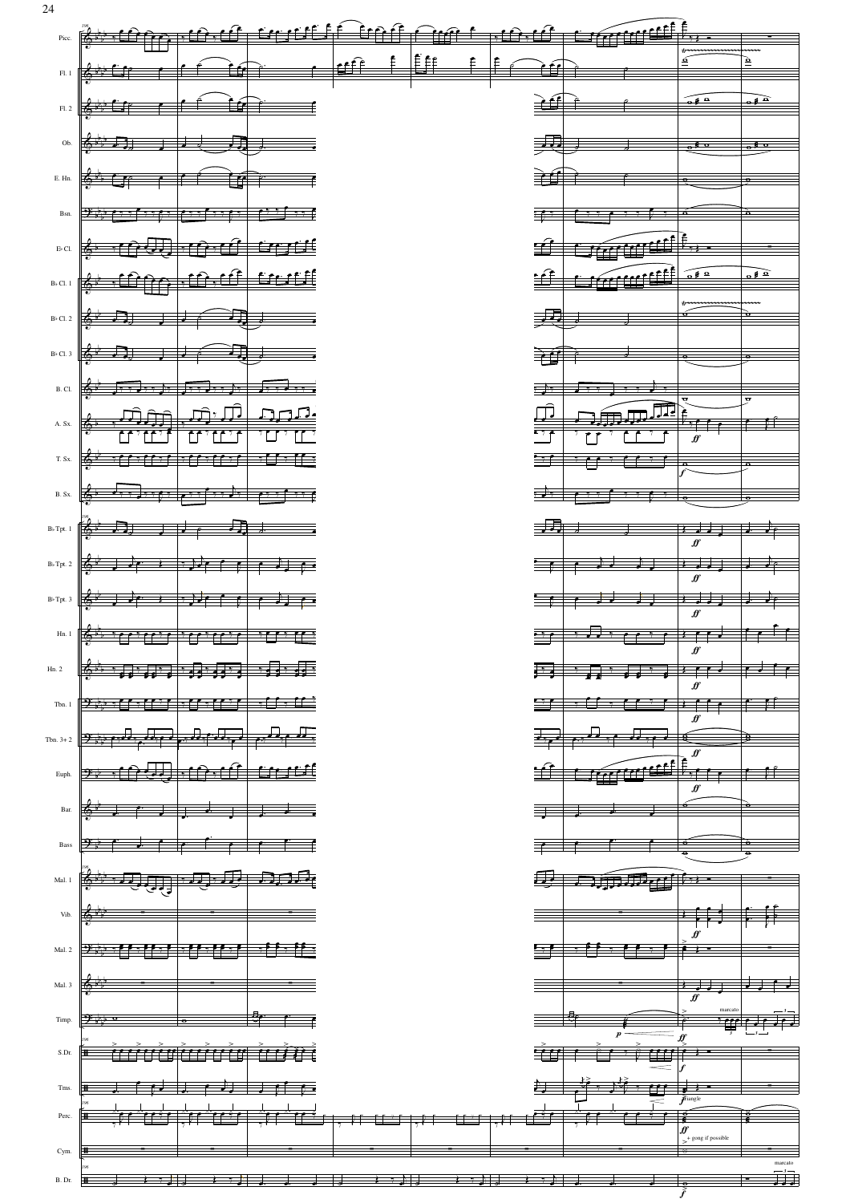



f